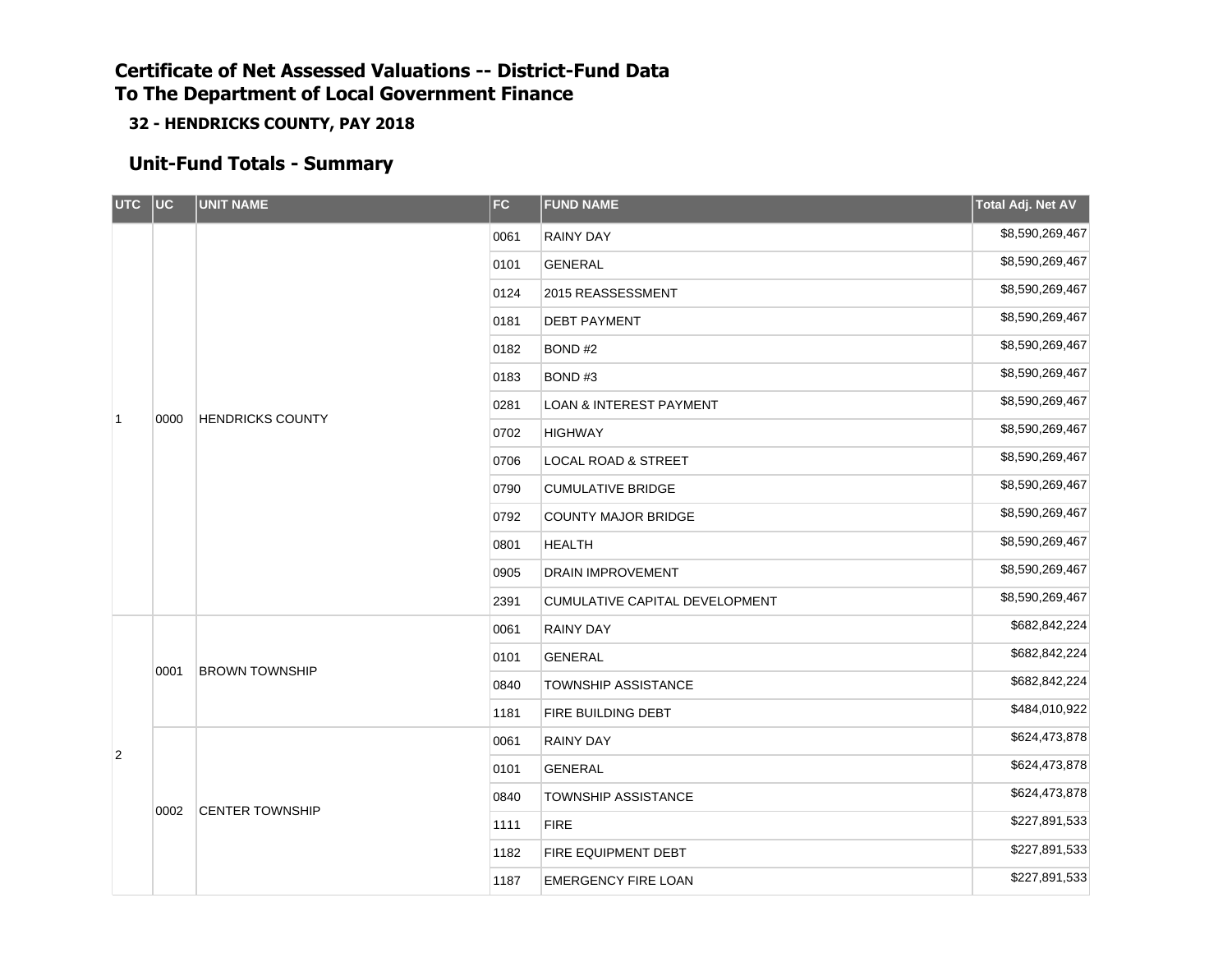**32 - HENDRICKS COUNTY, PAY 2018**

### **Unit-Fund Totals - Summary**

| UTC UC       |      | <b>UNIT NAME</b>        | <b>FC</b> | <b>FUND NAME</b>                   | Total Adj. Net AV |
|--------------|------|-------------------------|-----------|------------------------------------|-------------------|
|              |      |                         | 0061      | <b>RAINY DAY</b>                   | \$8,590,269,467   |
|              |      |                         | 0101      | <b>GENERAL</b>                     | \$8,590,269,467   |
|              |      |                         | 0124      | 2015 REASSESSMENT                  | \$8,590,269,467   |
|              |      |                         | 0181      | <b>DEBT PAYMENT</b>                | \$8,590,269,467   |
|              |      |                         | 0182      | BOND#2                             | \$8,590,269,467   |
|              |      |                         | 0183      | BOND#3                             | \$8,590,269,467   |
|              |      |                         | 0281      | <b>LOAN &amp; INTEREST PAYMENT</b> | \$8,590,269,467   |
| $\mathbf{1}$ | 0000 | <b>HENDRICKS COUNTY</b> | 0702      | <b>HIGHWAY</b>                     | \$8,590,269,467   |
|              |      |                         | 0706      | <b>LOCAL ROAD &amp; STREET</b>     | \$8,590,269,467   |
|              |      |                         | 0790      | <b>CUMULATIVE BRIDGE</b>           | \$8,590,269,467   |
|              |      |                         | 0792      | <b>COUNTY MAJOR BRIDGE</b>         | \$8,590,269,467   |
|              |      |                         | 0801      | <b>HEALTH</b>                      | \$8,590,269,467   |
|              |      |                         | 0905      | DRAIN IMPROVEMENT                  | \$8,590,269,467   |
|              |      |                         | 2391      | CUMULATIVE CAPITAL DEVELOPMENT     | \$8,590,269,467   |
|              |      |                         | 0061      | <b>RAINY DAY</b>                   | \$682,842,224     |
|              |      |                         | 0101      | GENERAL                            | \$682,842,224     |
|              | 0001 | <b>BROWN TOWNSHIP</b>   | 0840      | <b>TOWNSHIP ASSISTANCE</b>         | \$682,842,224     |
|              |      |                         | 1181      | FIRE BUILDING DEBT                 | \$484,010,922     |
| 2            |      |                         | 0061      | RAINY DAY                          | \$624,473,878     |
|              |      |                         | 0101      | <b>GENERAL</b>                     | \$624,473,878     |
|              | 0002 |                         | 0840      | <b>TOWNSHIP ASSISTANCE</b>         | \$624,473,878     |
|              |      | <b>CENTER TOWNSHIP</b>  | 1111      | <b>FIRE</b>                        | \$227,891,533     |
|              |      |                         | 1182      | FIRE EQUIPMENT DEBT                | \$227,891,533     |
|              |      |                         | 1187      | <b>EMERGENCY FIRE LOAN</b>         | \$227,891,533     |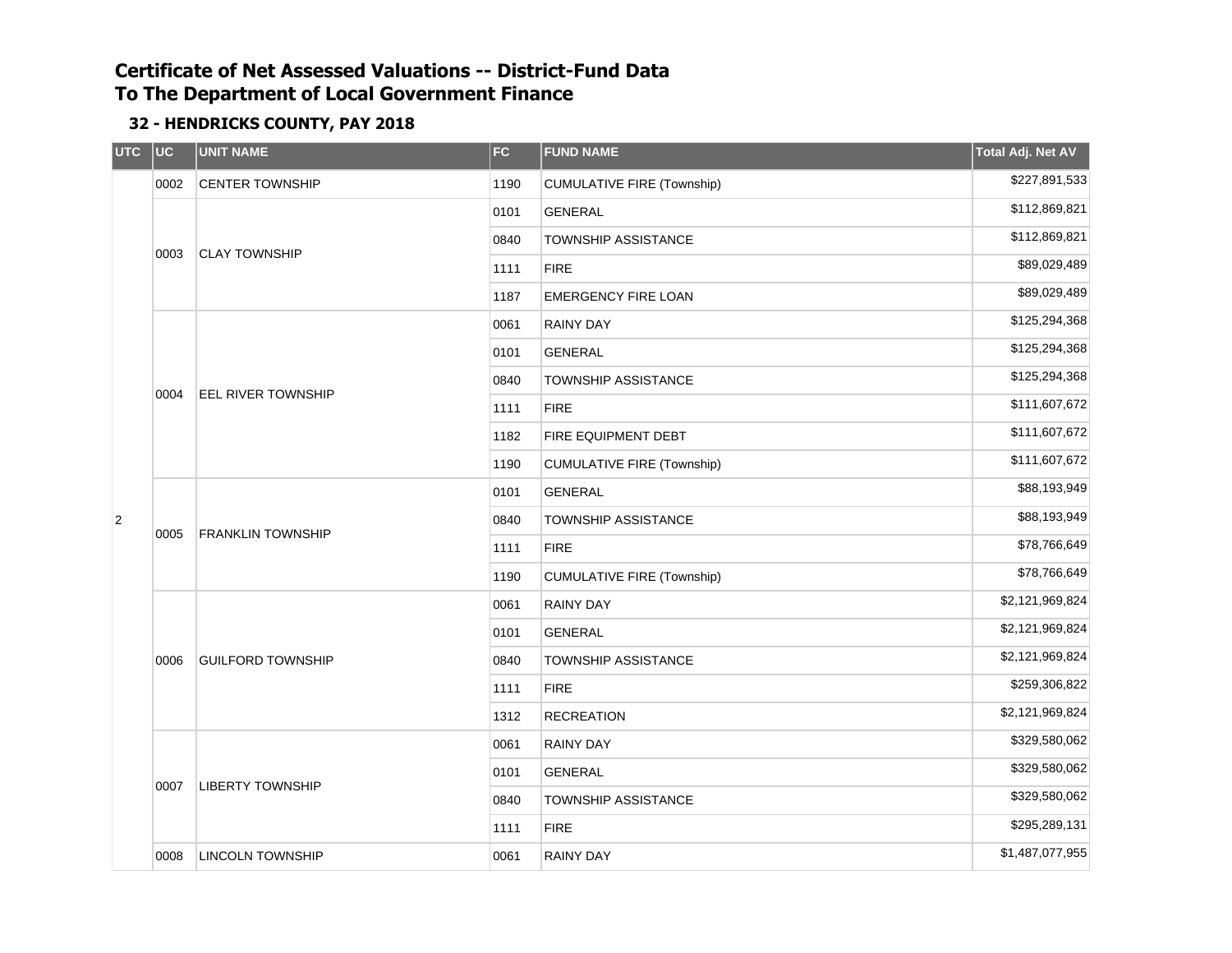| <b>UTC</b>     | $ $ UC | <b>UNIT NAME</b>          | <b>FC</b> | <b>FUND NAME</b>                  | Total Adj. Net AV |
|----------------|--------|---------------------------|-----------|-----------------------------------|-------------------|
|                | 0002   | <b>CENTER TOWNSHIP</b>    | 1190      | <b>CUMULATIVE FIRE (Township)</b> | \$227,891,533     |
|                |        | <b>CLAY TOWNSHIP</b>      | 0101      | <b>GENERAL</b>                    | \$112,869,821     |
|                |        |                           | 0840      | <b>TOWNSHIP ASSISTANCE</b>        | \$112,869,821     |
|                | 0003   |                           | 1111      | <b>FIRE</b>                       | \$89,029,489      |
|                |        |                           | 1187      | <b>EMERGENCY FIRE LOAN</b>        | \$89,029,489      |
|                |        |                           | 0061      | RAINY DAY                         | \$125,294,368     |
|                |        | <b>EEL RIVER TOWNSHIP</b> | 0101      | <b>GENERAL</b>                    | \$125,294,368     |
|                |        |                           | 0840      | <b>TOWNSHIP ASSISTANCE</b>        | \$125,294,368     |
|                | 0004   |                           | 1111      | <b>FIRE</b>                       | \$111,607,672     |
|                |        |                           | 1182      | FIRE EQUIPMENT DEBT               | \$111,607,672     |
|                |        |                           | 1190      | <b>CUMULATIVE FIRE (Township)</b> | \$111,607,672     |
|                |        | <b>FRANKLIN TOWNSHIP</b>  | 0101      | <b>GENERAL</b>                    | \$88,193,949      |
| $\overline{2}$ |        |                           | 0840      | <b>TOWNSHIP ASSISTANCE</b>        | \$88,193,949      |
|                | 0005   |                           | 1111      | <b>FIRE</b>                       | \$78,766,649      |
|                |        |                           | 1190      | <b>CUMULATIVE FIRE (Township)</b> | \$78,766,649      |
|                |        |                           | 0061      | <b>RAINY DAY</b>                  | \$2,121,969,824   |
|                |        |                           | 0101      | <b>GENERAL</b>                    | \$2,121,969,824   |
|                | 0006   | <b>GUILFORD TOWNSHIP</b>  | 0840      | TOWNSHIP ASSISTANCE               | \$2,121,969,824   |
|                |        |                           | 1111      | <b>FIRE</b>                       | \$259,306,822     |
|                |        |                           | 1312      | <b>RECREATION</b>                 | \$2,121,969,824   |
|                |        |                           | 0061      | <b>RAINY DAY</b>                  | \$329,580,062     |
|                |        |                           | 0101      | <b>GENERAL</b>                    | \$329,580,062     |
|                | 0007   | <b>LIBERTY TOWNSHIP</b>   | 0840      | TOWNSHIP ASSISTANCE               | \$329,580,062     |
|                |        |                           | 1111      | <b>FIRE</b>                       | \$295,289,131     |
|                | 0008   | <b>LINCOLN TOWNSHIP</b>   | 0061      | <b>RAINY DAY</b>                  | \$1,487,077,955   |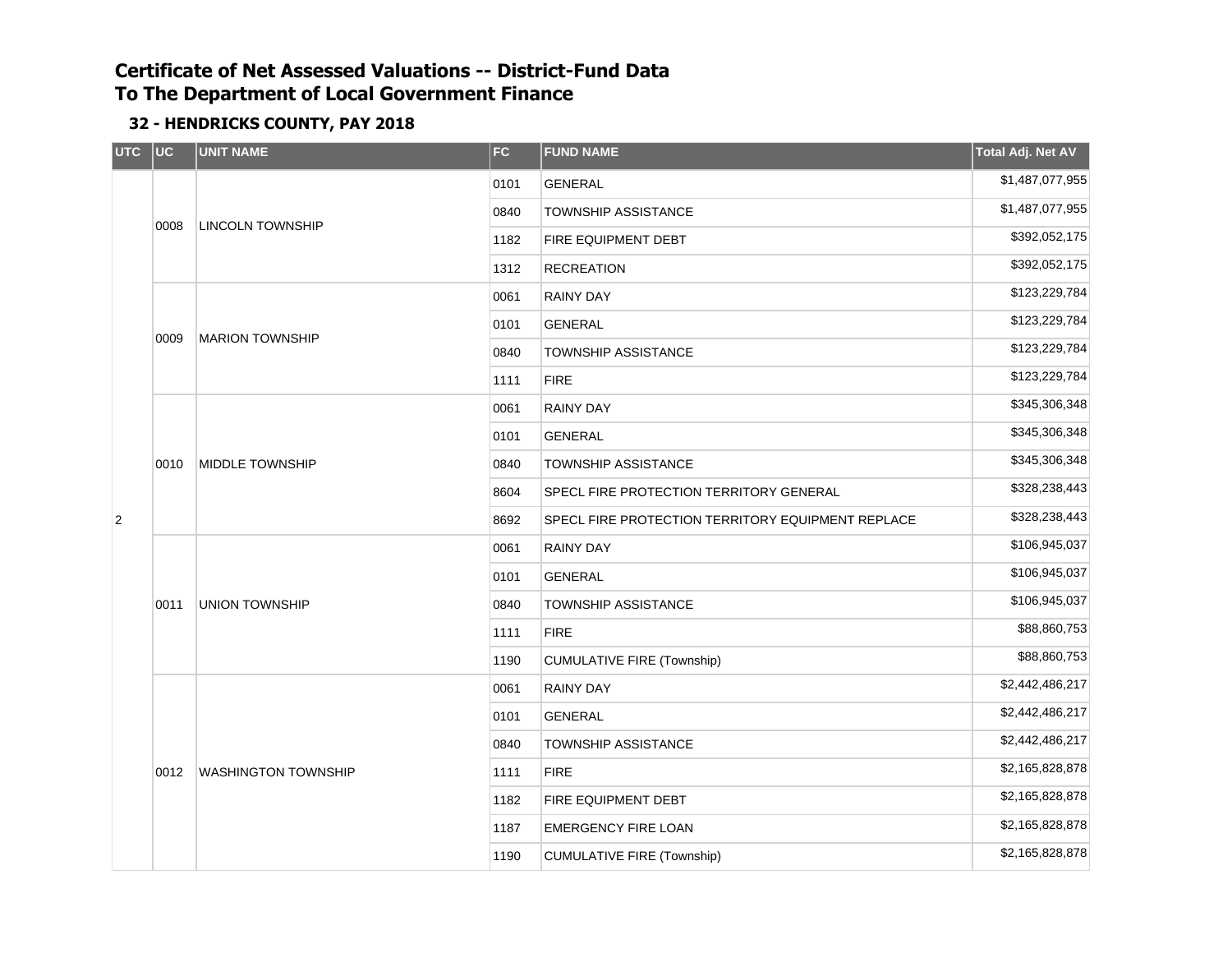| UTC UC         |      | <b>UNIT NAME</b>           | FC   | <b>FUND NAME</b>                                  | Total Adj. Net AV |
|----------------|------|----------------------------|------|---------------------------------------------------|-------------------|
|                |      |                            | 0101 | <b>GENERAL</b>                                    | \$1,487,077,955   |
|                |      |                            | 0840 | <b>TOWNSHIP ASSISTANCE</b>                        | \$1,487,077,955   |
|                | 0008 | <b>LINCOLN TOWNSHIP</b>    | 1182 | FIRE EQUIPMENT DEBT                               | \$392,052,175     |
|                |      |                            | 1312 | <b>RECREATION</b>                                 | \$392,052,175     |
|                |      | <b>MARION TOWNSHIP</b>     | 0061 | <b>RAINY DAY</b>                                  | \$123,229,784     |
|                |      |                            | 0101 | <b>GENERAL</b>                                    | \$123,229,784     |
|                | 0009 |                            | 0840 | <b>TOWNSHIP ASSISTANCE</b>                        | \$123,229,784     |
|                |      |                            | 1111 | <b>FIRE</b>                                       | \$123,229,784     |
|                |      |                            | 0061 | <b>RAINY DAY</b>                                  | \$345,306,348     |
|                |      | <b>MIDDLE TOWNSHIP</b>     | 0101 | <b>GENERAL</b>                                    | \$345,306,348     |
|                | 0010 |                            | 0840 | <b>TOWNSHIP ASSISTANCE</b>                        | \$345,306,348     |
|                |      |                            | 8604 | SPECL FIRE PROTECTION TERRITORY GENERAL           | \$328,238,443     |
| $\overline{2}$ |      |                            | 8692 | SPECL FIRE PROTECTION TERRITORY EQUIPMENT REPLACE | \$328,238,443     |
|                |      | <b>UNION TOWNSHIP</b>      | 0061 | <b>RAINY DAY</b>                                  | \$106,945,037     |
|                |      |                            | 0101 | <b>GENERAL</b>                                    | \$106,945,037     |
|                | 0011 |                            | 0840 | <b>TOWNSHIP ASSISTANCE</b>                        | \$106,945,037     |
|                |      |                            | 1111 | <b>FIRE</b>                                       | \$88,860,753      |
|                |      |                            | 1190 | <b>CUMULATIVE FIRE (Township)</b>                 | \$88,860,753      |
|                |      |                            | 0061 | <b>RAINY DAY</b>                                  | \$2,442,486,217   |
|                |      |                            | 0101 | <b>GENERAL</b>                                    | \$2,442,486,217   |
|                |      |                            | 0840 | <b>TOWNSHIP ASSISTANCE</b>                        | \$2,442,486,217   |
|                | 0012 | <b>WASHINGTON TOWNSHIP</b> | 1111 | <b>FIRE</b>                                       | \$2,165,828,878   |
|                |      |                            | 1182 | FIRE EQUIPMENT DEBT                               | \$2,165,828,878   |
|                |      |                            | 1187 | <b>EMERGENCY FIRE LOAN</b>                        | \$2,165,828,878   |
|                |      |                            | 1190 | <b>CUMULATIVE FIRE (Township)</b>                 | \$2,165,828,878   |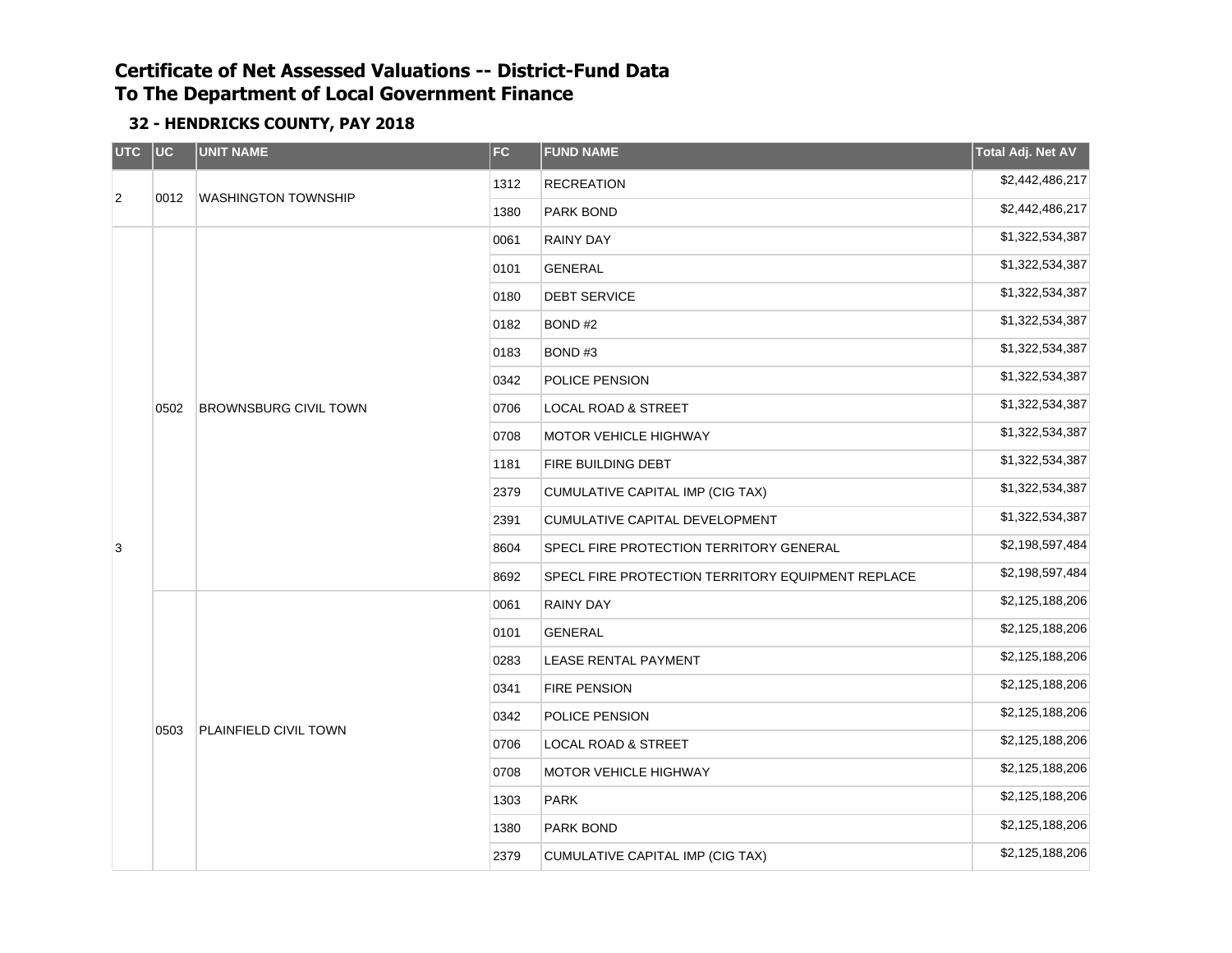| UTC UC         |      | <b>UNIT NAME</b>             | <b>FC</b> | <b>FUND NAME</b>                                  | <b>Total Adj. Net AV</b> |
|----------------|------|------------------------------|-----------|---------------------------------------------------|--------------------------|
|                |      |                              | 1312      | <b>RECREATION</b>                                 | \$2,442,486,217          |
| $\overline{2}$ | 0012 | <b>WASHINGTON TOWNSHIP</b>   | 1380      | PARK BOND                                         | \$2,442,486,217          |
|                |      |                              | 0061      | <b>RAINY DAY</b>                                  | \$1,322,534,387          |
|                |      |                              | 0101      | <b>GENERAL</b>                                    | \$1,322,534,387          |
|                |      |                              | 0180      | <b>DEBT SERVICE</b>                               | \$1,322,534,387          |
|                |      |                              | 0182      | BOND#2                                            | \$1,322,534,387          |
|                |      | <b>BROWNSBURG CIVIL TOWN</b> | 0183      | BOND#3                                            | \$1,322,534,387          |
|                |      |                              | 0342      | POLICE PENSION                                    | \$1,322,534,387          |
|                | 0502 |                              | 0706      | LOCAL ROAD & STREET                               | \$1,322,534,387          |
|                |      |                              | 0708      | <b>MOTOR VEHICLE HIGHWAY</b>                      | \$1,322,534,387          |
|                |      |                              | 1181      | FIRE BUILDING DEBT                                | \$1,322,534,387          |
|                |      |                              | 2379      | CUMULATIVE CAPITAL IMP (CIG TAX)                  | \$1,322,534,387          |
|                |      |                              | 2391      | CUMULATIVE CAPITAL DEVELOPMENT                    | \$1,322,534,387          |
| 3              |      |                              | 8604      | SPECL FIRE PROTECTION TERRITORY GENERAL           | \$2,198,597,484          |
|                |      |                              | 8692      | SPECL FIRE PROTECTION TERRITORY EQUIPMENT REPLACE | \$2,198,597,484          |
|                |      |                              | 0061      | <b>RAINY DAY</b>                                  | \$2,125,188,206          |
|                |      |                              | 0101      | <b>GENERAL</b>                                    | \$2,125,188,206          |
|                |      |                              | 0283      | LEASE RENTAL PAYMENT                              | \$2,125,188,206          |
|                |      |                              | 0341      | <b>FIRE PENSION</b>                               | \$2,125,188,206          |
|                |      |                              | 0342      | POLICE PENSION                                    | \$2,125,188,206          |
|                | 0503 | PLAINFIELD CIVIL TOWN        | 0706      | <b>LOCAL ROAD &amp; STREET</b>                    | \$2,125,188,206          |
|                |      |                              | 0708      | MOTOR VEHICLE HIGHWAY                             | \$2,125,188,206          |
|                |      |                              | 1303      | <b>PARK</b>                                       | \$2,125,188,206          |
|                |      |                              | 1380      | PARK BOND                                         | \$2,125,188,206          |
|                |      |                              | 2379      | CUMULATIVE CAPITAL IMP (CIG TAX)                  | \$2,125,188,206          |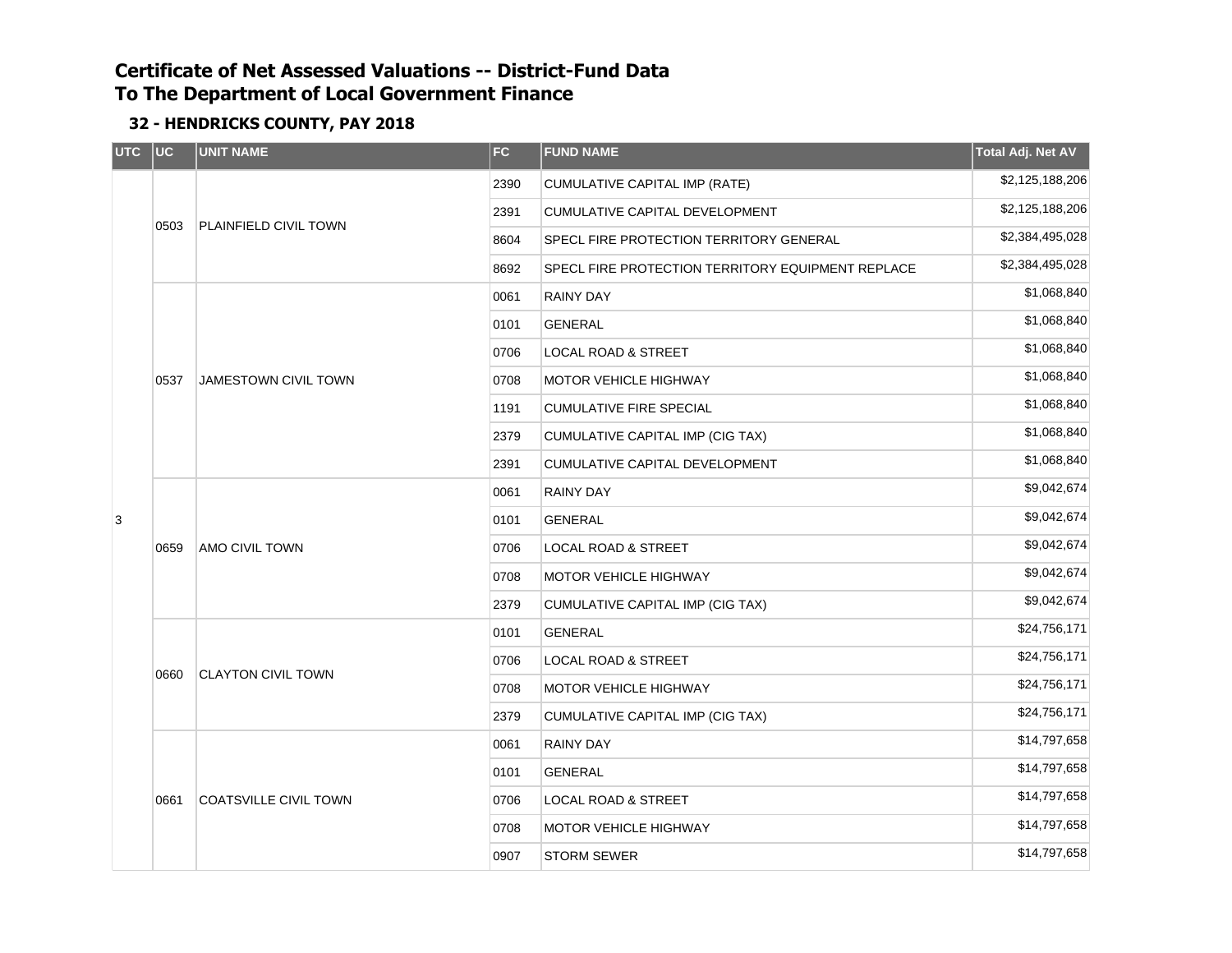| UTC UC |      | <b>UNIT NAME</b>                                                   | FC                                       | <b>FUND NAME</b>                                  | Total Adj. Net AV |
|--------|------|--------------------------------------------------------------------|------------------------------------------|---------------------------------------------------|-------------------|
|        |      |                                                                    | 2390                                     | CUMULATIVE CAPITAL IMP (RATE)                     | \$2,125,188,206   |
|        |      |                                                                    | 2391                                     | CUMULATIVE CAPITAL DEVELOPMENT                    | \$2,125,188,206   |
|        | 0503 | PLAINFIELD CIVIL TOWN                                              | 8604                                     | SPECL FIRE PROTECTION TERRITORY GENERAL           | \$2,384,495,028   |
|        |      |                                                                    | 8692                                     | SPECL FIRE PROTECTION TERRITORY EQUIPMENT REPLACE | \$2,384,495,028   |
|        |      | <b>JAMESTOWN CIVIL TOWN</b>                                        | 0061                                     | <b>RAINY DAY</b>                                  | \$1,068,840       |
|        |      |                                                                    | 0101                                     | <b>GENERAL</b>                                    | \$1,068,840       |
|        |      |                                                                    | 0706                                     | <b>LOCAL ROAD &amp; STREET</b>                    | \$1,068,840       |
|        | 0537 |                                                                    | 0708                                     | <b>MOTOR VEHICLE HIGHWAY</b>                      | \$1,068,840       |
|        |      |                                                                    | 1191                                     | <b>CUMULATIVE FIRE SPECIAL</b>                    | \$1,068,840       |
|        |      |                                                                    | 2379<br>CUMULATIVE CAPITAL IMP (CIG TAX) |                                                   | \$1,068,840       |
|        |      | 2391<br>CUMULATIVE CAPITAL DEVELOPMENT<br><b>RAINY DAY</b><br>0061 |                                          | \$1,068,840                                       |                   |
|        |      | AMO CIVIL TOWN                                                     |                                          |                                                   | \$9,042,674       |
| 3      | 0659 |                                                                    | 0101                                     | <b>GENERAL</b>                                    | \$9,042,674       |
|        |      |                                                                    | 0706                                     | <b>LOCAL ROAD &amp; STREET</b>                    | \$9,042,674       |
|        |      |                                                                    | 0708                                     | MOTOR VEHICLE HIGHWAY                             | \$9,042,674       |
|        |      |                                                                    | 2379                                     | CUMULATIVE CAPITAL IMP (CIG TAX)                  | \$9,042,674       |
|        |      |                                                                    | 0101                                     | <b>GENERAL</b>                                    | \$24,756,171      |
|        |      | <b>CLAYTON CIVIL TOWN</b>                                          | 0706                                     | <b>LOCAL ROAD &amp; STREET</b>                    | \$24,756,171      |
|        | 0660 |                                                                    | 0708                                     | \$24,756,171<br>MOTOR VEHICLE HIGHWAY             |                   |
|        |      |                                                                    | 2379                                     | CUMULATIVE CAPITAL IMP (CIG TAX)                  | \$24,756,171      |
|        |      |                                                                    | 0061                                     | <b>RAINY DAY</b>                                  | \$14,797,658      |
|        |      |                                                                    | 0101                                     | <b>GENERAL</b>                                    | \$14,797,658      |
|        | 0661 | <b>COATSVILLE CIVIL TOWN</b>                                       | 0706                                     | <b>LOCAL ROAD &amp; STREET</b>                    | \$14,797,658      |
|        |      |                                                                    | 0708                                     | <b>MOTOR VEHICLE HIGHWAY</b>                      | \$14,797,658      |
|        |      |                                                                    | 0907                                     | <b>STORM SEWER</b>                                | \$14,797,658      |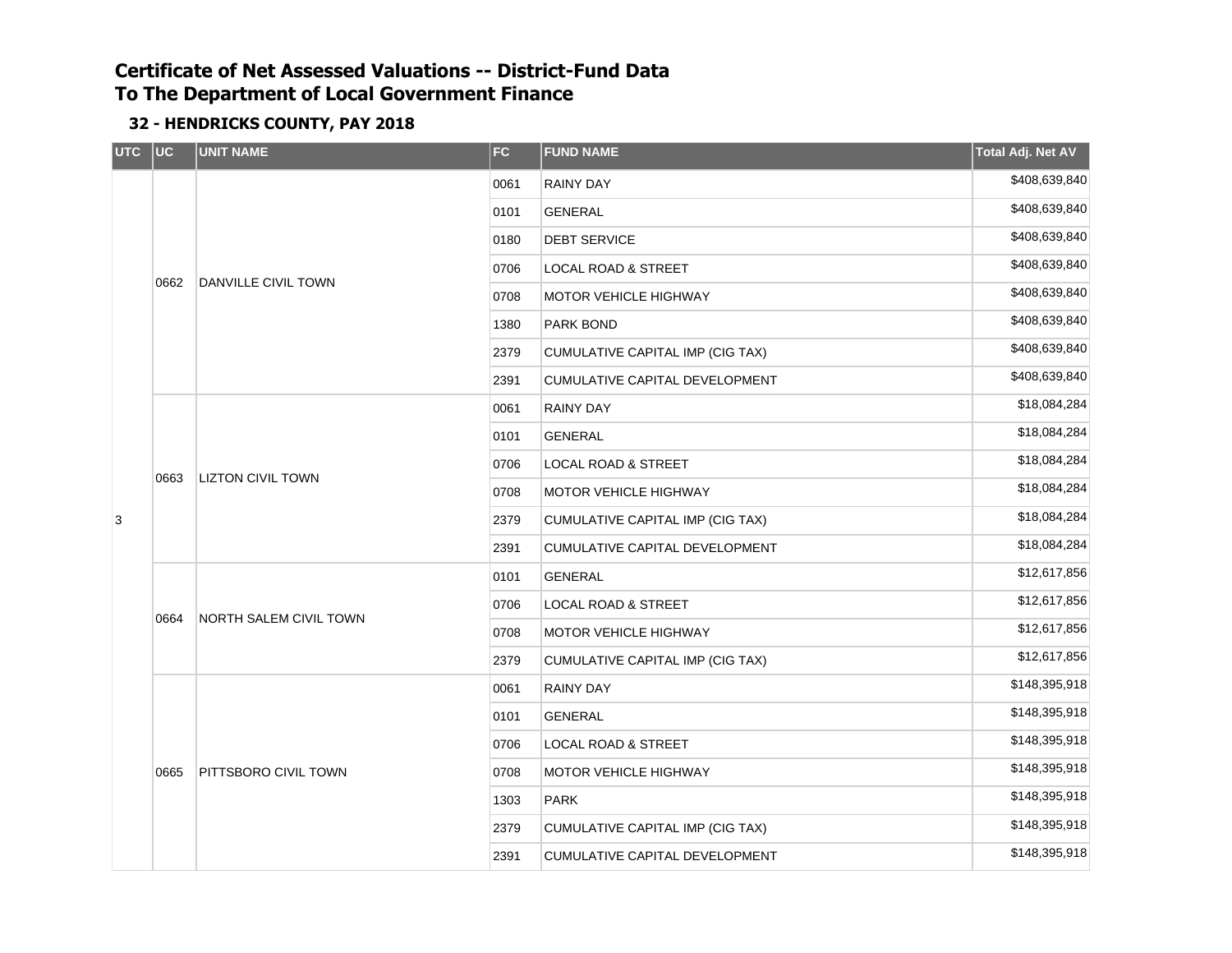| <b>UTC</b> | $ $ UC | <b>UNIT NAME</b>            | <b>FC</b> | <b>FUND NAME</b>                 | Total Adj. Net AV |
|------------|--------|-----------------------------|-----------|----------------------------------|-------------------|
|            |        |                             | 0061      | <b>RAINY DAY</b>                 | \$408,639,840     |
|            |        |                             | 0101      | GENERAL                          | \$408,639,840     |
|            |        |                             | 0180      | <b>DEBT SERVICE</b>              | \$408,639,840     |
|            |        |                             | 0706      | <b>LOCAL ROAD &amp; STREET</b>   | \$408,639,840     |
|            | 0662   | DANVILLE CIVIL TOWN         | 0708      | MOTOR VEHICLE HIGHWAY            | \$408,639,840     |
|            |        |                             | 1380      | PARK BOND                        | \$408,639,840     |
|            |        |                             | 2379      | CUMULATIVE CAPITAL IMP (CIG TAX) | \$408,639,840     |
|            |        |                             | 2391      | CUMULATIVE CAPITAL DEVELOPMENT   | \$408,639,840     |
|            |        |                             | 0061      | <b>RAINY DAY</b>                 | \$18,084,284      |
|            |        | <b>LIZTON CIVIL TOWN</b>    | 0101      | GENERAL                          | \$18,084,284      |
|            |        |                             | 0706      | LOCAL ROAD & STREET              | \$18,084,284      |
|            | 0663   |                             | 0708      | MOTOR VEHICLE HIGHWAY            | \$18,084,284      |
| 3          |        |                             | 2379      | CUMULATIVE CAPITAL IMP (CIG TAX) | \$18,084,284      |
|            |        |                             | 2391      | CUMULATIVE CAPITAL DEVELOPMENT   | \$18,084,284      |
|            |        |                             | 0101      | <b>GENERAL</b>                   | \$12,617,856      |
|            |        | NORTH SALEM CIVIL TOWN      | 0706      | <b>LOCAL ROAD &amp; STREET</b>   | \$12,617,856      |
|            | 0664   |                             | 0708      | MOTOR VEHICLE HIGHWAY            | \$12,617,856      |
|            |        |                             | 2379      | CUMULATIVE CAPITAL IMP (CIG TAX) | \$12,617,856      |
|            |        |                             | 0061      | <b>RAINY DAY</b>                 | \$148,395,918     |
|            |        |                             | 0101      | <b>GENERAL</b>                   | \$148,395,918     |
|            |        |                             | 0706      | <b>LOCAL ROAD &amp; STREET</b>   | \$148,395,918     |
|            | 0665   | <b>PITTSBORO CIVIL TOWN</b> | 0708      | <b>MOTOR VEHICLE HIGHWAY</b>     | \$148,395,918     |
|            |        |                             | 1303      | <b>PARK</b>                      | \$148,395,918     |
|            |        |                             | 2379      | CUMULATIVE CAPITAL IMP (CIG TAX) | \$148,395,918     |
|            |        |                             | 2391      | CUMULATIVE CAPITAL DEVELOPMENT   | \$148,395,918     |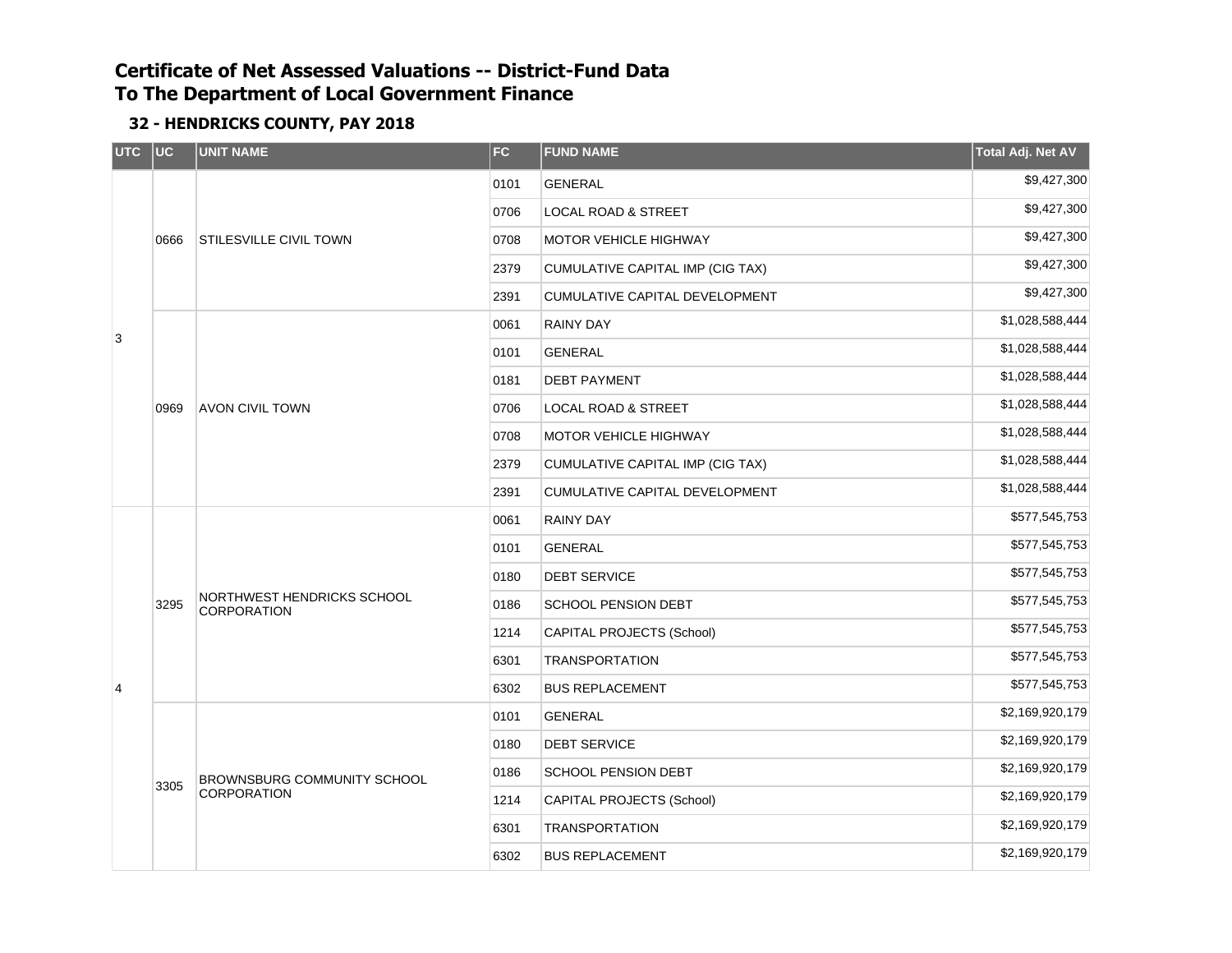| UTC | $ $ UC | <b>UNIT NAME</b>                                 | <b>FC</b> | <b>FUND NAME</b>                 | Total Adj. Net AV |
|-----|--------|--------------------------------------------------|-----------|----------------------------------|-------------------|
|     |        |                                                  | 0101      | <b>GENERAL</b>                   | \$9,427,300       |
|     |        | <b>STILESVILLE CIVIL TOWN</b>                    | 0706      | LOCAL ROAD & STREET              | \$9,427,300       |
|     | 0666   |                                                  | 0708      | <b>MOTOR VEHICLE HIGHWAY</b>     | \$9,427,300       |
|     |        |                                                  | 2379      | CUMULATIVE CAPITAL IMP (CIG TAX) | \$9,427,300       |
|     |        |                                                  | 2391      | CUMULATIVE CAPITAL DEVELOPMENT   | \$9,427,300       |
| 3   |        |                                                  | 0061      | RAINY DAY                        | \$1,028,588,444   |
|     |        |                                                  | 0101      | <b>GENERAL</b>                   | \$1,028,588,444   |
|     |        |                                                  | 0181      | <b>DEBT PAYMENT</b>              | \$1,028,588,444   |
|     | 0969   | <b>AVON CIVIL TOWN</b>                           | 0706      | LOCAL ROAD & STREET              | \$1,028,588,444   |
|     |        |                                                  | 0708      | <b>MOTOR VEHICLE HIGHWAY</b>     | \$1,028,588,444   |
|     |        |                                                  | 2379      | CUMULATIVE CAPITAL IMP (CIG TAX) | \$1,028,588,444   |
|     |        |                                                  | 2391      | CUMULATIVE CAPITAL DEVELOPMENT   | \$1,028,588,444   |
|     |        | NORTHWEST HENDRICKS SCHOOL<br><b>CORPORATION</b> | 0061      | <b>RAINY DAY</b>                 | \$577,545,753     |
|     |        |                                                  | 0101      | <b>GENERAL</b>                   | \$577,545,753     |
|     |        |                                                  | 0180      | <b>DEBT SERVICE</b>              | \$577,545,753     |
|     | 3295   |                                                  | 0186      | SCHOOL PENSION DEBT              | \$577,545,753     |
|     |        |                                                  | 1214      | CAPITAL PROJECTS (School)        | \$577,545,753     |
|     |        |                                                  | 6301      | <b>TRANSPORTATION</b>            | \$577,545,753     |
| 4   |        |                                                  | 6302      | <b>BUS REPLACEMENT</b>           | \$577,545,753     |
|     |        |                                                  | 0101      | <b>GENERAL</b>                   | \$2,169,920,179   |
|     |        |                                                  | 0180      | <b>DEBT SERVICE</b>              | \$2,169,920,179   |
|     |        | BROWNSBURG COMMUNITY SCHOOL                      | 0186      | SCHOOL PENSION DEBT              | \$2,169,920,179   |
|     | 3305   | CORPORATION                                      | 1214      | CAPITAL PROJECTS (School)        | \$2,169,920,179   |
|     |        |                                                  | 6301      | <b>TRANSPORTATION</b>            | \$2,169,920,179   |
|     |        |                                                  | 6302      | <b>BUS REPLACEMENT</b>           | \$2,169,920,179   |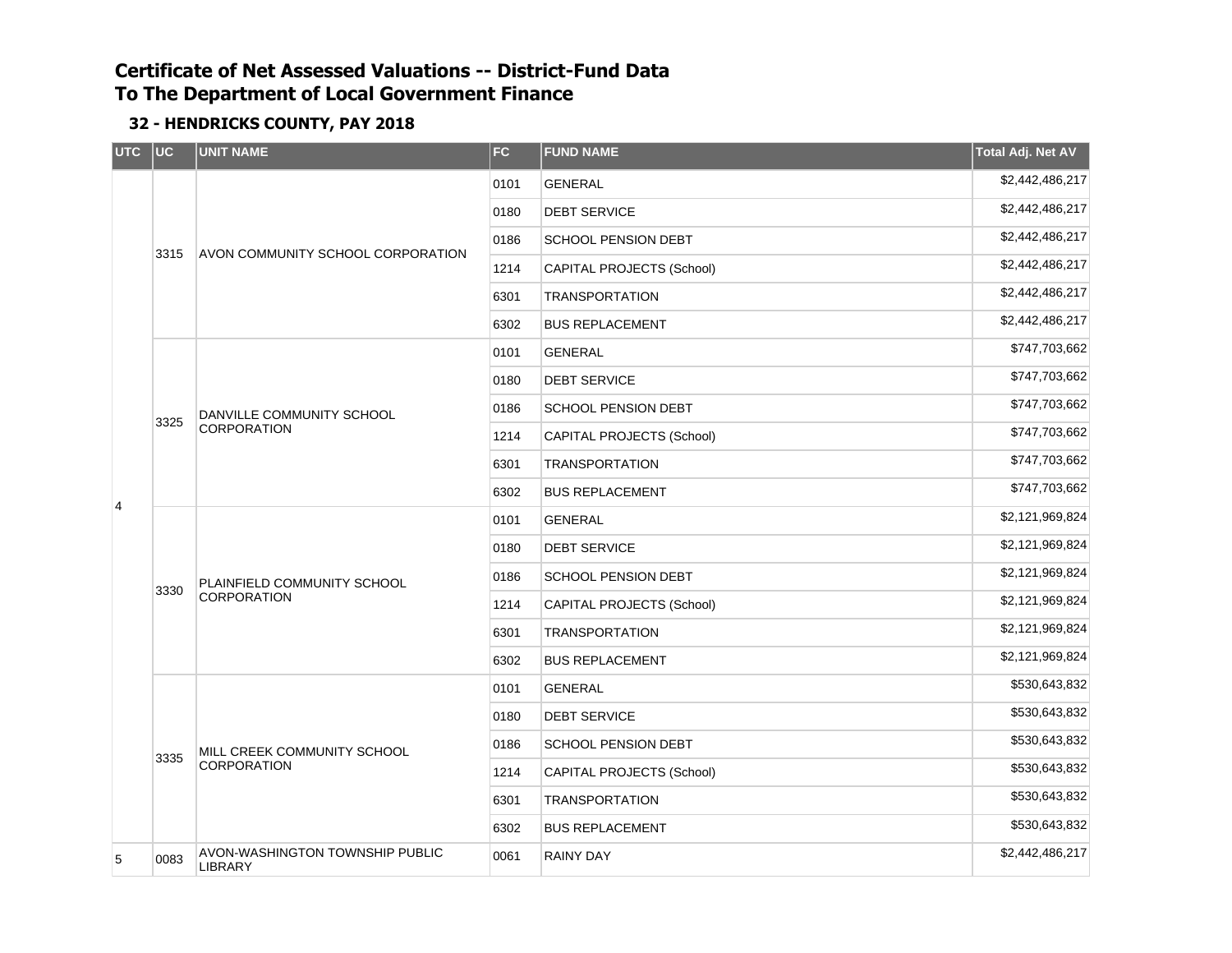| <b>UTC</b>     | uc   | <b>UNIT NAME</b>                                  | <b>FC</b> | <b>FUND NAME</b>                 | Total Adj. Net AV |
|----------------|------|---------------------------------------------------|-----------|----------------------------------|-------------------|
|                |      |                                                   | 0101      | <b>GENERAL</b>                   | \$2,442,486,217   |
|                |      |                                                   | 0180      | <b>DEBT SERVICE</b>              | \$2,442,486,217   |
|                | 3315 |                                                   | 0186      | <b>SCHOOL PENSION DEBT</b>       | \$2,442,486,217   |
|                |      | AVON COMMUNITY SCHOOL CORPORATION                 | 1214      | <b>CAPITAL PROJECTS (School)</b> | \$2,442,486,217   |
|                |      |                                                   | 6301      | <b>TRANSPORTATION</b>            | \$2,442,486,217   |
|                |      |                                                   | 6302      | <b>BUS REPLACEMENT</b>           | \$2,442,486,217   |
|                |      |                                                   | 0101      | <b>GENERAL</b>                   | \$747,703,662     |
|                | 3325 |                                                   | 0180      | <b>DEBT SERVICE</b>              | \$747,703,662     |
|                |      | DANVILLE COMMUNITY SCHOOL<br>CORPORATION          | 0186      | <b>SCHOOL PENSION DEBT</b>       | \$747,703,662     |
|                |      |                                                   | 1214      | CAPITAL PROJECTS (School)        | \$747,703,662     |
|                |      |                                                   | 6301      | <b>TRANSPORTATION</b>            | \$747,703,662     |
| $\overline{4}$ |      |                                                   | 6302      | <b>BUS REPLACEMENT</b>           | \$747,703,662     |
|                |      | PLAINFIELD COMMUNITY SCHOOL<br><b>CORPORATION</b> | 0101      | <b>GENERAL</b>                   | \$2,121,969,824   |
|                |      |                                                   | 0180      | <b>DEBT SERVICE</b>              | \$2,121,969,824   |
|                | 3330 |                                                   | 0186      | <b>SCHOOL PENSION DEBT</b>       | \$2,121,969,824   |
|                |      |                                                   | 1214      | CAPITAL PROJECTS (School)        | \$2,121,969,824   |
|                |      |                                                   | 6301      | <b>TRANSPORTATION</b>            | \$2,121,969,824   |
|                |      |                                                   | 6302      | <b>BUS REPLACEMENT</b>           | \$2,121,969,824   |
|                |      |                                                   | 0101      | <b>GENERAL</b>                   | \$530,643,832     |
|                |      |                                                   | 0180      | <b>DEBT SERVICE</b>              | \$530,643,832     |
|                | 3335 | MILL CREEK COMMUNITY SCHOOL                       | 0186      | <b>SCHOOL PENSION DEBT</b>       | \$530,643,832     |
|                |      | CORPORATION                                       | 1214      | CAPITAL PROJECTS (School)        | \$530,643,832     |
|                |      |                                                   | 6301      | <b>TRANSPORTATION</b>            | \$530,643,832     |
|                |      |                                                   | 6302      | <b>BUS REPLACEMENT</b>           | \$530,643,832     |
| 5              | 0083 | AVON-WASHINGTON TOWNSHIP PUBLIC<br>LIBRARY        | 0061      | RAINY DAY                        | \$2,442,486,217   |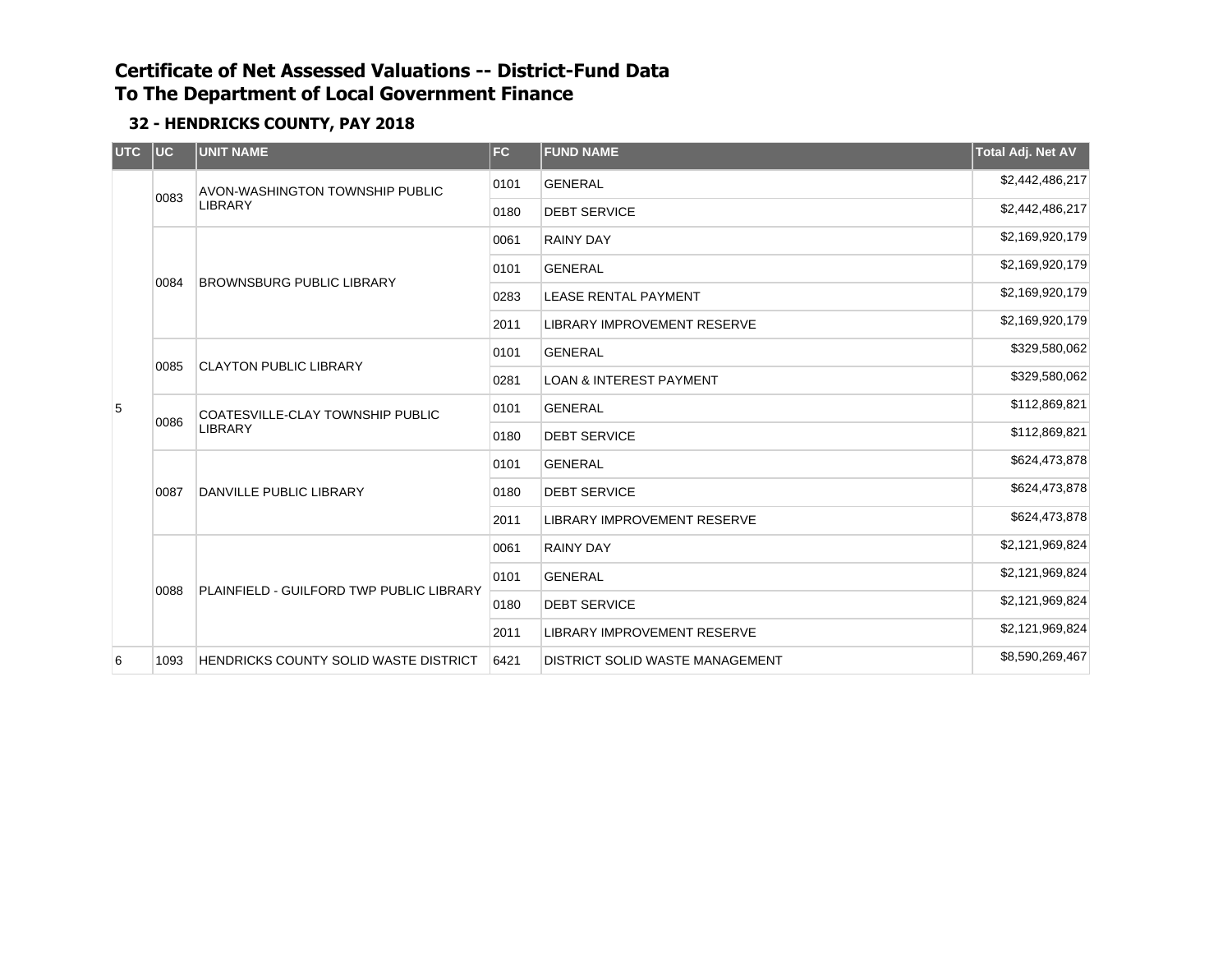| UTC UC |      | <b>UNIT NAME</b>                                   | FC                                 | <b>FUND NAME</b>                   | Total Adj. Net AV |
|--------|------|----------------------------------------------------|------------------------------------|------------------------------------|-------------------|
|        | 0083 | <b>AVON-WASHINGTON TOWNSHIP PUBLIC</b>             | 0101                               | <b>GENERAL</b>                     | \$2,442,486,217   |
|        |      | <b>LIBRARY</b>                                     | 0180                               | <b>DEBT SERVICE</b>                | \$2,442,486,217   |
|        |      |                                                    | 0061                               | <b>RAINY DAY</b>                   | \$2,169,920,179   |
|        | 0084 | <b>BROWNSBURG PUBLIC LIBRARY</b>                   | 0101                               | <b>GENERAL</b>                     | \$2,169,920,179   |
|        |      |                                                    | 0283                               | <b>LEASE RENTAL PAYMENT</b>        | \$2,169,920,179   |
|        |      |                                                    | 2011                               | <b>LIBRARY IMPROVEMENT RESERVE</b> | \$2,169,920,179   |
|        | 0085 | <b>CLAYTON PUBLIC LIBRARY</b>                      | 0101                               | <b>GENERAL</b>                     | \$329,580,062     |
|        | 0281 |                                                    | <b>LOAN &amp; INTEREST PAYMENT</b> | \$329,580,062                      |                   |
| 5      | 0086 | COATESVILLE-CLAY TOWNSHIP PUBLIC<br><b>LIBRARY</b> | 0101                               | <b>GENERAL</b>                     | \$112,869,821     |
|        |      |                                                    | 0180                               | <b>DEBT SERVICE</b>                | \$112,869,821     |
|        |      | DANVILLE PUBLIC LIBRARY                            | 0101                               | <b>GENERAL</b>                     | \$624,473,878     |
|        | 0087 |                                                    | 0180                               | <b>DEBT SERVICE</b>                | \$624,473,878     |
|        |      |                                                    | 2011                               | <b>LIBRARY IMPROVEMENT RESERVE</b> | \$624,473,878     |
|        |      |                                                    | 0061                               | <b>RAINY DAY</b>                   | \$2,121,969,824   |
|        | 0088 | PLAINFIELD - GUILFORD TWP PUBLIC LIBRARY           | 0101                               | <b>GENERAL</b>                     | \$2,121,969,824   |
|        |      |                                                    | 0180                               | <b>DEBT SERVICE</b>                | \$2,121,969,824   |
|        |      |                                                    | 2011                               | <b>LIBRARY IMPROVEMENT RESERVE</b> | \$2,121,969,824   |
| 6      | 1093 | <b>HENDRICKS COUNTY SOLID WASTE DISTRICT</b>       | 6421                               | DISTRICT SOLID WASTE MANAGEMENT    | \$8,590,269,467   |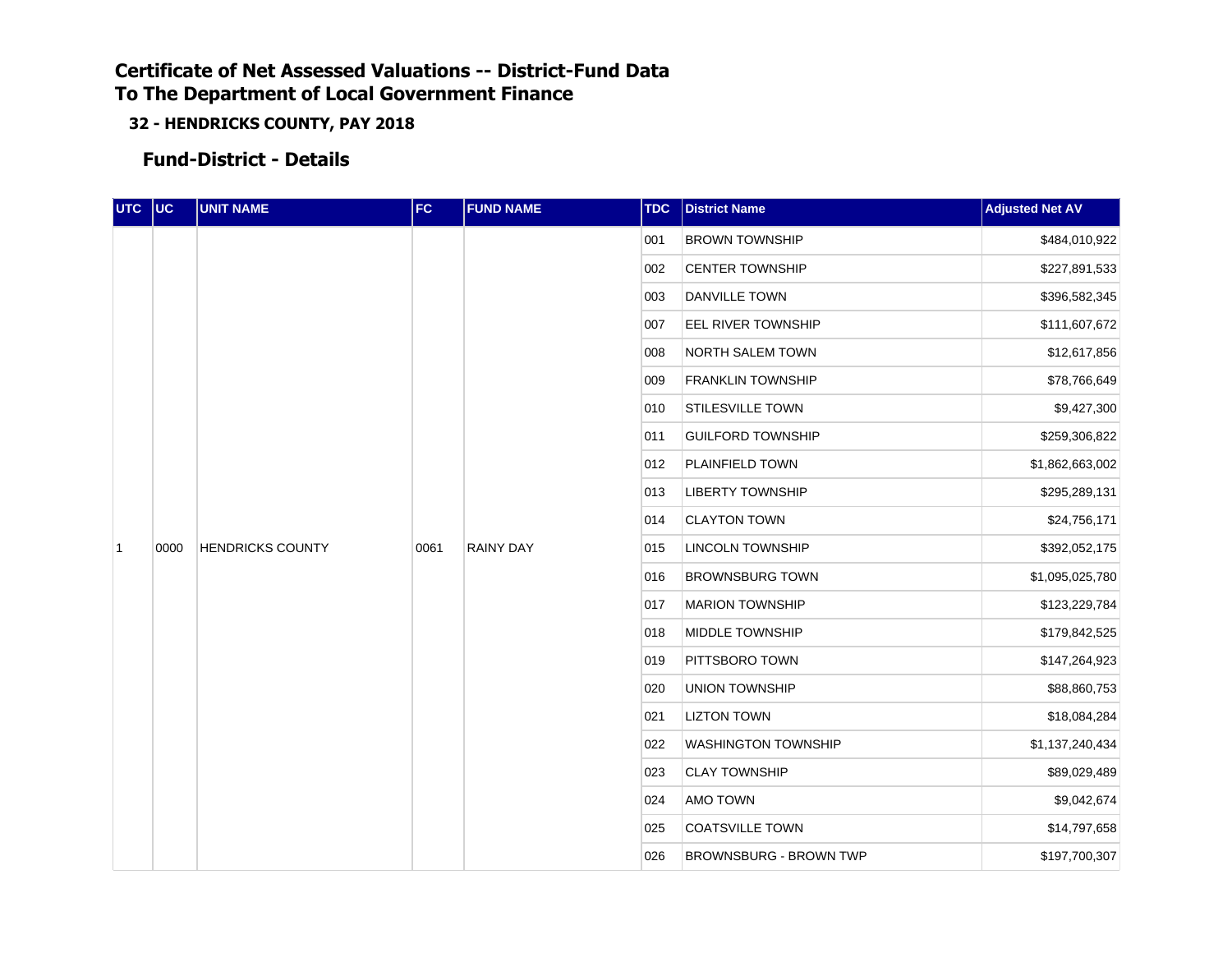**32 - HENDRICKS COUNTY, PAY 2018**

**Fund-District - Details**

| UTC UC         |      | <b>UNIT NAME</b>        | FC   | <b>FUND NAME</b> | <b>TDC</b> | <b>District Name</b>          | <b>Adjusted Net AV</b>        |     |                       |               |
|----------------|------|-------------------------|------|------------------|------------|-------------------------------|-------------------------------|-----|-----------------------|---------------|
|                |      |                         |      |                  |            |                               |                               | 001 | <b>BROWN TOWNSHIP</b> | \$484,010,922 |
|                |      |                         |      |                  | 002        | <b>CENTER TOWNSHIP</b>        | \$227,891,533                 |     |                       |               |
|                |      |                         |      |                  | 003        | <b>DANVILLE TOWN</b>          | \$396,582,345                 |     |                       |               |
|                |      |                         |      |                  | 007        | EEL RIVER TOWNSHIP            | \$111,607,672                 |     |                       |               |
|                |      |                         |      |                  | 008        | <b>NORTH SALEM TOWN</b>       | \$12,617,856                  |     |                       |               |
|                |      |                         |      |                  | 009        | <b>FRANKLIN TOWNSHIP</b>      | \$78,766,649                  |     |                       |               |
|                |      |                         |      |                  | 010        | <b>STILESVILLE TOWN</b>       | \$9,427,300                   |     |                       |               |
|                |      |                         |      |                  | 011        | <b>GUILFORD TOWNSHIP</b>      | \$259,306,822                 |     |                       |               |
|                |      |                         |      |                  | 012        | <b>PLAINFIELD TOWN</b>        | \$1,862,663,002               |     |                       |               |
|                |      |                         |      |                  | 013        | <b>LIBERTY TOWNSHIP</b>       | \$295,289,131                 |     |                       |               |
|                |      |                         |      |                  | 014        | <b>CLAYTON TOWN</b>           | \$24,756,171                  |     |                       |               |
| $\overline{1}$ | 0000 | <b>HENDRICKS COUNTY</b> | 0061 | <b>RAINY DAY</b> | 015        | <b>LINCOLN TOWNSHIP</b>       | \$392,052,175                 |     |                       |               |
|                |      |                         |      |                  | 016        | <b>BROWNSBURG TOWN</b>        | \$1,095,025,780               |     |                       |               |
|                |      |                         |      |                  | 017        | <b>MARION TOWNSHIP</b>        | \$123,229,784                 |     |                       |               |
|                |      |                         |      |                  | 018        | <b>MIDDLE TOWNSHIP</b>        | \$179,842,525                 |     |                       |               |
|                |      |                         |      |                  | 019        | PITTSBORO TOWN                | \$147,264,923                 |     |                       |               |
|                |      |                         |      |                  | 020        | <b>UNION TOWNSHIP</b>         | \$88,860,753                  |     |                       |               |
|                |      |                         |      |                  | 021        | <b>LIZTON TOWN</b>            | \$18,084,284                  |     |                       |               |
|                |      |                         |      |                  | 022        | <b>WASHINGTON TOWNSHIP</b>    | \$1,137,240,434               |     |                       |               |
|                |      |                         |      |                  | 023        | <b>CLAY TOWNSHIP</b>          | \$89,029,489                  |     |                       |               |
|                |      |                         |      |                  | 024        | <b>AMO TOWN</b>               | \$9,042,674                   |     |                       |               |
|                |      |                         |      |                  | 025        | <b>COATSVILLE TOWN</b>        | \$14,797,658<br>\$197,700,307 |     |                       |               |
|                |      |                         |      |                  | 026        | <b>BROWNSBURG - BROWN TWP</b> |                               |     |                       |               |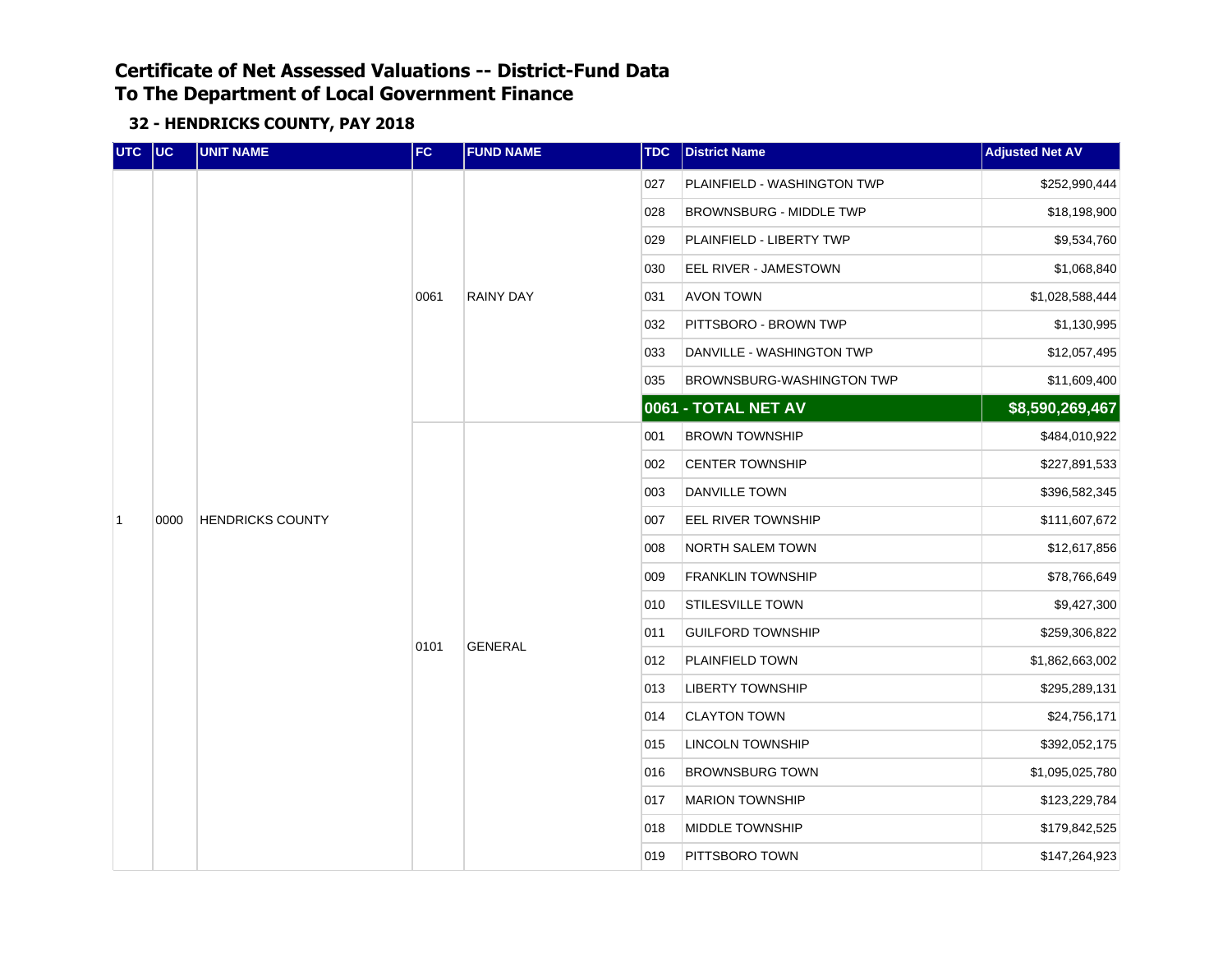| UTC UC         |      | <b>UNIT NAME</b>        | FC   | <b>FUND NAME</b> | <b>TDC</b> | <b>District Name</b>           | <b>Adjusted Net AV</b>                                                                                                                                                                                                                                                                                                  |
|----------------|------|-------------------------|------|------------------|------------|--------------------------------|-------------------------------------------------------------------------------------------------------------------------------------------------------------------------------------------------------------------------------------------------------------------------------------------------------------------------|
|                |      |                         |      |                  | 027        | PLAINFIELD - WASHINGTON TWP    | \$252,990,444                                                                                                                                                                                                                                                                                                           |
|                |      |                         |      |                  | 028        | <b>BROWNSBURG - MIDDLE TWP</b> | \$18,198,900<br>\$9,534,760<br>\$1,068,840<br>\$1,028,588,444<br>\$1,130,995<br>\$12,057,495<br>\$11,609,400<br>\$8,590,269,467<br>\$484,010,922<br>\$227,891,533<br>\$396,582,345<br>\$111,607,672<br>\$12,617,856<br>\$78,766,649<br>\$9,427,300<br>\$259,306,822<br>\$1,862,663,002<br>\$295,289,131<br>\$24,756,171 |
|                |      |                         |      |                  | 029        | PLAINFIELD - LIBERTY TWP       |                                                                                                                                                                                                                                                                                                                         |
|                |      |                         |      |                  | 030        | EEL RIVER - JAMESTOWN          |                                                                                                                                                                                                                                                                                                                         |
|                |      |                         | 0061 | <b>RAINY DAY</b> | 031        | <b>AVON TOWN</b>               |                                                                                                                                                                                                                                                                                                                         |
|                |      |                         |      |                  | 032        | PITTSBORO - BROWN TWP          |                                                                                                                                                                                                                                                                                                                         |
|                |      |                         |      |                  | 033        | DANVILLE - WASHINGTON TWP      |                                                                                                                                                                                                                                                                                                                         |
|                |      |                         |      |                  | 035        | BROWNSBURG-WASHINGTON TWP      |                                                                                                                                                                                                                                                                                                                         |
|                |      |                         |      |                  |            | 0061 - TOTAL NET AV            |                                                                                                                                                                                                                                                                                                                         |
|                |      | <b>HENDRICKS COUNTY</b> |      |                  | 001        | <b>BROWN TOWNSHIP</b>          |                                                                                                                                                                                                                                                                                                                         |
|                |      |                         |      |                  | 002        | <b>CENTER TOWNSHIP</b>         |                                                                                                                                                                                                                                                                                                                         |
|                |      |                         |      |                  | 003        | <b>DANVILLE TOWN</b>           |                                                                                                                                                                                                                                                                                                                         |
| $\overline{1}$ | 0000 |                         |      |                  | 007        | <b>EEL RIVER TOWNSHIP</b>      |                                                                                                                                                                                                                                                                                                                         |
|                |      |                         |      |                  | 008        | <b>NORTH SALEM TOWN</b>        |                                                                                                                                                                                                                                                                                                                         |
|                |      |                         |      |                  | 009        | <b>FRANKLIN TOWNSHIP</b>       |                                                                                                                                                                                                                                                                                                                         |
|                |      |                         |      |                  | 010        | STILESVILLE TOWN               |                                                                                                                                                                                                                                                                                                                         |
|                |      |                         | 0101 | <b>GENERAL</b>   | 011        | <b>GUILFORD TOWNSHIP</b>       |                                                                                                                                                                                                                                                                                                                         |
|                |      |                         |      |                  | 012        | PLAINFIELD TOWN                |                                                                                                                                                                                                                                                                                                                         |
|                |      |                         |      |                  | 013        | <b>LIBERTY TOWNSHIP</b>        |                                                                                                                                                                                                                                                                                                                         |
|                |      |                         |      |                  | 014        | <b>CLAYTON TOWN</b>            |                                                                                                                                                                                                                                                                                                                         |
|                |      |                         |      |                  | 015        | <b>LINCOLN TOWNSHIP</b>        | \$392,052,175<br>\$1,095,025,780<br>\$123,229,784<br>\$179,842,525<br>\$147,264,923                                                                                                                                                                                                                                     |
|                |      |                         |      |                  | 016        | <b>BROWNSBURG TOWN</b>         |                                                                                                                                                                                                                                                                                                                         |
|                |      |                         |      |                  | 017        | <b>MARION TOWNSHIP</b>         |                                                                                                                                                                                                                                                                                                                         |
|                |      |                         |      |                  | 018        | MIDDLE TOWNSHIP                |                                                                                                                                                                                                                                                                                                                         |
|                |      |                         |      |                  | 019        | PITTSBORO TOWN                 |                                                                                                                                                                                                                                                                                                                         |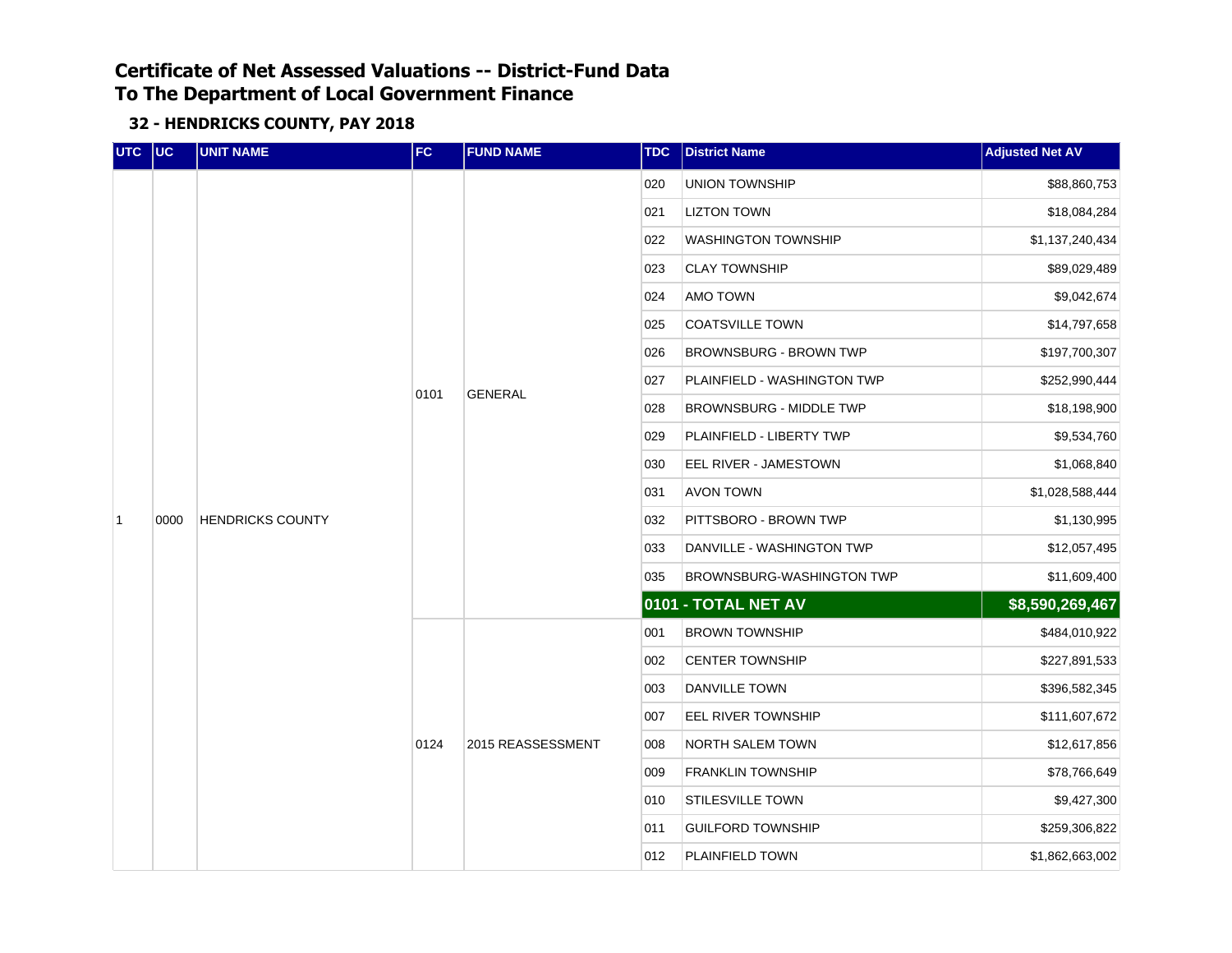| UTC UC |      | <b>UNIT NAME</b>        | FC   | <b>FUND NAME</b>  | <b>TDC</b> | <b>District Name</b>           | <b>Adjusted Net AV</b>       |  |  |  |
|--------|------|-------------------------|------|-------------------|------------|--------------------------------|------------------------------|--|--|--|
|        |      |                         |      |                   | 020        | <b>UNION TOWNSHIP</b>          | \$88,860,753                 |  |  |  |
|        |      |                         |      |                   | 021        | <b>LIZTON TOWN</b>             | \$18,084,284                 |  |  |  |
|        |      |                         |      |                   | 022        | <b>WASHINGTON TOWNSHIP</b>     | \$1,137,240,434              |  |  |  |
|        |      |                         |      |                   | 023        | <b>CLAY TOWNSHIP</b>           | \$89,029,489                 |  |  |  |
|        |      |                         |      |                   | 024        | AMO TOWN                       | \$9,042,674                  |  |  |  |
|        |      |                         |      |                   | 025        | <b>COATSVILLE TOWN</b>         | \$14,797,658                 |  |  |  |
|        |      |                         |      |                   | 026        | <b>BROWNSBURG - BROWN TWP</b>  | \$197,700,307                |  |  |  |
|        |      |                         |      | <b>GENERAL</b>    | 027        | PLAINFIELD - WASHINGTON TWP    | \$252,990,444                |  |  |  |
|        |      | <b>HENDRICKS COUNTY</b> | 0101 |                   | 028        | <b>BROWNSBURG - MIDDLE TWP</b> | \$18,198,900                 |  |  |  |
|        |      |                         |      |                   | 029        | PLAINFIELD - LIBERTY TWP       | \$9,534,760                  |  |  |  |
|        |      |                         |      |                   | 030        | EEL RIVER - JAMESTOWN          | \$1,068,840                  |  |  |  |
|        |      |                         |      |                   | 031        | <b>AVON TOWN</b>               | \$1,028,588,444              |  |  |  |
| 1      | 0000 |                         |      |                   | 032        | PITTSBORO - BROWN TWP          | \$1,130,995                  |  |  |  |
|        |      |                         |      |                   | 033        | DANVILLE - WASHINGTON TWP      |                              |  |  |  |
|        |      |                         |      |                   | 035        | BROWNSBURG-WASHINGTON TWP      | \$12,057,495<br>\$11,609,400 |  |  |  |
|        |      |                         |      |                   |            | 0101 - TOTAL NET AV            | \$8,590,269,467              |  |  |  |
|        |      |                         |      |                   | 001        | <b>BROWN TOWNSHIP</b>          | \$484,010,922                |  |  |  |
|        |      |                         |      |                   | 002        | <b>CENTER TOWNSHIP</b>         | \$227,891,533                |  |  |  |
|        |      |                         |      |                   | 003        | <b>DANVILLE TOWN</b>           | \$396,582,345                |  |  |  |
|        |      |                         |      |                   | 007        | EEL RIVER TOWNSHIP             | \$111,607,672                |  |  |  |
|        |      |                         | 0124 | 2015 REASSESSMENT | 008        | <b>NORTH SALEM TOWN</b>        | \$12,617,856                 |  |  |  |
|        |      |                         |      |                   | 009        | <b>FRANKLIN TOWNSHIP</b>       | \$78,766,649                 |  |  |  |
|        |      |                         |      |                   | 010        | <b>STILESVILLE TOWN</b>        | \$9,427,300                  |  |  |  |
|        |      |                         |      |                   | 011        | <b>GUILFORD TOWNSHIP</b>       | \$259,306,822                |  |  |  |
|        |      |                         |      |                   | 012        | PLAINFIELD TOWN                | \$1,862,663,002              |  |  |  |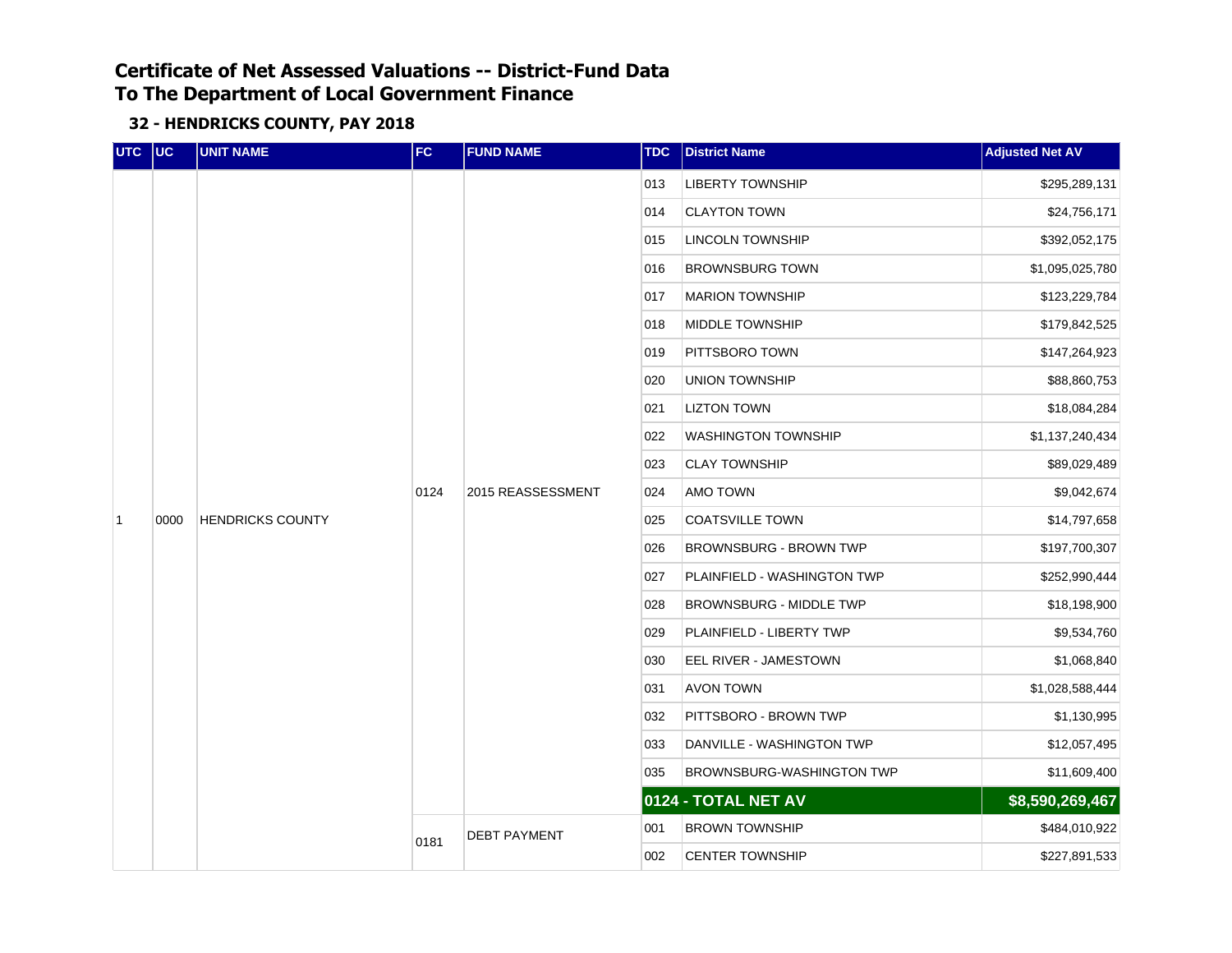| UTC UC         |      | <b>UNIT NAME</b>        | FC   | <b>FUND NAME</b>    | <b>TDC</b> | <b>District Name</b>          | <b>Adjusted Net AV</b> |     |                        |                 |
|----------------|------|-------------------------|------|---------------------|------------|-------------------------------|------------------------|-----|------------------------|-----------------|
|                |      |                         |      |                     | 013        | <b>LIBERTY TOWNSHIP</b>       | \$295,289,131          |     |                        |                 |
|                |      |                         |      |                     | 014        | <b>CLAYTON TOWN</b>           | \$24,756,171           |     |                        |                 |
|                |      |                         |      |                     | 015        | <b>LINCOLN TOWNSHIP</b>       | \$392,052,175          |     |                        |                 |
|                |      |                         |      |                     |            |                               |                        | 016 | <b>BROWNSBURG TOWN</b> | \$1,095,025,780 |
|                |      |                         |      |                     | 017        | <b>MARION TOWNSHIP</b>        | \$123,229,784          |     |                        |                 |
|                |      |                         |      |                     | 018        | MIDDLE TOWNSHIP               | \$179,842,525          |     |                        |                 |
|                |      |                         |      |                     | 019        | PITTSBORO TOWN                | \$147,264,923          |     |                        |                 |
|                |      | <b>HENDRICKS COUNTY</b> |      |                     | 020        | <b>UNION TOWNSHIP</b>         | \$88,860,753           |     |                        |                 |
|                |      |                         |      | 2015 REASSESSMENT   | 021        | <b>LIZTON TOWN</b>            | \$18,084,284           |     |                        |                 |
|                |      |                         | 0124 |                     | 022        | <b>WASHINGTON TOWNSHIP</b>    | \$1,137,240,434        |     |                        |                 |
|                |      |                         |      |                     | 023        | <b>CLAY TOWNSHIP</b>          | \$89,029,489           |     |                        |                 |
|                |      |                         |      |                     | 024        | <b>AMO TOWN</b>               | \$9,042,674            |     |                        |                 |
| $\overline{1}$ | 0000 |                         |      |                     | 025        | <b>COATSVILLE TOWN</b>        | \$14,797,658           |     |                        |                 |
|                |      |                         |      |                     | 026        | <b>BROWNSBURG - BROWN TWP</b> | \$197,700,307          |     |                        |                 |
|                |      |                         |      |                     | 027        | PLAINFIELD - WASHINGTON TWP   | \$252,990,444          |     |                        |                 |
|                |      |                         |      |                     | 028        | BROWNSBURG - MIDDLE TWP       | \$18,198,900           |     |                        |                 |
|                |      |                         |      |                     | 029        | PLAINFIELD - LIBERTY TWP      | \$9,534,760            |     |                        |                 |
|                |      |                         |      |                     | 030        | EEL RIVER - JAMESTOWN         | \$1,068,840            |     |                        |                 |
|                |      |                         |      |                     | 031        | <b>AVON TOWN</b>              | \$1,028,588,444        |     |                        |                 |
|                |      |                         |      |                     | 032        | PITTSBORO - BROWN TWP         | \$1,130,995            |     |                        |                 |
|                |      |                         |      |                     | 033        | DANVILLE - WASHINGTON TWP     | \$12,057,495           |     |                        |                 |
|                |      |                         |      |                     | 035        | BROWNSBURG-WASHINGTON TWP     | \$11,609,400           |     |                        |                 |
|                |      |                         |      |                     |            | 0124 - TOTAL NET AV           | \$8,590,269,467        |     |                        |                 |
|                |      |                         |      | <b>DEBT PAYMENT</b> | 001        | <b>BROWN TOWNSHIP</b>         | \$484,010,922          |     |                        |                 |
|                |      |                         | 0181 |                     | 002        | <b>CENTER TOWNSHIP</b>        | \$227,891,533          |     |                        |                 |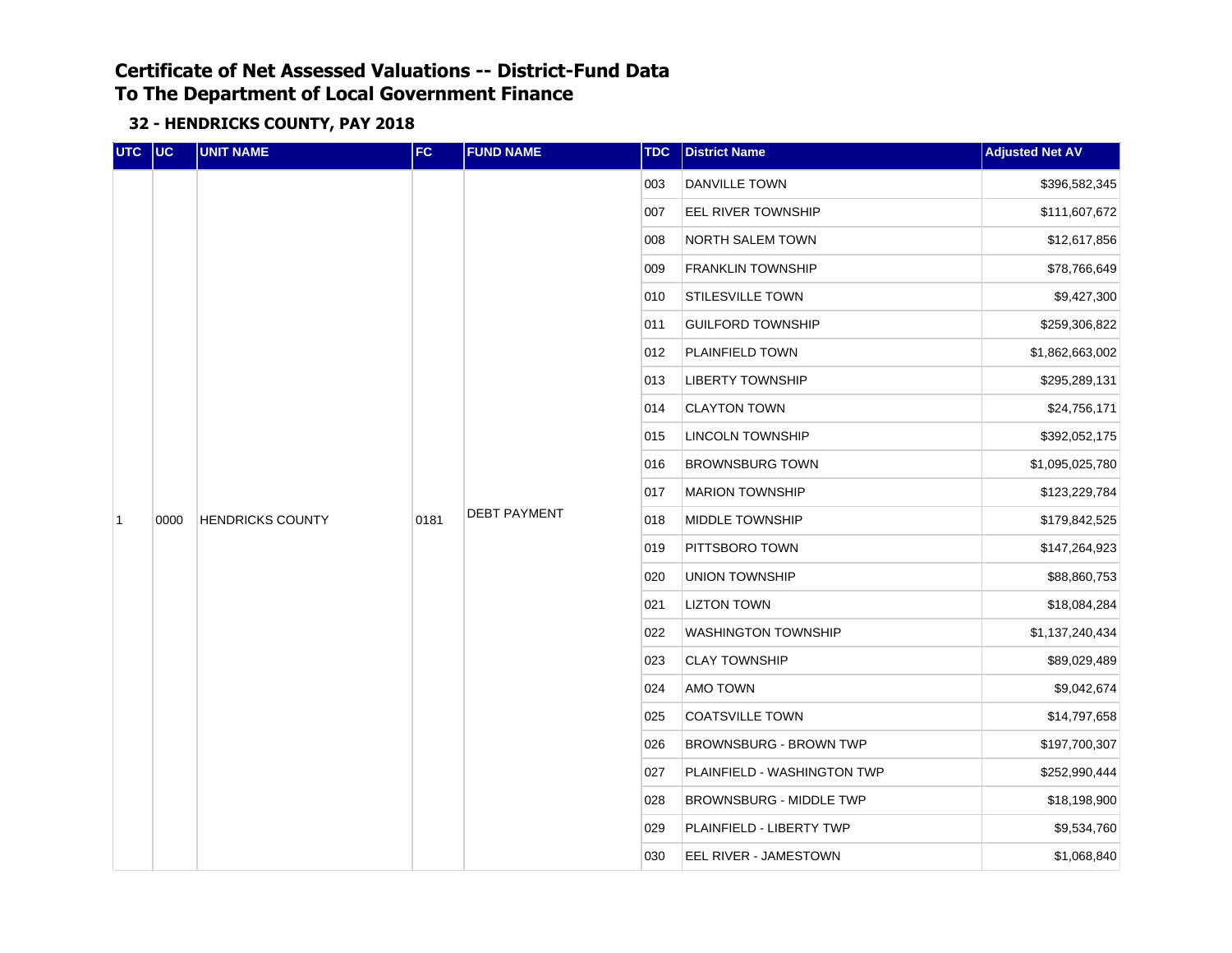| UTC UC         |      | <b>UNIT NAME</b>        | FC   | <b>FUND NAME</b>    | <b>TDC</b> | <b>District Name</b>           | <b>Adjusted Net AV</b>   |
|----------------|------|-------------------------|------|---------------------|------------|--------------------------------|--------------------------|
|                |      |                         |      |                     | 003        | DANVILLE TOWN                  | \$396,582,345            |
|                |      |                         |      |                     | 007        | <b>EEL RIVER TOWNSHIP</b>      | \$111,607,672            |
|                |      |                         |      |                     | 008        | <b>NORTH SALEM TOWN</b>        | \$12,617,856             |
|                |      |                         |      |                     |            | 009                            | <b>FRANKLIN TOWNSHIP</b> |
|                |      |                         |      |                     | 010        | STILESVILLE TOWN               | \$9,427,300              |
|                |      |                         |      |                     | 011        | <b>GUILFORD TOWNSHIP</b>       | \$259,306,822            |
|                |      |                         |      |                     | 012        | PLAINFIELD TOWN                | \$1,862,663,002          |
|                |      |                         |      |                     | 013        | <b>LIBERTY TOWNSHIP</b>        | \$295,289,131            |
|                |      | <b>HENDRICKS COUNTY</b> |      | <b>DEBT PAYMENT</b> | 014        | <b>CLAYTON TOWN</b>            | \$24,756,171             |
|                |      |                         | 0181 |                     | 015        | <b>LINCOLN TOWNSHIP</b>        | \$392,052,175            |
|                |      |                         |      |                     | 016        | <b>BROWNSBURG TOWN</b>         | \$1,095,025,780          |
|                |      |                         |      |                     | 017        | <b>MARION TOWNSHIP</b>         | \$123,229,784            |
| $\overline{1}$ | 0000 |                         |      |                     | 018        | MIDDLE TOWNSHIP                | \$179,842,525            |
|                |      |                         |      |                     | 019        | PITTSBORO TOWN                 | \$147,264,923            |
|                |      |                         |      |                     | 020        | UNION TOWNSHIP                 | \$88,860,753             |
|                |      |                         |      |                     | 021        | <b>LIZTON TOWN</b>             | \$18,084,284             |
|                |      |                         |      |                     | 022        | <b>WASHINGTON TOWNSHIP</b>     | \$1,137,240,434          |
|                |      |                         |      |                     | 023        | <b>CLAY TOWNSHIP</b>           | \$89,029,489             |
|                |      |                         |      |                     | 024        | AMO TOWN                       | \$9,042,674              |
|                |      |                         |      |                     | 025        | <b>COATSVILLE TOWN</b>         | \$14,797,658             |
|                |      |                         |      |                     | 026        | <b>BROWNSBURG - BROWN TWP</b>  | \$197,700,307            |
|                |      |                         |      |                     | 027        | PLAINFIELD - WASHINGTON TWP    | \$252,990,444            |
|                |      |                         |      |                     | 028        | <b>BROWNSBURG - MIDDLE TWP</b> | \$18,198,900             |
|                |      |                         |      |                     | 029        | PLAINFIELD - LIBERTY TWP       | \$9,534,760              |
|                |      |                         |      |                     | 030        | EEL RIVER - JAMESTOWN          | \$1,068,840              |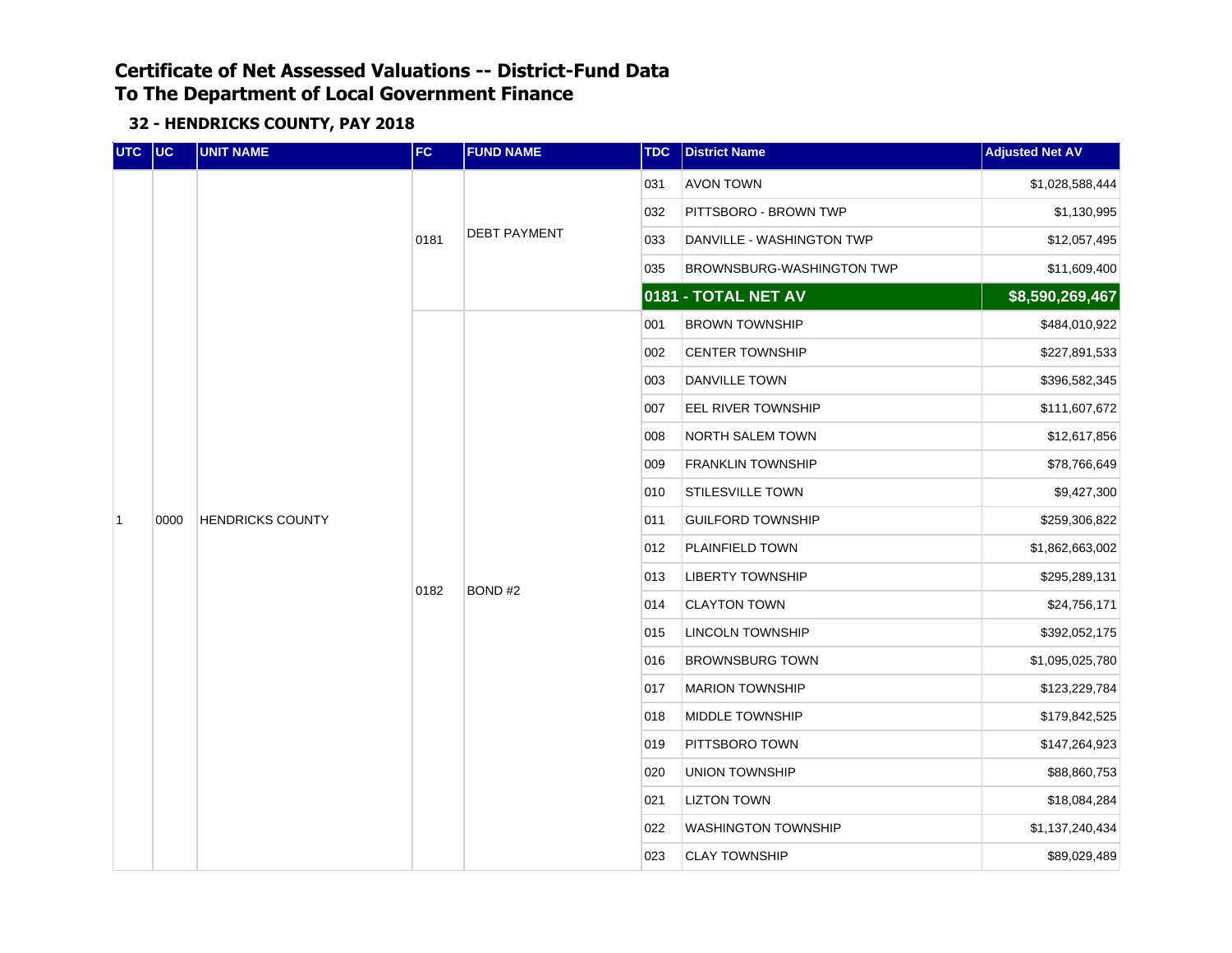| UTC UC         |      | <b>UNIT NAME</b>        | FC   | <b>FUND NAME</b>    | <b>TDC</b> | <b>District Name</b>       | <b>Adjusted Net AV</b> |
|----------------|------|-------------------------|------|---------------------|------------|----------------------------|------------------------|
|                |      |                         |      |                     | 031        | <b>AVON TOWN</b>           | \$1,028,588,444        |
|                |      |                         |      |                     | 032        | PITTSBORO - BROWN TWP      | \$1,130,995            |
|                |      |                         | 0181 | <b>DEBT PAYMENT</b> | 033        | DANVILLE - WASHINGTON TWP  | \$12,057,495           |
|                |      |                         |      |                     | 035        | BROWNSBURG-WASHINGTON TWP  | \$11,609,400           |
|                |      |                         |      |                     |            | 0181 - TOTAL NET AV        | \$8,590,269,467        |
|                |      |                         |      |                     | 001        | <b>BROWN TOWNSHIP</b>      | \$484,010,922          |
|                |      |                         |      |                     | 002        | <b>CENTER TOWNSHIP</b>     | \$227,891,533          |
|                |      |                         |      |                     | 003        | DANVILLE TOWN              | \$396,582,345          |
|                |      | <b>HENDRICKS COUNTY</b> |      |                     | 007        | EEL RIVER TOWNSHIP         | \$111,607,672          |
|                |      |                         |      | BOND#2              | 008        | <b>NORTH SALEM TOWN</b>    | \$12,617,856           |
|                |      |                         |      |                     | 009        | <b>FRANKLIN TOWNSHIP</b>   | \$78,766,649           |
|                |      |                         |      |                     | 010        | STILESVILLE TOWN           | \$9,427,300            |
| $\overline{1}$ | 0000 |                         |      |                     | 011        | <b>GUILFORD TOWNSHIP</b>   | \$259,306,822          |
|                |      |                         |      |                     | 012        | PLAINFIELD TOWN            | \$1,862,663,002        |
|                |      |                         |      |                     | 013        | <b>LIBERTY TOWNSHIP</b>    | \$295,289,131          |
|                |      |                         | 0182 |                     | 014        | <b>CLAYTON TOWN</b>        | \$24,756,171           |
|                |      |                         |      |                     | 015        | <b>LINCOLN TOWNSHIP</b>    | \$392,052,175          |
|                |      |                         |      |                     | 016        | <b>BROWNSBURG TOWN</b>     | \$1,095,025,780        |
|                |      |                         |      |                     | 017        | <b>MARION TOWNSHIP</b>     | \$123,229,784          |
|                |      |                         |      |                     | 018        | MIDDLE TOWNSHIP            | \$179,842,525          |
|                |      |                         |      |                     | 019        | PITTSBORO TOWN             | \$147,264,923          |
|                |      |                         |      |                     | 020        | UNION TOWNSHIP             | \$88,860,753           |
|                |      |                         |      |                     | 021        | <b>LIZTON TOWN</b>         | \$18,084,284           |
|                |      |                         |      |                     | 022        | <b>WASHINGTON TOWNSHIP</b> | \$1,137,240,434        |
|                |      |                         |      |                     | 023        | <b>CLAY TOWNSHIP</b>       | \$89,029,489           |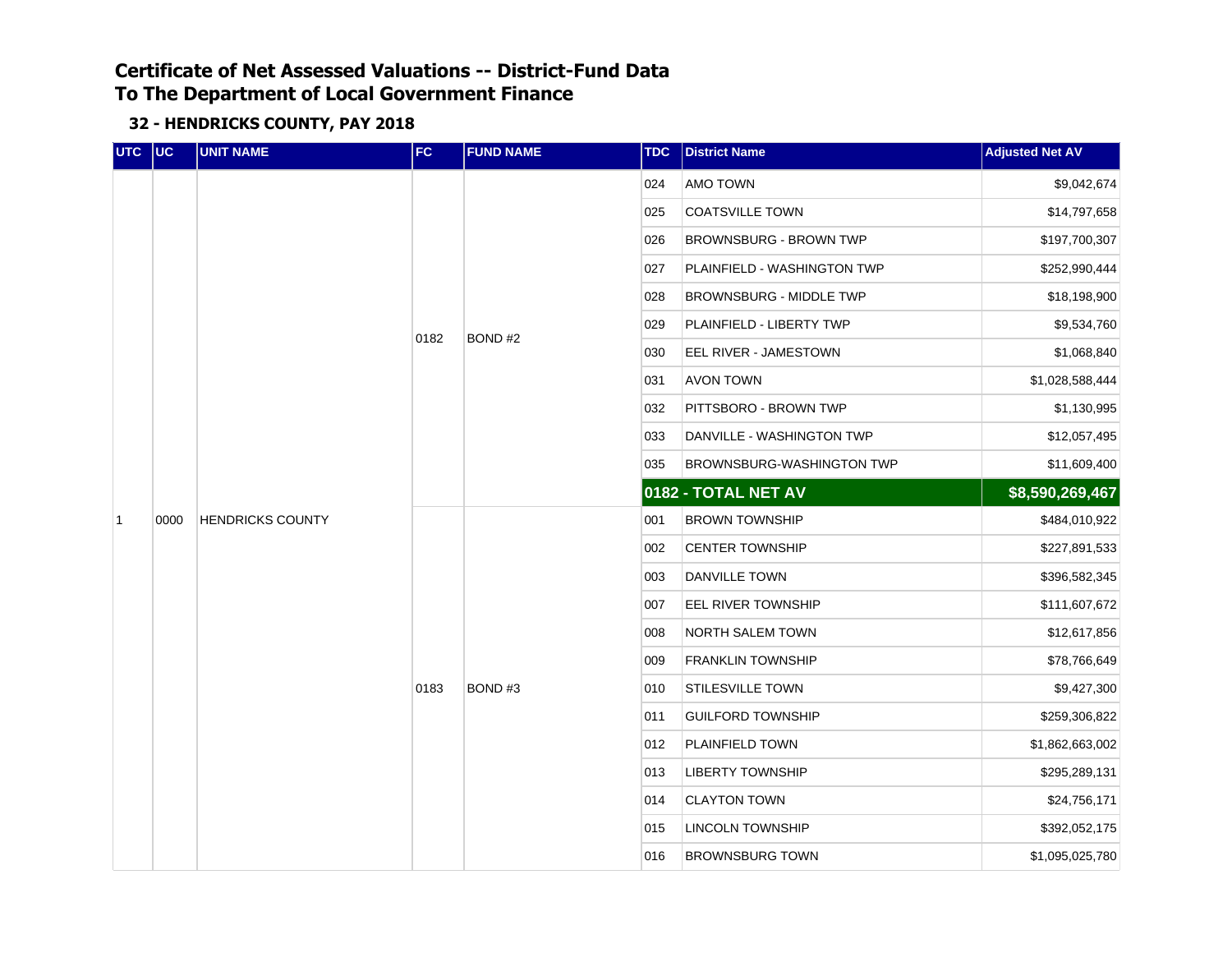| UTC UC         |      | <b>UNIT NAME</b>        | FC   | <b>FUND NAME</b> | <b>TDC</b> | <b>District Name</b>          | <b>Adjusted Net AV</b> |
|----------------|------|-------------------------|------|------------------|------------|-------------------------------|------------------------|
|                |      |                         |      |                  | 024        | AMO TOWN                      | \$9,042,674            |
|                |      |                         |      |                  | 025        | <b>COATSVILLE TOWN</b>        | \$14,797,658           |
|                |      |                         |      |                  | 026        | <b>BROWNSBURG - BROWN TWP</b> | \$197,700,307          |
|                |      |                         |      |                  | 027        | PLAINFIELD - WASHINGTON TWP   | \$252,990,444          |
|                |      |                         |      |                  | 028        | BROWNSBURG - MIDDLE TWP       | \$18,198,900           |
|                |      |                         | 0182 | BOND#2           | 029        | PLAINFIELD - LIBERTY TWP      | \$9,534,760            |
|                |      |                         |      |                  | 030        | EEL RIVER - JAMESTOWN         | \$1,068,840            |
|                |      | <b>HENDRICKS COUNTY</b> |      |                  | 031        | <b>AVON TOWN</b>              | \$1,028,588,444        |
|                |      |                         |      |                  | 032        | PITTSBORO - BROWN TWP         | \$1,130,995            |
|                |      |                         |      |                  | 033        | DANVILLE - WASHINGTON TWP     | \$12,057,495           |
|                |      |                         |      |                  | 035        | BROWNSBURG-WASHINGTON TWP     | \$11,609,400           |
|                |      |                         |      |                  |            | 0182 - TOTAL NET AV           | \$8,590,269,467        |
| $\overline{1}$ | 0000 |                         |      |                  | 001        | <b>BROWN TOWNSHIP</b>         | \$484,010,922          |
|                |      |                         |      |                  | 002        | <b>CENTER TOWNSHIP</b>        | \$227,891,533          |
|                |      |                         |      |                  | 003        | <b>DANVILLE TOWN</b>          | \$396,582,345          |
|                |      |                         |      |                  | 007        | EEL RIVER TOWNSHIP            | \$111,607,672          |
|                |      |                         |      |                  | 008        | NORTH SALEM TOWN              | \$12,617,856           |
|                |      |                         |      |                  | 009        | <b>FRANKLIN TOWNSHIP</b>      | \$78,766,649           |
|                |      |                         | 0183 | BOND#3           | 010        | STILESVILLE TOWN              | \$9,427,300            |
|                |      |                         |      |                  | 011        | <b>GUILFORD TOWNSHIP</b>      | \$259,306,822          |
|                |      |                         |      |                  | 012        | PLAINFIELD TOWN               | \$1,862,663,002        |
|                |      |                         |      |                  | 013        | <b>LIBERTY TOWNSHIP</b>       | \$295,289,131          |
|                |      |                         |      |                  | 014        | <b>CLAYTON TOWN</b>           | \$24,756,171           |
|                |      |                         |      |                  | 015        | LINCOLN TOWNSHIP              | \$392,052,175          |
|                |      |                         |      |                  | 016        | <b>BROWNSBURG TOWN</b>        | \$1,095,025,780        |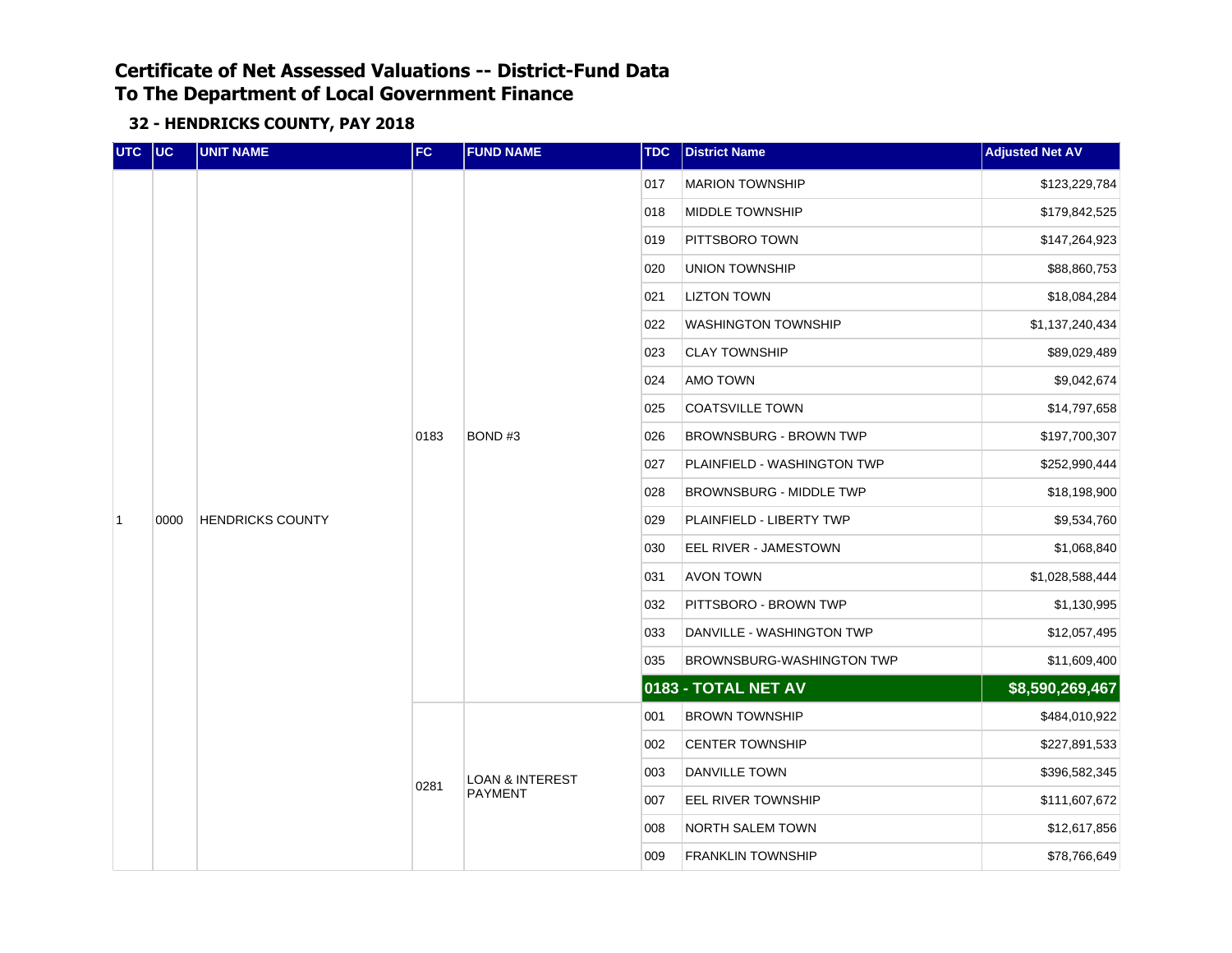| UTC UC         |      | <b>UNIT NAME</b>        | FC   | <b>FUND NAME</b>           | <b>TDC</b> | <b>District Name</b>           | <b>Adjusted Net AV</b> |
|----------------|------|-------------------------|------|----------------------------|------------|--------------------------------|------------------------|
|                |      |                         |      |                            | 017        | <b>MARION TOWNSHIP</b>         | \$123,229,784          |
|                |      |                         |      |                            | 018        | MIDDLE TOWNSHIP                | \$179,842,525          |
|                |      |                         |      |                            | 019        | PITTSBORO TOWN                 | \$147,264,923          |
|                |      |                         |      |                            | 020        | UNION TOWNSHIP                 | \$88,860,753           |
|                |      |                         |      |                            | 021        | <b>LIZTON TOWN</b>             | \$18,084,284           |
|                |      |                         |      |                            | 022        | <b>WASHINGTON TOWNSHIP</b>     | \$1,137,240,434        |
|                |      |                         |      |                            | 023        | <b>CLAY TOWNSHIP</b>           | \$89,029,489           |
|                |      |                         |      |                            | 024        | AMO TOWN                       | \$9,042,674            |
|                |      | <b>HENDRICKS COUNTY</b> |      |                            | 025        | <b>COATSVILLE TOWN</b>         | \$14,797,658           |
|                |      |                         | 0183 | BOND#3                     | 026        | BROWNSBURG - BROWN TWP         | \$197,700,307          |
|                |      |                         |      |                            | 027        | PLAINFIELD - WASHINGTON TWP    | \$252,990,444          |
|                |      |                         |      |                            | 028        | <b>BROWNSBURG - MIDDLE TWP</b> | \$18,198,900           |
| $\overline{1}$ | 0000 |                         |      |                            | 029        | PLAINFIELD - LIBERTY TWP       | \$9,534,760            |
|                |      |                         |      |                            | 030        | EEL RIVER - JAMESTOWN          | \$1,068,840            |
|                |      |                         |      |                            | 031        | <b>AVON TOWN</b>               | \$1,028,588,444        |
|                |      |                         |      |                            | 032        | PITTSBORO - BROWN TWP          | \$1,130,995            |
|                |      |                         |      |                            | 033        | DANVILLE - WASHINGTON TWP      | \$12,057,495           |
|                |      |                         |      |                            | 035        | BROWNSBURG-WASHINGTON TWP      | \$11,609,400           |
|                |      |                         |      |                            |            | 0183 - TOTAL NET AV            | \$8,590,269,467        |
|                |      |                         |      |                            | 001        | <b>BROWN TOWNSHIP</b>          | \$484,010,922          |
|                |      |                         |      |                            | 002        | <b>CENTER TOWNSHIP</b>         | \$227,891,533          |
|                |      |                         | 0281 | <b>LOAN &amp; INTEREST</b> | 003        | <b>DANVILLE TOWN</b>           | \$396,582,345          |
|                |      |                         |      | <b>PAYMENT</b>             | 007        | EEL RIVER TOWNSHIP             | \$111,607,672          |
|                |      |                         |      |                            | 008        | NORTH SALEM TOWN               | \$12,617,856           |
|                |      |                         |      |                            | 009        | <b>FRANKLIN TOWNSHIP</b>       | \$78,766,649           |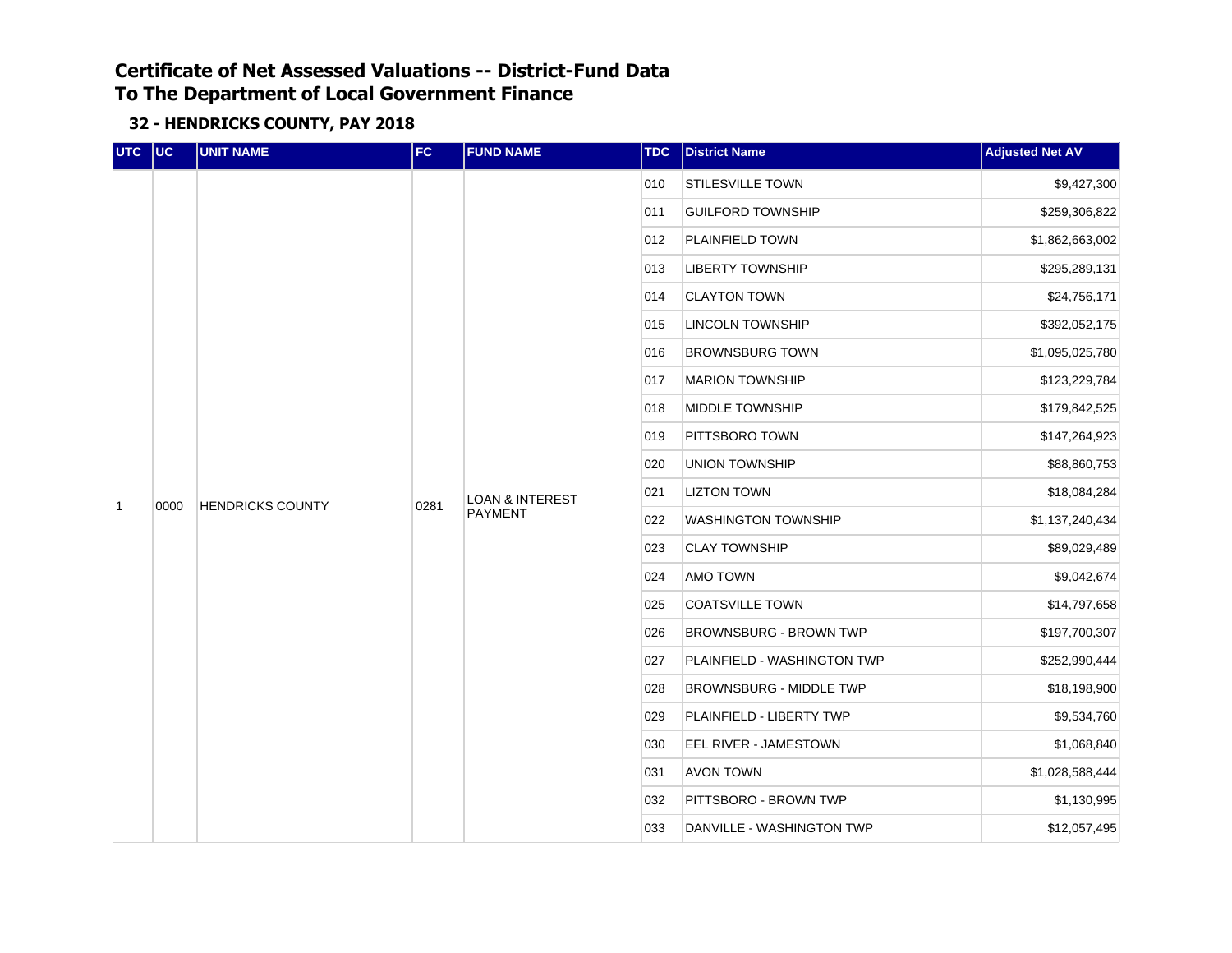| UTC UC         |      | <b>UNIT NAME</b>        | FC   | <b>FUND NAME</b>                             | <b>TDC</b> | <b>District Name</b>           | <b>Adjusted Net AV</b> |
|----------------|------|-------------------------|------|----------------------------------------------|------------|--------------------------------|------------------------|
|                |      |                         |      |                                              | 010        | <b>STILESVILLE TOWN</b>        | \$9,427,300            |
|                |      |                         |      |                                              | 011        | <b>GUILFORD TOWNSHIP</b>       | \$259,306,822          |
|                |      |                         |      |                                              | 012        | PLAINFIELD TOWN                | \$1,862,663,002        |
|                |      |                         |      |                                              | 013        | <b>LIBERTY TOWNSHIP</b>        | \$295,289,131          |
|                |      |                         |      |                                              | 014        | <b>CLAYTON TOWN</b>            | \$24,756,171           |
|                |      |                         |      |                                              | 015        | <b>LINCOLN TOWNSHIP</b>        | \$392,052,175          |
|                |      |                         |      |                                              | 016        | <b>BROWNSBURG TOWN</b>         | \$1,095,025,780        |
|                |      |                         |      |                                              | 017        | <b>MARION TOWNSHIP</b>         | \$123,229,784          |
|                |      | <b>HENDRICKS COUNTY</b> |      |                                              | 018        | MIDDLE TOWNSHIP                | \$179,842,525          |
|                |      |                         | 0281 | <b>LOAN &amp; INTEREST</b><br><b>PAYMENT</b> | 019        | PITTSBORO TOWN                 | \$147,264,923          |
|                |      |                         |      |                                              | 020        | <b>UNION TOWNSHIP</b>          | \$88,860,753           |
| $\overline{1}$ | 0000 |                         |      |                                              | 021        | <b>LIZTON TOWN</b>             | \$18,084,284           |
|                |      |                         |      |                                              | 022        | <b>WASHINGTON TOWNSHIP</b>     | \$1,137,240,434        |
|                |      |                         |      |                                              | 023        | <b>CLAY TOWNSHIP</b>           | \$89,029,489           |
|                |      |                         |      |                                              | 024        | AMO TOWN                       | \$9,042,674            |
|                |      |                         |      |                                              | 025        | <b>COATSVILLE TOWN</b>         | \$14,797,658           |
|                |      |                         |      |                                              | 026        | <b>BROWNSBURG - BROWN TWP</b>  | \$197,700,307          |
|                |      |                         |      |                                              | 027        | PLAINFIELD - WASHINGTON TWP    | \$252,990,444          |
|                |      |                         |      |                                              | 028        | <b>BROWNSBURG - MIDDLE TWP</b> | \$18,198,900           |
|                |      |                         |      |                                              | 029        | PLAINFIELD - LIBERTY TWP       | \$9,534,760            |
|                |      |                         |      |                                              | 030        | EEL RIVER - JAMESTOWN          | \$1,068,840            |
|                |      |                         |      |                                              | 031        | <b>AVON TOWN</b>               | \$1,028,588,444        |
|                |      |                         |      |                                              | 032        | PITTSBORO - BROWN TWP          | \$1,130,995            |
|                |      |                         |      |                                              | 033        | DANVILLE - WASHINGTON TWP      | \$12,057,495           |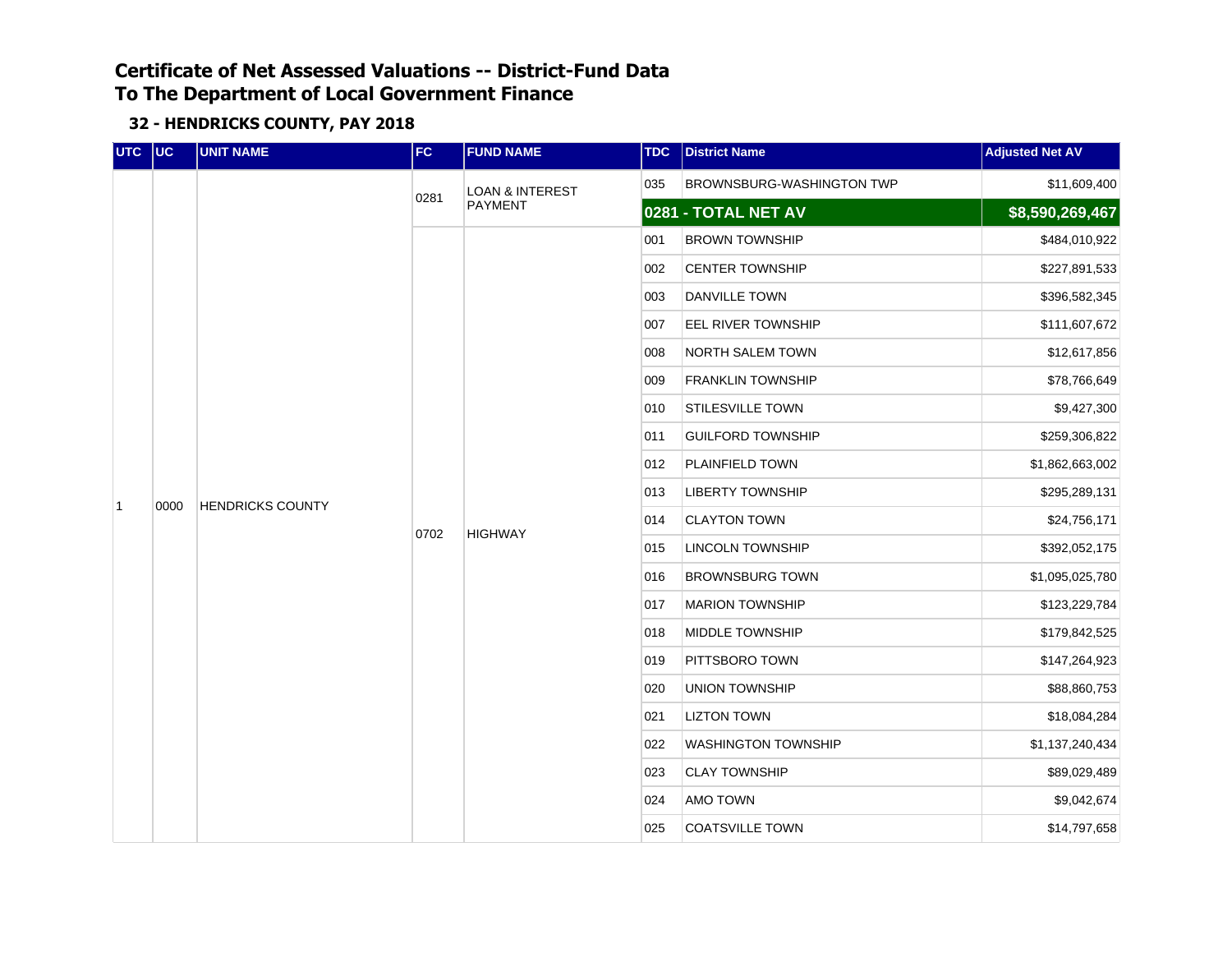| UTC UC         |      | <b>UNIT NAME</b>        | FC   | <b>FUND NAME</b>           | <b>TDC</b> | <b>District Name</b>       | <b>Adjusted Net AV</b> |
|----------------|------|-------------------------|------|----------------------------|------------|----------------------------|------------------------|
|                |      |                         |      | <b>LOAN &amp; INTEREST</b> | 035        | BROWNSBURG-WASHINGTON TWP  | \$11,609,400           |
|                |      |                         | 0281 | <b>PAYMENT</b>             |            | 0281 - TOTAL NET AV        | \$8,590,269,467        |
|                |      |                         |      |                            | 001        | <b>BROWN TOWNSHIP</b>      | \$484,010,922          |
|                |      |                         |      |                            | 002        | <b>CENTER TOWNSHIP</b>     | \$227,891,533          |
|                |      |                         |      |                            | 003        | DANVILLE TOWN              | \$396,582,345          |
|                |      |                         |      |                            | 007        | EEL RIVER TOWNSHIP         | \$111,607,672          |
|                |      |                         |      |                            | 008        | NORTH SALEM TOWN           | \$12,617,856           |
|                |      |                         |      |                            | 009        | <b>FRANKLIN TOWNSHIP</b>   | \$78,766,649           |
|                |      | <b>HENDRICKS COUNTY</b> |      |                            | 010        | <b>STILESVILLE TOWN</b>    | \$9,427,300            |
|                |      |                         | 0702 | <b>HIGHWAY</b>             | 011        | <b>GUILFORD TOWNSHIP</b>   | \$259,306,822          |
|                |      |                         |      |                            | 012        | PLAINFIELD TOWN            | \$1,862,663,002        |
| $\overline{1}$ | 0000 |                         |      |                            | 013        | <b>LIBERTY TOWNSHIP</b>    | \$295,289,131          |
|                |      |                         |      |                            | 014        | <b>CLAYTON TOWN</b>        | \$24,756,171           |
|                |      |                         |      |                            | 015        | <b>LINCOLN TOWNSHIP</b>    | \$392,052,175          |
|                |      |                         |      |                            | 016        | <b>BROWNSBURG TOWN</b>     | \$1,095,025,780        |
|                |      |                         |      |                            | 017        | <b>MARION TOWNSHIP</b>     | \$123,229,784          |
|                |      |                         |      |                            | 018        | MIDDLE TOWNSHIP            | \$179,842,525          |
|                |      |                         |      |                            | 019        | PITTSBORO TOWN             | \$147,264,923          |
|                |      |                         |      |                            | 020        | <b>UNION TOWNSHIP</b>      | \$88,860,753           |
|                |      |                         |      |                            | 021        | <b>LIZTON TOWN</b>         | \$18,084,284           |
|                |      |                         |      |                            | 022        | <b>WASHINGTON TOWNSHIP</b> | \$1,137,240,434        |
|                |      |                         |      |                            | 023        | <b>CLAY TOWNSHIP</b>       | \$89,029,489           |
|                |      |                         |      |                            | 024        | AMO TOWN                   | \$9,042,674            |
|                |      |                         |      |                            | 025        | <b>COATSVILLE TOWN</b>     | \$14,797,658           |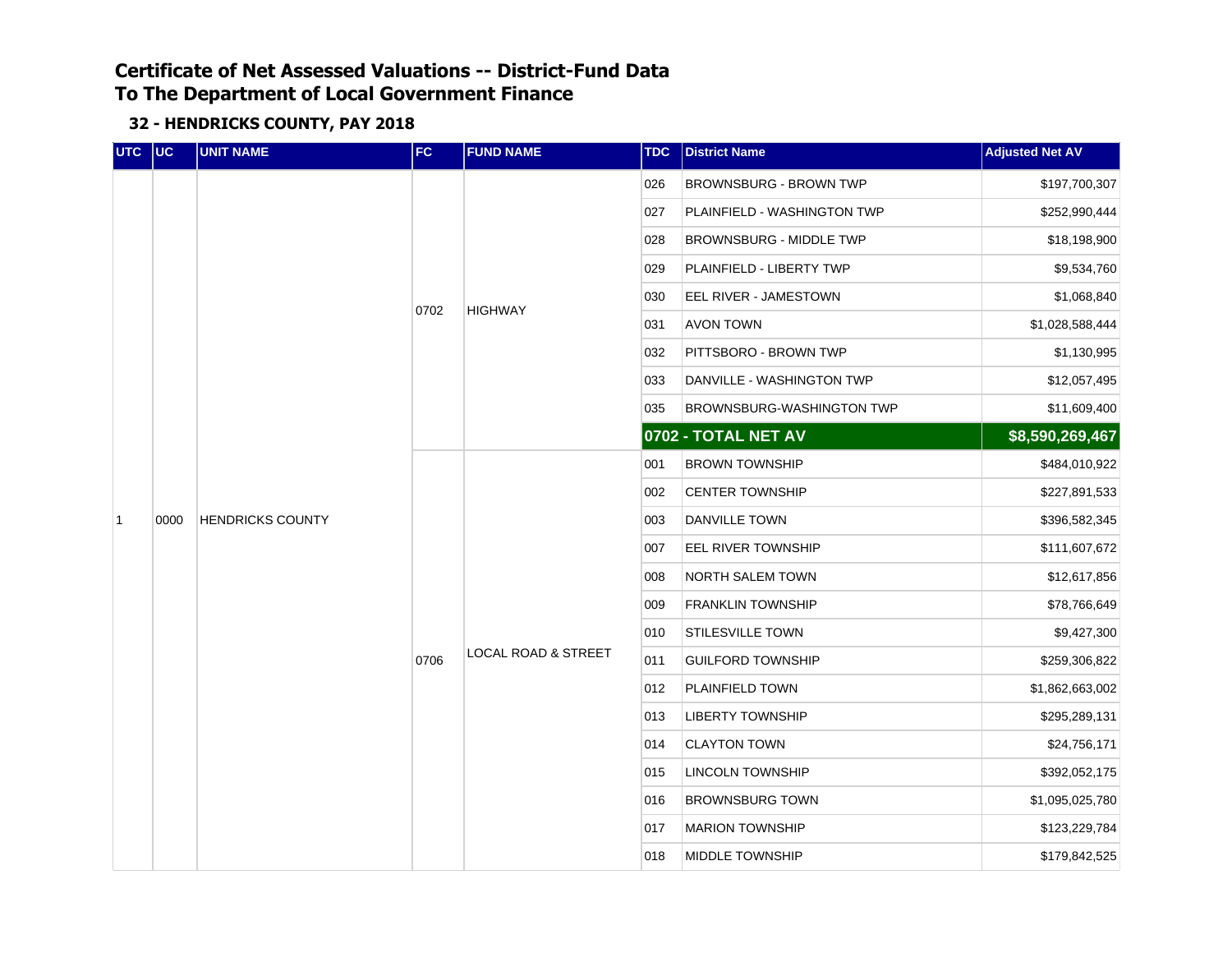| UTC UC         |      | <b>UNIT NAME</b>        | FC   | <b>FUND NAME</b>               | <b>TDC</b> | <b>District Name</b>        | <b>Adjusted Net AV</b> |
|----------------|------|-------------------------|------|--------------------------------|------------|-----------------------------|------------------------|
|                |      |                         |      |                                | 026        | BROWNSBURG - BROWN TWP      | \$197,700,307          |
|                |      |                         |      |                                | 027        | PLAINFIELD - WASHINGTON TWP | \$252,990,444          |
|                |      |                         |      |                                | 028        | BROWNSBURG - MIDDLE TWP     | \$18,198,900           |
|                |      |                         |      |                                | 029        | PLAINFIELD - LIBERTY TWP    | \$9,534,760            |
|                |      |                         |      | <b>HIGHWAY</b>                 | 030        | EEL RIVER - JAMESTOWN       | \$1,068,840            |
|                |      |                         | 0702 |                                | 031        | AVON TOWN                   | \$1,028,588,444        |
|                |      |                         |      |                                | 032        | PITTSBORO - BROWN TWP       | \$1,130,995            |
|                |      |                         |      |                                | 033        | DANVILLE - WASHINGTON TWP   | \$12,057,495           |
|                |      |                         |      |                                | 035        | BROWNSBURG-WASHINGTON TWP   | \$11,609,400           |
|                |      | <b>HENDRICKS COUNTY</b> |      |                                |            | 0702 - TOTAL NET AV         | \$8,590,269,467        |
|                |      |                         |      |                                | 001        | <b>BROWN TOWNSHIP</b>       | \$484,010,922          |
|                |      |                         |      |                                | 002        | <b>CENTER TOWNSHIP</b>      | \$227,891,533          |
| $\overline{1}$ | 0000 |                         |      |                                | 003        | <b>DANVILLE TOWN</b>        | \$396,582,345          |
|                |      |                         |      |                                | 007        | EEL RIVER TOWNSHIP          | \$111,607,672          |
|                |      |                         |      |                                | 008        | NORTH SALEM TOWN            | \$12,617,856           |
|                |      |                         |      |                                | 009        | <b>FRANKLIN TOWNSHIP</b>    | \$78,766,649           |
|                |      |                         |      |                                | 010        | <b>STILESVILLE TOWN</b>     | \$9,427,300            |
|                |      |                         | 0706 | <b>LOCAL ROAD &amp; STREET</b> | 011        | <b>GUILFORD TOWNSHIP</b>    | \$259,306,822          |
|                |      |                         |      |                                | 012        | PLAINFIELD TOWN             | \$1,862,663,002        |
|                |      |                         |      |                                | 013        | <b>LIBERTY TOWNSHIP</b>     | \$295,289,131          |
|                |      |                         |      |                                | 014        | <b>CLAYTON TOWN</b>         | \$24,756,171           |
|                |      |                         |      |                                | 015        | <b>LINCOLN TOWNSHIP</b>     | \$392,052,175          |
|                |      |                         |      |                                | 016        | <b>BROWNSBURG TOWN</b>      | \$1,095,025,780        |
|                |      |                         |      |                                | 017        | <b>MARION TOWNSHIP</b>      | \$123,229,784          |
|                |      |                         |      |                                | 018        | MIDDLE TOWNSHIP             | \$179,842,525          |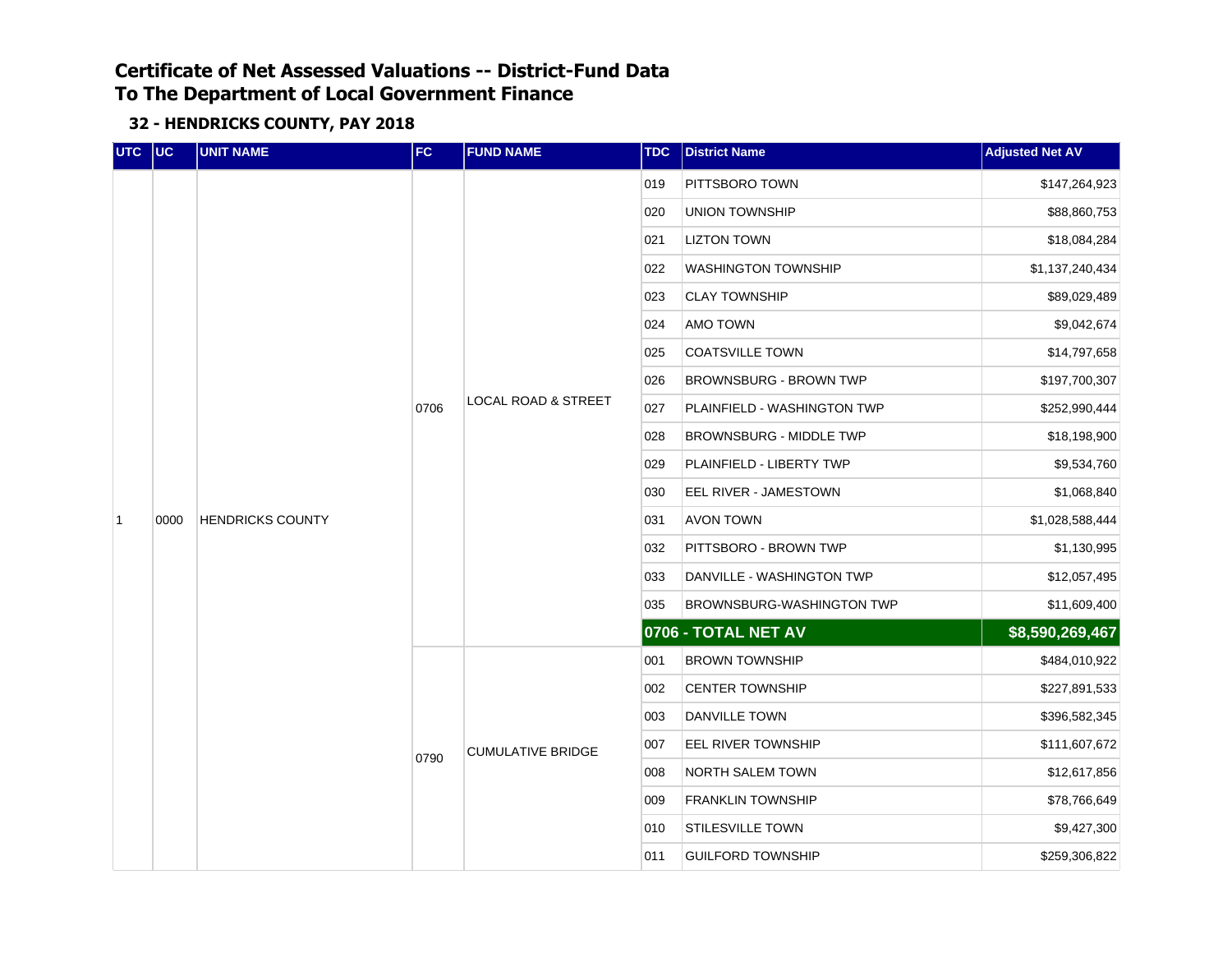| UTC UC         |      | <b>UNIT NAME</b>        | FC   | <b>FUND NAME</b>                                           | <b>TDC</b>          | <b>District Name</b>          | <b>Adjusted Net AV</b> |
|----------------|------|-------------------------|------|------------------------------------------------------------|---------------------|-------------------------------|------------------------|
|                |      |                         |      |                                                            | 019                 | PITTSBORO TOWN                | \$147,264,923          |
|                |      |                         |      |                                                            | 020                 | UNION TOWNSHIP                | \$88,860,753           |
|                |      |                         |      |                                                            | 021                 | <b>LIZTON TOWN</b>            | \$18,084,284           |
|                |      |                         |      |                                                            | 022                 | <b>WASHINGTON TOWNSHIP</b>    | \$1,137,240,434        |
|                |      |                         |      |                                                            | 023                 | <b>CLAY TOWNSHIP</b>          | \$89,029,489           |
|                |      |                         |      |                                                            | 024                 | AMO TOWN                      | \$9,042,674            |
|                |      |                         |      |                                                            | 025                 | <b>COATSVILLE TOWN</b>        | \$14,797,658           |
|                |      |                         |      |                                                            | 026                 | <b>BROWNSBURG - BROWN TWP</b> | \$197,700,307          |
|                |      | <b>HENDRICKS COUNTY</b> | 0706 | <b>LOCAL ROAD &amp; STREET</b>                             | 027                 | PLAINFIELD - WASHINGTON TWP   | \$252,990,444          |
|                |      |                         |      | 028<br>029<br>030<br>031<br>AVON TOWN<br>032<br>033<br>035 |                     | BROWNSBURG - MIDDLE TWP       | \$18,198,900           |
|                |      |                         |      |                                                            |                     | PLAINFIELD - LIBERTY TWP      | \$9,534,760            |
|                |      |                         |      |                                                            |                     | EEL RIVER - JAMESTOWN         | \$1,068,840            |
| $\overline{1}$ | 0000 |                         |      |                                                            |                     |                               | \$1,028,588,444        |
|                |      |                         |      |                                                            |                     | PITTSBORO - BROWN TWP         | \$1,130,995            |
|                |      |                         |      |                                                            |                     | DANVILLE - WASHINGTON TWP     | \$12,057,495           |
|                |      |                         |      |                                                            |                     | BROWNSBURG-WASHINGTON TWP     | \$11,609,400           |
|                |      |                         |      |                                                            | 0706 - TOTAL NET AV | \$8,590,269,467               |                        |
|                |      |                         |      |                                                            | \$484,010,922       |                               |                        |
|                |      |                         |      |                                                            | 002                 | <b>CENTER TOWNSHIP</b>        | \$227,891,533          |
|                |      |                         |      |                                                            | 003                 | <b>DANVILLE TOWN</b>          | \$396,582,345          |
|                |      |                         |      | <b>CUMULATIVE BRIDGE</b>                                   | 007                 | EEL RIVER TOWNSHIP            | \$111,607,672          |
|                |      |                         | 0790 |                                                            | 008                 | NORTH SALEM TOWN              | \$12,617,856           |
|                |      |                         |      |                                                            | 009                 | <b>FRANKLIN TOWNSHIP</b>      | \$78,766,649           |
|                |      |                         |      |                                                            | 010                 | <b>STILESVILLE TOWN</b>       | \$9,427,300            |
|                |      |                         |      |                                                            | 011                 | <b>GUILFORD TOWNSHIP</b>      | \$259,306,822          |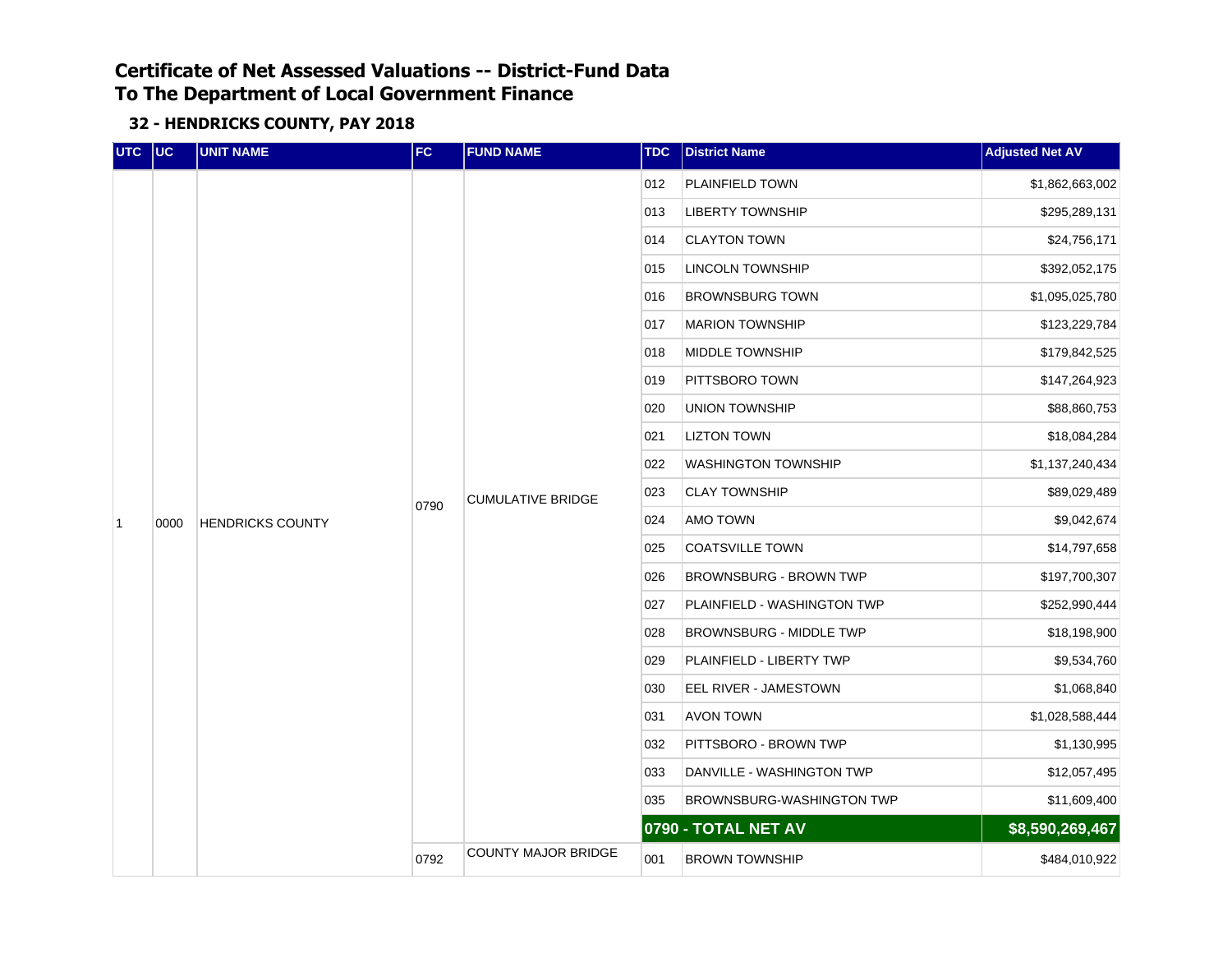| UTC UC         |      | <b>UNIT NAME</b>        | FC   | <b>FUND NAME</b>           | <b>TDC</b> | <b>District Name</b>           | <b>Adjusted Net AV</b> |
|----------------|------|-------------------------|------|----------------------------|------------|--------------------------------|------------------------|
|                |      |                         |      |                            | 012        | PLAINFIELD TOWN                | \$1,862,663,002        |
|                |      |                         |      |                            | 013        | <b>LIBERTY TOWNSHIP</b>        | \$295,289,131          |
|                |      |                         |      |                            | 014        | <b>CLAYTON TOWN</b>            | \$24,756,171           |
|                |      |                         |      |                            | 015        | <b>LINCOLN TOWNSHIP</b>        | \$392,052,175          |
|                |      |                         |      |                            | 016        | <b>BROWNSBURG TOWN</b>         | \$1,095,025,780        |
|                |      |                         |      |                            | 017        | <b>MARION TOWNSHIP</b>         | \$123,229,784          |
|                |      |                         |      |                            | 018        | MIDDLE TOWNSHIP                | \$179,842,525          |
|                |      |                         |      |                            | 019        | PITTSBORO TOWN                 | \$147,264,923          |
|                |      | <b>HENDRICKS COUNTY</b> |      | <b>CUMULATIVE BRIDGE</b>   | 020        | <b>UNION TOWNSHIP</b>          | \$88,860,753           |
|                |      |                         | 0790 |                            | 021        | <b>LIZTON TOWN</b>             | \$18,084,284           |
|                |      |                         |      |                            | 022        | <b>WASHINGTON TOWNSHIP</b>     | \$1,137,240,434        |
|                |      |                         |      |                            | 023        | <b>CLAY TOWNSHIP</b>           | \$89,029,489           |
| $\overline{1}$ | 0000 |                         |      |                            | 024        | AMO TOWN                       | \$9,042,674            |
|                |      |                         |      |                            | 025        | <b>COATSVILLE TOWN</b>         | \$14,797,658           |
|                |      |                         |      |                            | 026        | <b>BROWNSBURG - BROWN TWP</b>  | \$197,700,307          |
|                |      |                         |      |                            | 027        | PLAINFIELD - WASHINGTON TWP    | \$252,990,444          |
|                |      |                         |      |                            | 028        | <b>BROWNSBURG - MIDDLE TWP</b> | \$18,198,900           |
|                |      |                         |      |                            | 029        | PLAINFIELD - LIBERTY TWP       | \$9,534,760            |
|                |      |                         |      |                            | 030        | EEL RIVER - JAMESTOWN          | \$1,068,840            |
|                |      |                         |      |                            | 031        | <b>AVON TOWN</b>               | \$1,028,588,444        |
|                |      |                         |      |                            | 032        | PITTSBORO - BROWN TWP          | \$1,130,995            |
|                |      |                         |      |                            | 033        | DANVILLE - WASHINGTON TWP      | \$12,057,495           |
|                |      |                         |      |                            | 035        | BROWNSBURG-WASHINGTON TWP      | \$11,609,400           |
|                |      |                         |      |                            |            | 0790 - TOTAL NET AV            | \$8,590,269,467        |
|                |      |                         | 0792 | <b>COUNTY MAJOR BRIDGE</b> | 001        | <b>BROWN TOWNSHIP</b>          | \$484,010,922          |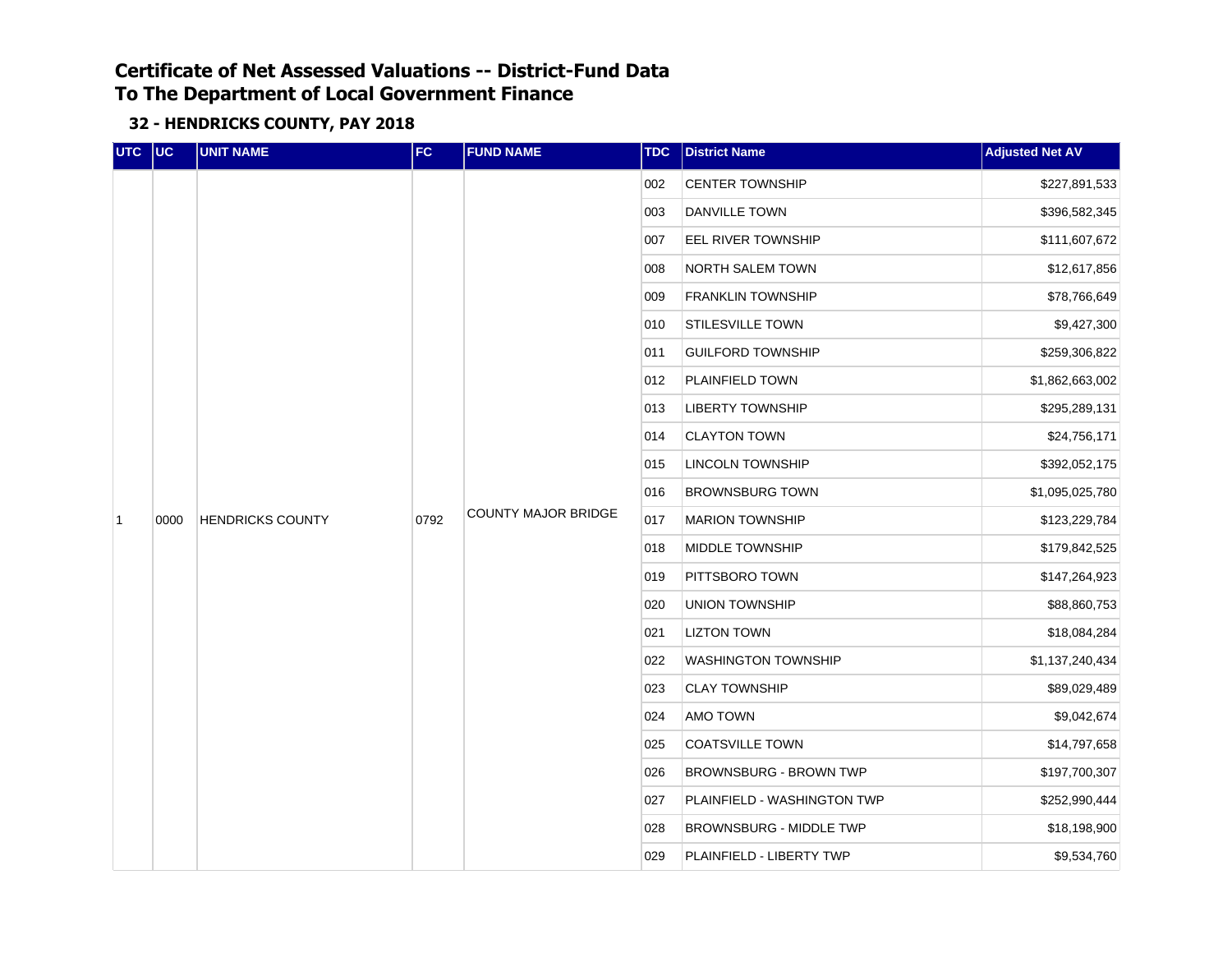| UTC UC         |      | <b>UNIT NAME</b>                                                                                                                                                                                                                                                                                                                           | FC | <b>FUND NAME</b> | <b>TDC</b> | <b>District Name</b>           | <b>Adjusted Net AV</b> |              |
|----------------|------|--------------------------------------------------------------------------------------------------------------------------------------------------------------------------------------------------------------------------------------------------------------------------------------------------------------------------------------------|----|------------------|------------|--------------------------------|------------------------|--------------|
|                |      |                                                                                                                                                                                                                                                                                                                                            |    |                  | 002        | <b>CENTER TOWNSHIP</b>         | \$227,891,533          |              |
|                |      |                                                                                                                                                                                                                                                                                                                                            |    |                  | 003        | <b>DANVILLE TOWN</b>           | \$396,582,345          |              |
|                |      |                                                                                                                                                                                                                                                                                                                                            |    |                  | 007        | <b>EEL RIVER TOWNSHIP</b>      | \$111,607,672          |              |
|                |      |                                                                                                                                                                                                                                                                                                                                            |    |                  |            | 008                            | NORTH SALEM TOWN       | \$12,617,856 |
|                |      |                                                                                                                                                                                                                                                                                                                                            |    |                  | 009        | <b>FRANKLIN TOWNSHIP</b>       | \$78,766,649           |              |
|                |      |                                                                                                                                                                                                                                                                                                                                            |    |                  | 010        | <b>STILESVILLE TOWN</b>        | \$9,427,300            |              |
|                |      |                                                                                                                                                                                                                                                                                                                                            |    |                  | 011        | <b>GUILFORD TOWNSHIP</b>       | \$259,306,822          |              |
|                |      |                                                                                                                                                                                                                                                                                                                                            |    |                  | 012        | PLAINFIELD TOWN                | \$1,862,663,002        |              |
|                |      | 013<br><b>LIBERTY TOWNSHIP</b><br><b>CLAYTON TOWN</b><br>014<br>LINCOLN TOWNSHIP<br>015<br><b>BROWNSBURG TOWN</b><br>016<br><b>COUNTY MAJOR BRIDGE</b><br><b>HENDRICKS COUNTY</b><br>0792<br>017<br><b>MARION TOWNSHIP</b><br>018<br>MIDDLE TOWNSHIP<br>019<br>PITTSBORO TOWN<br>020<br><b>UNION TOWNSHIP</b><br><b>LIZTON TOWN</b><br>021 |    | \$295,289,131    |            |                                |                        |              |
|                |      |                                                                                                                                                                                                                                                                                                                                            |    |                  |            |                                | \$24,756,171           |              |
|                |      |                                                                                                                                                                                                                                                                                                                                            |    |                  |            |                                | \$392,052,175          |              |
|                |      |                                                                                                                                                                                                                                                                                                                                            |    |                  |            |                                | \$1,095,025,780        |              |
| $\overline{1}$ | 0000 |                                                                                                                                                                                                                                                                                                                                            |    |                  |            |                                | \$123,229,784          |              |
|                |      |                                                                                                                                                                                                                                                                                                                                            |    |                  |            |                                | \$179,842,525          |              |
|                |      |                                                                                                                                                                                                                                                                                                                                            |    |                  |            |                                | \$147,264,923          |              |
|                |      |                                                                                                                                                                                                                                                                                                                                            |    |                  |            |                                | \$88,860,753           |              |
|                |      |                                                                                                                                                                                                                                                                                                                                            |    |                  |            |                                | \$18,084,284           |              |
|                |      |                                                                                                                                                                                                                                                                                                                                            |    |                  | 022        | <b>WASHINGTON TOWNSHIP</b>     | \$1,137,240,434        |              |
|                |      |                                                                                                                                                                                                                                                                                                                                            |    |                  | 023        | <b>CLAY TOWNSHIP</b>           | \$89,029,489           |              |
|                |      |                                                                                                                                                                                                                                                                                                                                            |    |                  | 024        | AMO TOWN                       | \$9,042,674            |              |
|                |      |                                                                                                                                                                                                                                                                                                                                            |    |                  | 025        | <b>COATSVILLE TOWN</b>         | \$14,797,658           |              |
|                |      |                                                                                                                                                                                                                                                                                                                                            |    |                  | 026        | BROWNSBURG - BROWN TWP         | \$197,700,307          |              |
|                |      |                                                                                                                                                                                                                                                                                                                                            |    |                  | 027        | PLAINFIELD - WASHINGTON TWP    | \$252,990,444          |              |
|                |      |                                                                                                                                                                                                                                                                                                                                            |    |                  | 028        | <b>BROWNSBURG - MIDDLE TWP</b> | \$18,198,900           |              |
|                |      |                                                                                                                                                                                                                                                                                                                                            |    |                  | 029        | PLAINFIELD - LIBERTY TWP       | \$9,534,760            |              |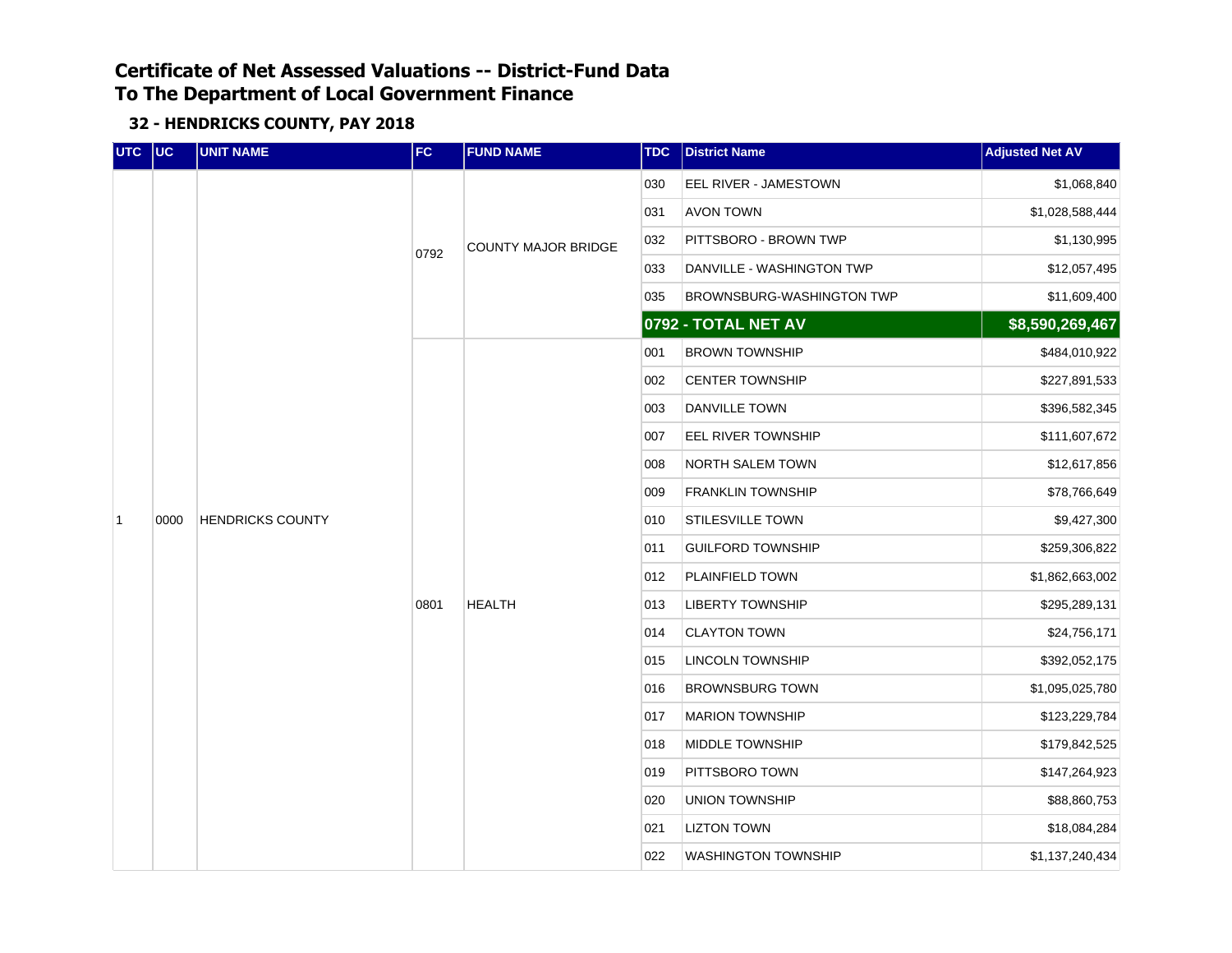| UTC UC         |      | <b>UNIT NAME</b>        | FC.  | <b>FUND NAME</b>           | <b>TDC</b> | <b>District Name</b>             | <b>Adjusted Net AV</b> |
|----------------|------|-------------------------|------|----------------------------|------------|----------------------------------|------------------------|
|                |      |                         |      |                            | 030        | EEL RIVER - JAMESTOWN            | \$1,068,840            |
|                |      |                         |      |                            | 031        | <b>AVON TOWN</b>                 | \$1,028,588,444        |
|                |      |                         | 0792 | <b>COUNTY MAJOR BRIDGE</b> | 032        | PITTSBORO - BROWN TWP            | \$1,130,995            |
|                |      |                         |      |                            | 033        | DANVILLE - WASHINGTON TWP        | \$12,057,495           |
|                |      |                         |      |                            | 035        | <b>BROWNSBURG-WASHINGTON TWP</b> | \$11,609,400           |
|                |      |                         |      |                            |            | 0792 - TOTAL NET AV              | \$8,590,269,467        |
|                |      |                         |      |                            | 001        | <b>BROWN TOWNSHIP</b>            | \$484,010,922          |
|                |      |                         |      |                            | 002        | <b>CENTER TOWNSHIP</b>           | \$227,891,533          |
|                |      |                         |      |                            | 003        | DANVILLE TOWN                    | \$396,582,345          |
|                | 0000 | <b>HENDRICKS COUNTY</b> |      | <b>HEALTH</b>              | 007        | EEL RIVER TOWNSHIP               | \$111,607,672          |
|                |      |                         | 0801 |                            | 008        | NORTH SALEM TOWN                 | \$12,617,856           |
|                |      |                         |      |                            | 009        | <b>FRANKLIN TOWNSHIP</b>         | \$78,766,649           |
| $\overline{1}$ |      |                         |      |                            | 010        | <b>STILESVILLE TOWN</b>          | \$9,427,300            |
|                |      |                         |      |                            | 011        | <b>GUILFORD TOWNSHIP</b>         | \$259,306,822          |
|                |      |                         |      |                            | 012        | PLAINFIELD TOWN                  | \$1,862,663,002        |
|                |      |                         |      |                            | 013        | <b>LIBERTY TOWNSHIP</b>          | \$295,289,131          |
|                |      |                         |      |                            | 014        | <b>CLAYTON TOWN</b>              | \$24,756,171           |
|                |      |                         |      |                            | 015        | <b>LINCOLN TOWNSHIP</b>          | \$392,052,175          |
|                |      |                         |      |                            | 016        | <b>BROWNSBURG TOWN</b>           | \$1,095,025,780        |
|                |      |                         |      |                            | 017        | <b>MARION TOWNSHIP</b>           | \$123,229,784          |
|                |      |                         |      |                            | 018        | <b>MIDDLE TOWNSHIP</b>           | \$179,842,525          |
|                |      |                         |      |                            | 019        | PITTSBORO TOWN                   | \$147,264,923          |
|                |      |                         |      |                            | 020        | <b>UNION TOWNSHIP</b>            | \$88,860,753           |
|                |      |                         |      |                            | 021        | <b>LIZTON TOWN</b>               | \$18,084,284           |
|                |      |                         |      |                            | 022        | <b>WASHINGTON TOWNSHIP</b>       | \$1,137,240,434        |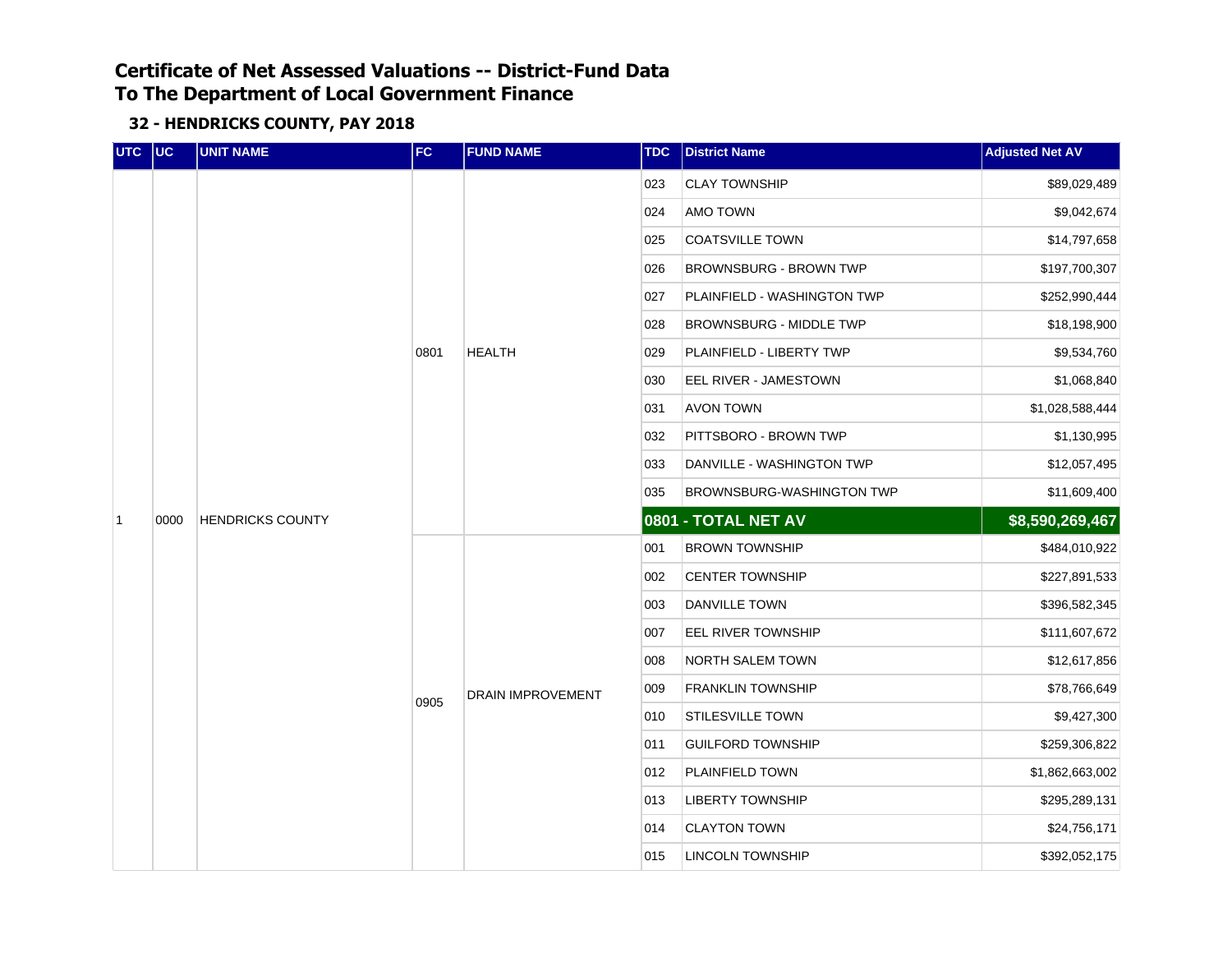| UTC UC         |      | <b>UNIT NAME</b>                                                                                                                                                                                                                                                                  | FC   | <b>FUND NAME</b>         | <b>TDC</b> | <b>District Name</b>           | <b>Adjusted Net AV</b> |
|----------------|------|-----------------------------------------------------------------------------------------------------------------------------------------------------------------------------------------------------------------------------------------------------------------------------------|------|--------------------------|------------|--------------------------------|------------------------|
|                |      |                                                                                                                                                                                                                                                                                   |      |                          | 023        | <b>CLAY TOWNSHIP</b>           | \$89,029,489           |
|                |      |                                                                                                                                                                                                                                                                                   |      |                          | 024        | AMO TOWN                       | \$9,042,674            |
|                |      |                                                                                                                                                                                                                                                                                   |      |                          | 025        | <b>COATSVILLE TOWN</b>         | \$14,797,658           |
|                |      |                                                                                                                                                                                                                                                                                   |      |                          | 026        | BROWNSBURG - BROWN TWP         | \$197,700,307          |
|                |      |                                                                                                                                                                                                                                                                                   |      |                          | 027        | PLAINFIELD - WASHINGTON TWP    | \$252,990,444          |
|                |      |                                                                                                                                                                                                                                                                                   |      |                          | 028        | <b>BROWNSBURG - MIDDLE TWP</b> | \$18,198,900           |
|                |      |                                                                                                                                                                                                                                                                                   | 0801 | <b>HEALTH</b>            | 029        | PLAINFIELD - LIBERTY TWP       | \$9,534,760            |
|                |      |                                                                                                                                                                                                                                                                                   |      |                          | 030        | EEL RIVER - JAMESTOWN          | \$1,068,840            |
|                |      | 031<br><b>AVON TOWN</b><br>PITTSBORO - BROWN TWP<br>032<br>033<br>DANVILLE - WASHINGTON TWP<br>035<br>0801 - TOTAL NET AV<br><b>HENDRICKS COUNTY</b><br>001<br><b>BROWN TOWNSHIP</b><br>002<br><b>CENTER TOWNSHIP</b><br>003<br><b>DANVILLE TOWN</b><br>007<br>EEL RIVER TOWNSHIP |      | \$1,028,588,444          |            |                                |                        |
|                |      |                                                                                                                                                                                                                                                                                   |      |                          |            |                                | \$1,130,995            |
|                |      |                                                                                                                                                                                                                                                                                   |      |                          |            |                                | \$12,057,495           |
|                |      |                                                                                                                                                                                                                                                                                   |      |                          |            | BROWNSBURG-WASHINGTON TWP      | \$11,609,400           |
| $\overline{1}$ | 0000 |                                                                                                                                                                                                                                                                                   |      |                          |            |                                | \$8,590,269,467        |
|                |      |                                                                                                                                                                                                                                                                                   |      |                          |            |                                | \$484,010,922          |
|                |      |                                                                                                                                                                                                                                                                                   |      |                          |            |                                | \$227,891,533          |
|                |      |                                                                                                                                                                                                                                                                                   |      |                          |            |                                | \$396,582,345          |
|                |      |                                                                                                                                                                                                                                                                                   |      |                          |            |                                | \$111,607,672          |
|                |      |                                                                                                                                                                                                                                                                                   |      |                          | 008        | NORTH SALEM TOWN               | \$12,617,856           |
|                |      |                                                                                                                                                                                                                                                                                   |      | <b>DRAIN IMPROVEMENT</b> | 009        | <b>FRANKLIN TOWNSHIP</b>       | \$78,766,649           |
|                |      |                                                                                                                                                                                                                                                                                   | 0905 |                          | 010        | <b>STILESVILLE TOWN</b>        | \$9,427,300            |
|                |      |                                                                                                                                                                                                                                                                                   |      |                          | 011        | <b>GUILFORD TOWNSHIP</b>       | \$259,306,822          |
|                |      |                                                                                                                                                                                                                                                                                   |      |                          | 012        | PLAINFIELD TOWN                | \$1,862,663,002        |
|                |      |                                                                                                                                                                                                                                                                                   |      |                          | 013        | <b>LIBERTY TOWNSHIP</b>        | \$295,289,131          |
|                |      |                                                                                                                                                                                                                                                                                   |      |                          | 014        | <b>CLAYTON TOWN</b>            | \$24,756,171           |
|                |      |                                                                                                                                                                                                                                                                                   |      |                          | 015        | <b>LINCOLN TOWNSHIP</b>        | \$392,052,175          |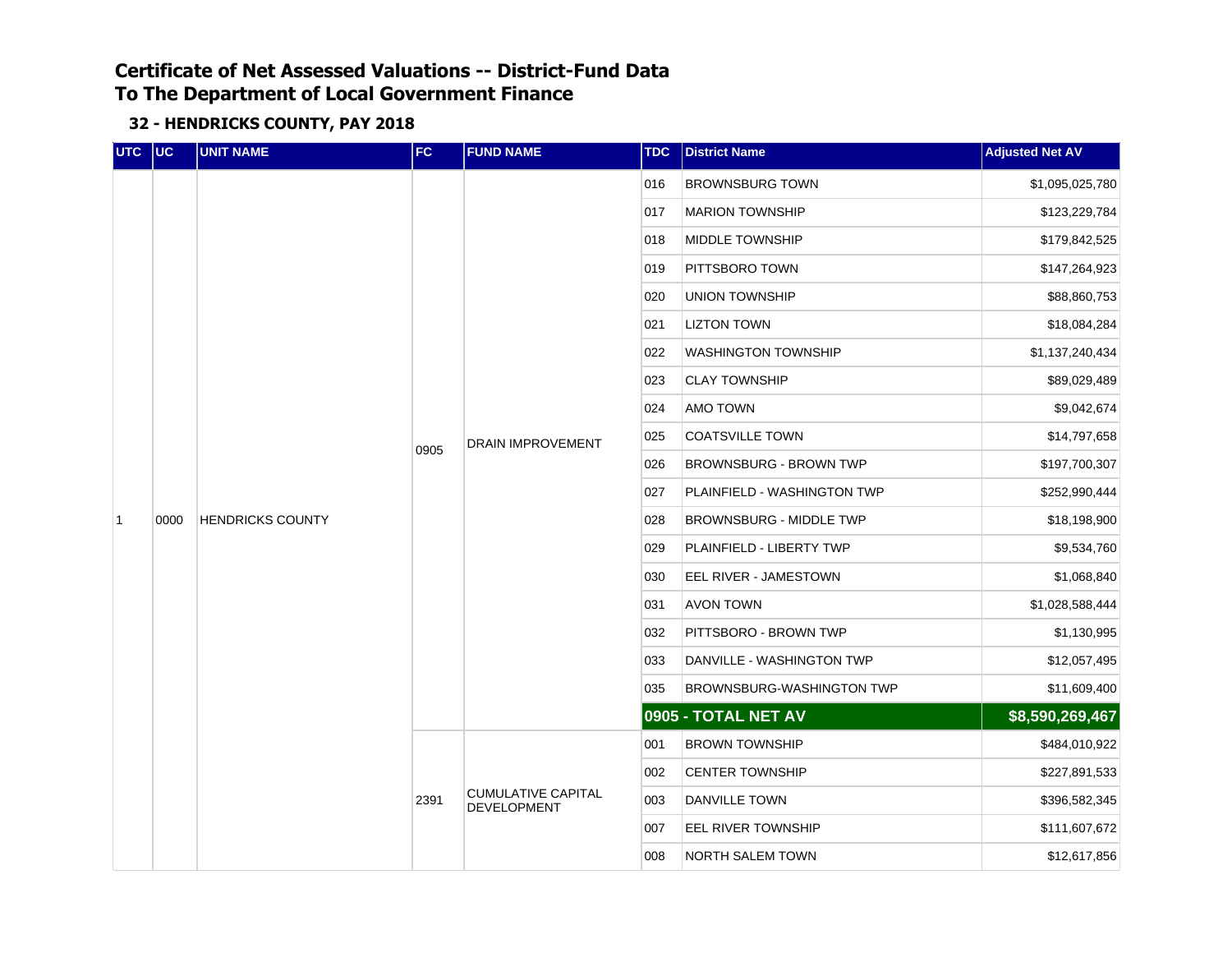| UTC UC         |      | <b>UNIT NAME</b>        | FC   | <b>FUND NAME</b>                                | <b>TDC</b> | <b>District Name</b>          | <b>Adjusted Net AV</b> |
|----------------|------|-------------------------|------|-------------------------------------------------|------------|-------------------------------|------------------------|
|                |      |                         |      |                                                 | 016        | <b>BROWNSBURG TOWN</b>        | \$1,095,025,780        |
|                |      |                         |      |                                                 | 017        | <b>MARION TOWNSHIP</b>        | \$123,229,784          |
|                |      |                         |      |                                                 | 018        | MIDDLE TOWNSHIP               | \$179,842,525          |
|                |      |                         |      |                                                 | 019        | PITTSBORO TOWN                | \$147,264,923          |
|                |      |                         |      |                                                 | 020        | UNION TOWNSHIP                | \$88,860,753           |
|                |      |                         |      |                                                 | 021        | <b>LIZTON TOWN</b>            | \$18,084,284           |
|                |      |                         |      |                                                 | 022        | <b>WASHINGTON TOWNSHIP</b>    | \$1,137,240,434        |
|                |      |                         |      |                                                 | 023        | <b>CLAY TOWNSHIP</b>          | \$89,029,489           |
|                |      | <b>HENDRICKS COUNTY</b> |      |                                                 | 024        | AMO TOWN                      | \$9,042,674            |
|                |      |                         | 0905 | <b>DRAIN IMPROVEMENT</b>                        | 025        | <b>COATSVILLE TOWN</b>        | \$14,797,658           |
|                |      |                         |      |                                                 | 026        | <b>BROWNSBURG - BROWN TWP</b> | \$197,700,307          |
|                |      |                         |      |                                                 | 027        | PLAINFIELD - WASHINGTON TWP   | \$252,990,444          |
| $\overline{1}$ | 0000 |                         |      |                                                 | 028        | BROWNSBURG - MIDDLE TWP       | \$18,198,900           |
|                |      |                         |      |                                                 | 029        | PLAINFIELD - LIBERTY TWP      | \$9,534,760            |
|                |      |                         |      |                                                 | 030        | EEL RIVER - JAMESTOWN         | \$1,068,840            |
|                |      |                         |      |                                                 | 031        | AVON TOWN                     | \$1,028,588,444        |
|                |      |                         |      |                                                 | 032        | PITTSBORO - BROWN TWP         | \$1,130,995            |
|                |      |                         |      |                                                 | 033        | DANVILLE - WASHINGTON TWP     | \$12,057,495           |
|                |      |                         |      |                                                 | 035        | BROWNSBURG-WASHINGTON TWP     | \$11,609,400           |
|                |      |                         |      |                                                 |            | 0905 - TOTAL NET AV           | \$8,590,269,467        |
|                |      |                         |      |                                                 | 001        | <b>BROWN TOWNSHIP</b>         | \$484,010,922          |
|                |      |                         |      |                                                 | 002        | <b>CENTER TOWNSHIP</b>        | \$227,891,533          |
|                |      |                         | 2391 | <b>CUMULATIVE CAPITAL</b><br><b>DEVELOPMENT</b> | 003        | <b>DANVILLE TOWN</b>          | \$396,582,345          |
|                |      |                         |      |                                                 | 007        | EEL RIVER TOWNSHIP            | \$111,607,672          |
|                |      |                         |      |                                                 | 008        | NORTH SALEM TOWN              | \$12,617,856           |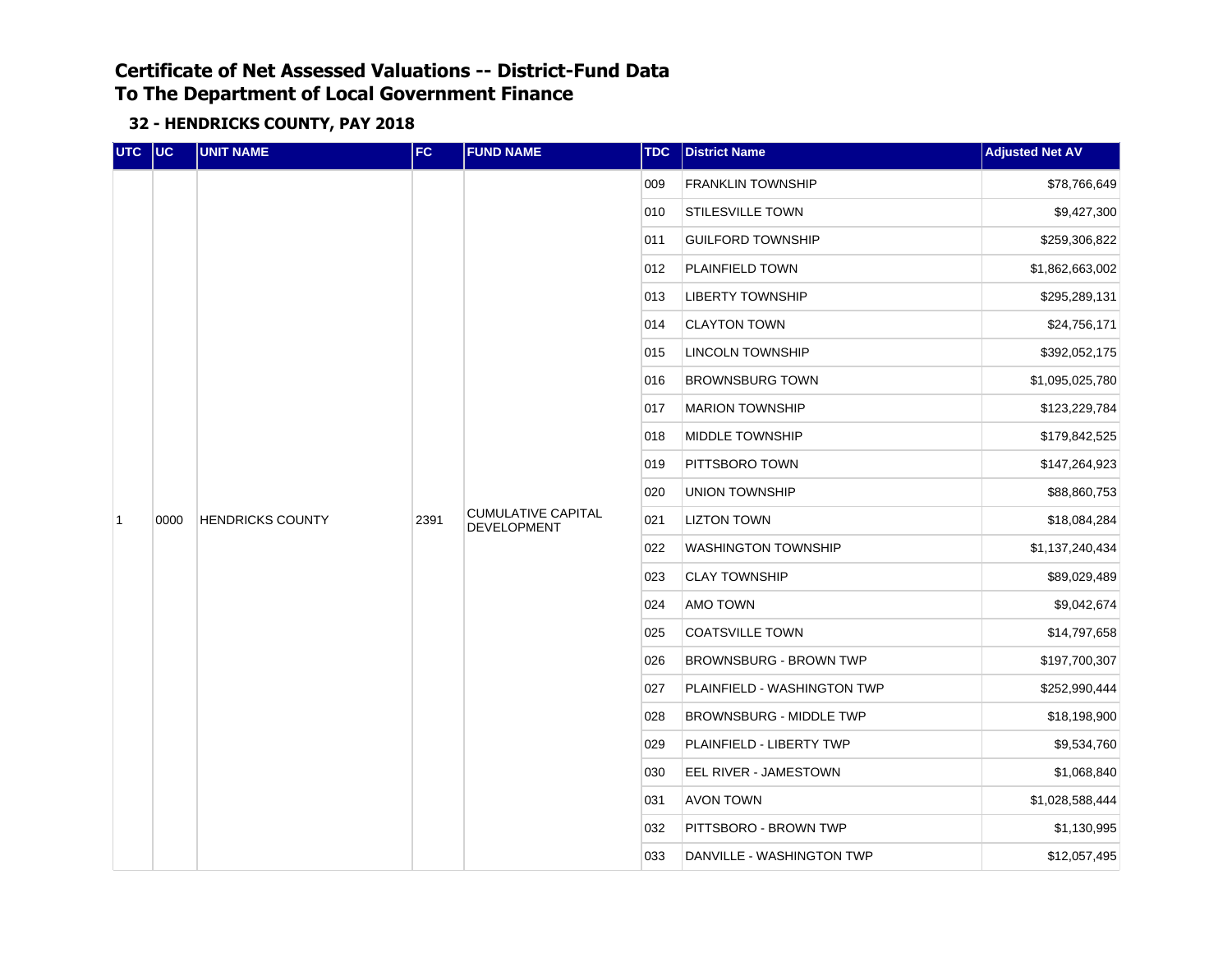| UTC UC         |      | <b>UNIT NAME</b>                                                                                                                                                                                                                                                                                                                                     | FC | <b>FUND NAME</b> | <b>TDC</b> | <b>District Name</b>           | <b>Adjusted Net AV</b> |  |  |  |     |                       |             |
|----------------|------|------------------------------------------------------------------------------------------------------------------------------------------------------------------------------------------------------------------------------------------------------------------------------------------------------------------------------------------------------|----|------------------|------------|--------------------------------|------------------------|--|--|--|-----|-----------------------|-------------|
|                |      |                                                                                                                                                                                                                                                                                                                                                      |    |                  | 009        | <b>FRANKLIN TOWNSHIP</b>       | \$78,766,649           |  |  |  |     |                       |             |
|                |      |                                                                                                                                                                                                                                                                                                                                                      |    |                  | 010        | <b>STILESVILLE TOWN</b>        | \$9,427,300            |  |  |  |     |                       |             |
|                |      |                                                                                                                                                                                                                                                                                                                                                      |    |                  | 011        | <b>GUILFORD TOWNSHIP</b>       | \$259,306,822          |  |  |  |     |                       |             |
|                |      |                                                                                                                                                                                                                                                                                                                                                      |    |                  | 012        | PLAINFIELD TOWN                | \$1,862,663,002        |  |  |  |     |                       |             |
|                |      |                                                                                                                                                                                                                                                                                                                                                      |    |                  | 013        | <b>LIBERTY TOWNSHIP</b>        | \$295,289,131          |  |  |  |     |                       |             |
|                |      |                                                                                                                                                                                                                                                                                                                                                      |    |                  | 014        | <b>CLAYTON TOWN</b>            | \$24,756,171           |  |  |  |     |                       |             |
|                |      |                                                                                                                                                                                                                                                                                                                                                      |    |                  | 015        | <b>LINCOLN TOWNSHIP</b>        | \$392,052,175          |  |  |  |     |                       |             |
|                |      |                                                                                                                                                                                                                                                                                                                                                      |    |                  | 016        | <b>BROWNSBURG TOWN</b>         | \$1,095,025,780        |  |  |  |     |                       |             |
|                |      | 017<br><b>MARION TOWNSHIP</b><br>MIDDLE TOWNSHIP<br>018<br>PITTSBORO TOWN<br>019<br>020<br>UNION TOWNSHIP<br><b>CUMULATIVE CAPITAL</b><br><b>HENDRICKS COUNTY</b><br>2391<br>021<br><b>LIZTON TOWN</b><br><b>DEVELOPMENT</b><br>022<br><b>WASHINGTON TOWNSHIP</b><br>023<br><b>CLAY TOWNSHIP</b><br>024<br>AMO TOWN<br>025<br><b>COATSVILLE TOWN</b> |    | \$123,229,784    |            |                                |                        |  |  |  |     |                       |             |
|                |      |                                                                                                                                                                                                                                                                                                                                                      |    |                  |            |                                | \$179,842,525          |  |  |  |     |                       |             |
|                |      |                                                                                                                                                                                                                                                                                                                                                      |    |                  |            |                                | \$147,264,923          |  |  |  |     |                       |             |
|                |      |                                                                                                                                                                                                                                                                                                                                                      |    |                  |            |                                | \$88,860,753           |  |  |  |     |                       |             |
| $\overline{1}$ | 0000 |                                                                                                                                                                                                                                                                                                                                                      |    |                  |            |                                | \$18,084,284           |  |  |  |     |                       |             |
|                |      |                                                                                                                                                                                                                                                                                                                                                      |    |                  |            |                                | \$1,137,240,434        |  |  |  |     |                       |             |
|                |      |                                                                                                                                                                                                                                                                                                                                                      |    |                  |            |                                | \$89,029,489           |  |  |  |     |                       |             |
|                |      |                                                                                                                                                                                                                                                                                                                                                      |    |                  |            |                                | \$9,042,674            |  |  |  |     |                       |             |
|                |      |                                                                                                                                                                                                                                                                                                                                                      |    |                  |            |                                | \$14,797,658           |  |  |  |     |                       |             |
|                |      |                                                                                                                                                                                                                                                                                                                                                      |    |                  | 026        | <b>BROWNSBURG - BROWN TWP</b>  | \$197,700,307          |  |  |  |     |                       |             |
|                |      |                                                                                                                                                                                                                                                                                                                                                      |    |                  | 027        | PLAINFIELD - WASHINGTON TWP    | \$252,990,444          |  |  |  |     |                       |             |
|                |      |                                                                                                                                                                                                                                                                                                                                                      |    |                  | 028        | <b>BROWNSBURG - MIDDLE TWP</b> | \$18,198,900           |  |  |  |     |                       |             |
|                |      |                                                                                                                                                                                                                                                                                                                                                      |    |                  | 029        | PLAINFIELD - LIBERTY TWP       | \$9,534,760            |  |  |  |     |                       |             |
|                |      |                                                                                                                                                                                                                                                                                                                                                      |    |                  | 030        | EEL RIVER - JAMESTOWN          | \$1,068,840            |  |  |  |     |                       |             |
|                |      |                                                                                                                                                                                                                                                                                                                                                      |    |                  | 031        | AVON TOWN                      | \$1,028,588,444        |  |  |  |     |                       |             |
|                |      |                                                                                                                                                                                                                                                                                                                                                      |    |                  |            |                                |                        |  |  |  | 032 | PITTSBORO - BROWN TWP | \$1,130,995 |
|                |      |                                                                                                                                                                                                                                                                                                                                                      |    |                  | 033        | DANVILLE - WASHINGTON TWP      | \$12,057,495           |  |  |  |     |                       |             |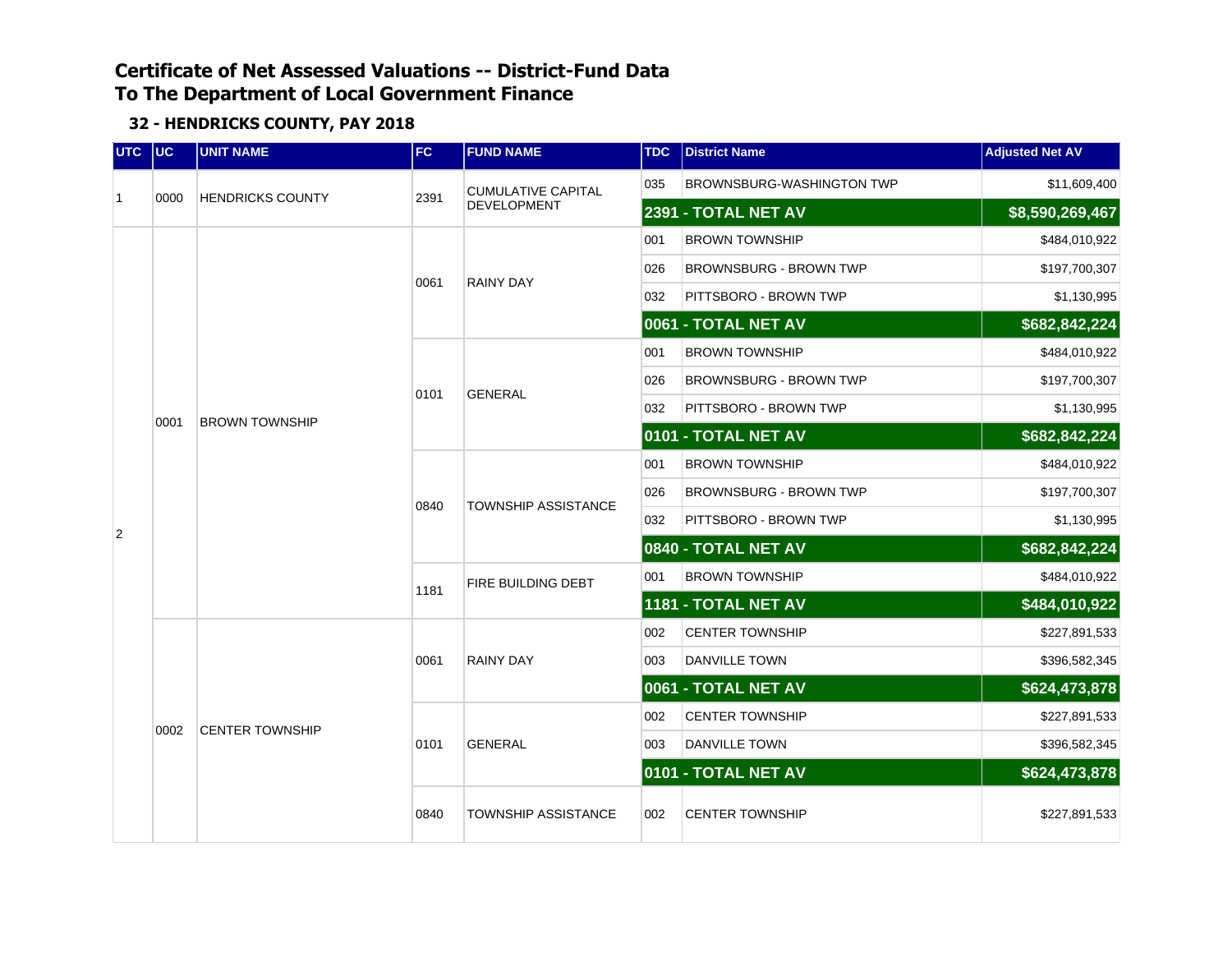| UTC UC         |      | <b>UNIT NAME</b>        | <b>FC</b> | <b>FUND NAME</b>           | <b>TDC</b> | <b>District Name</b>          | <b>Adjusted Net AV</b> |
|----------------|------|-------------------------|-----------|----------------------------|------------|-------------------------------|------------------------|
| $\overline{1}$ | 0000 | <b>HENDRICKS COUNTY</b> | 2391      | <b>CUMULATIVE CAPITAL</b>  | 035        | BROWNSBURG-WASHINGTON TWP     | \$11,609,400           |
|                |      |                         |           | <b>DEVELOPMENT</b>         |            | 2391 - TOTAL NET AV           | \$8,590,269,467        |
|                |      |                         |           |                            | 001        | <b>BROWN TOWNSHIP</b>         | \$484,010,922          |
|                |      |                         | 0061      | <b>RAINY DAY</b>           | 026        | <b>BROWNSBURG - BROWN TWP</b> | \$197,700,307          |
|                |      |                         |           |                            | 032        | PITTSBORO - BROWN TWP         | \$1,130,995            |
|                |      |                         |           |                            |            | 0061 - TOTAL NET AV           | \$682,842,224          |
|                |      |                         |           |                            | 001        | <b>BROWN TOWNSHIP</b>         | \$484,010,922          |
|                |      |                         | 0101      | <b>GENERAL</b>             | 026        | BROWNSBURG - BROWN TWP        | \$197,700,307          |
|                | 0001 | <b>BROWN TOWNSHIP</b>   |           |                            | 032        | PITTSBORO - BROWN TWP         | \$1,130,995            |
|                |      |                         |           |                            |            | 0101 - TOTAL NET AV           | \$682,842,224          |
|                |      |                         | 0840      |                            | 001        | <b>BROWN TOWNSHIP</b>         | \$484,010,922          |
|                |      |                         |           | <b>TOWNSHIP ASSISTANCE</b> | 026        | <b>BROWNSBURG - BROWN TWP</b> | \$197,700,307          |
| 2              |      |                         |           |                            | 032        | PITTSBORO - BROWN TWP         | \$1,130,995            |
|                |      |                         |           |                            |            | 0840 - TOTAL NET AV           | \$682,842,224          |
|                |      |                         | 1181      | FIRE BUILDING DEBT         | 001        | <b>BROWN TOWNSHIP</b>         | \$484,010,922          |
|                |      |                         |           |                            |            | 1181 - TOTAL NET AV           | \$484,010,922          |
|                |      |                         |           |                            | 002        | <b>CENTER TOWNSHIP</b>        | \$227,891,533          |
|                |      |                         | 0061      | <b>RAINY DAY</b>           | 003        | <b>DANVILLE TOWN</b>          | \$396,582,345          |
|                |      |                         |           |                            |            | 0061 - TOTAL NET AV           | \$624,473,878          |
|                | 0002 | <b>CENTER TOWNSHIP</b>  |           |                            | 002        | <b>CENTER TOWNSHIP</b>        | \$227,891,533          |
|                |      |                         | 0101      | <b>GENERAL</b>             | 003        | <b>DANVILLE TOWN</b>          | \$396,582,345          |
|                |      |                         |           |                            |            | 0101 - TOTAL NET AV           | \$624,473,878          |
|                |      |                         | 0840      | <b>TOWNSHIP ASSISTANCE</b> | 002        | <b>CENTER TOWNSHIP</b>        | \$227,891,533          |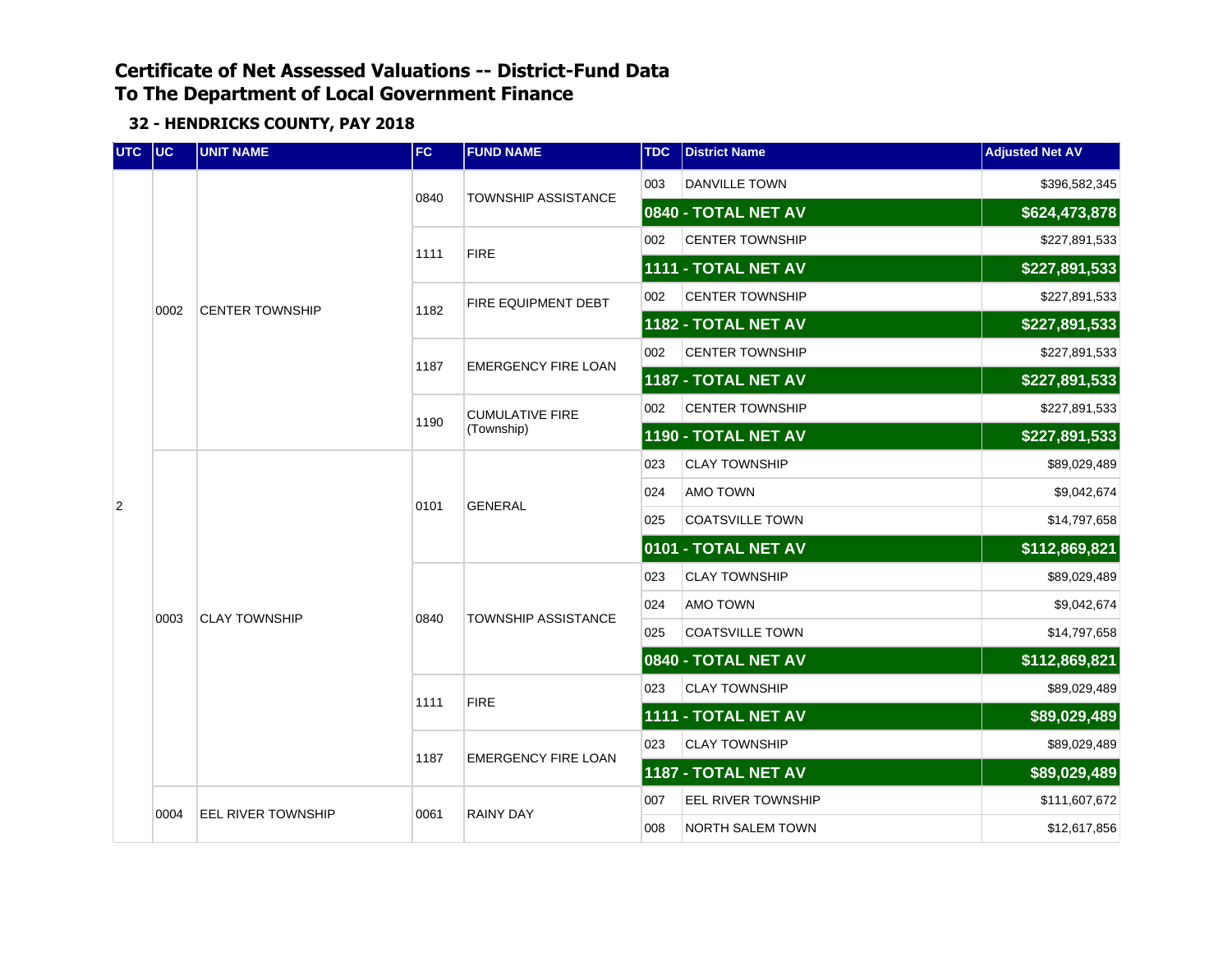| UTC UC |      | <b>UNIT NAME</b>          | <b>FC</b> | <b>FUND NAME</b>                     | <b>TDC</b> | <b>District Name</b>   | <b>Adjusted Net AV</b> |
|--------|------|---------------------------|-----------|--------------------------------------|------------|------------------------|------------------------|
|        |      |                           | 0840      | <b>TOWNSHIP ASSISTANCE</b>           | 003        | <b>DANVILLE TOWN</b>   | \$396,582,345          |
|        |      |                           |           |                                      |            | 0840 - TOTAL NET AV    | \$624,473,878          |
|        |      |                           | 1111      | <b>FIRE</b>                          | 002        | <b>CENTER TOWNSHIP</b> | \$227,891,533          |
|        |      |                           |           |                                      |            | 1111 - TOTAL NET AV    | \$227,891,533          |
|        | 0002 | <b>CENTER TOWNSHIP</b>    | 1182      | FIRE EQUIPMENT DEBT                  | 002        | <b>CENTER TOWNSHIP</b> | \$227,891,533          |
|        |      |                           |           |                                      |            | 1182 - TOTAL NET AV    | \$227,891,533          |
|        |      |                           | 1187      | <b>EMERGENCY FIRE LOAN</b>           | 002        | <b>CENTER TOWNSHIP</b> | \$227,891,533          |
|        |      |                           |           |                                      |            | 1187 - TOTAL NET AV    | \$227,891,533          |
|        |      |                           | 1190      | <b>CUMULATIVE FIRE</b><br>(Township) | 002        | <b>CENTER TOWNSHIP</b> | \$227,891,533          |
|        |      |                           |           |                                      |            | 1190 - TOTAL NET AV    | \$227,891,533          |
|        |      |                           | 0101      | <b>GENERAL</b>                       | 023        | <b>CLAY TOWNSHIP</b>   | \$89,029,489           |
| 2      |      |                           |           |                                      | 024        | AMO TOWN               | \$9,042,674            |
|        |      |                           |           |                                      | 025        | <b>COATSVILLE TOWN</b> | \$14,797,658           |
|        |      |                           |           |                                      |            | 0101 - TOTAL NET AV    | \$112,869,821          |
|        |      |                           |           |                                      | 023        | <b>CLAY TOWNSHIP</b>   | \$89,029,489           |
|        | 0003 | <b>CLAY TOWNSHIP</b>      | 0840      | <b>TOWNSHIP ASSISTANCE</b>           | 024        | AMO TOWN               | \$9,042,674            |
|        |      |                           |           |                                      | 025        | <b>COATSVILLE TOWN</b> | \$14,797,658           |
|        |      |                           |           |                                      |            | 0840 - TOTAL NET AV    | \$112,869,821          |
|        |      |                           | 1111      | <b>FIRE</b>                          | 023        | <b>CLAY TOWNSHIP</b>   | \$89,029,489           |
|        |      |                           |           |                                      |            | 1111 - TOTAL NET AV    | \$89,029,489           |
|        |      |                           | 1187      | <b>EMERGENCY FIRE LOAN</b>           | 023        | <b>CLAY TOWNSHIP</b>   | \$89,029,489           |
|        |      |                           |           |                                      |            | 1187 - TOTAL NET AV    | \$89,029,489           |
|        | 0004 | <b>EEL RIVER TOWNSHIP</b> | 0061      | <b>RAINY DAY</b>                     | 007        | EEL RIVER TOWNSHIP     | \$111,607,672          |
|        |      |                           |           |                                      | 008        | NORTH SALEM TOWN       | \$12,617,856           |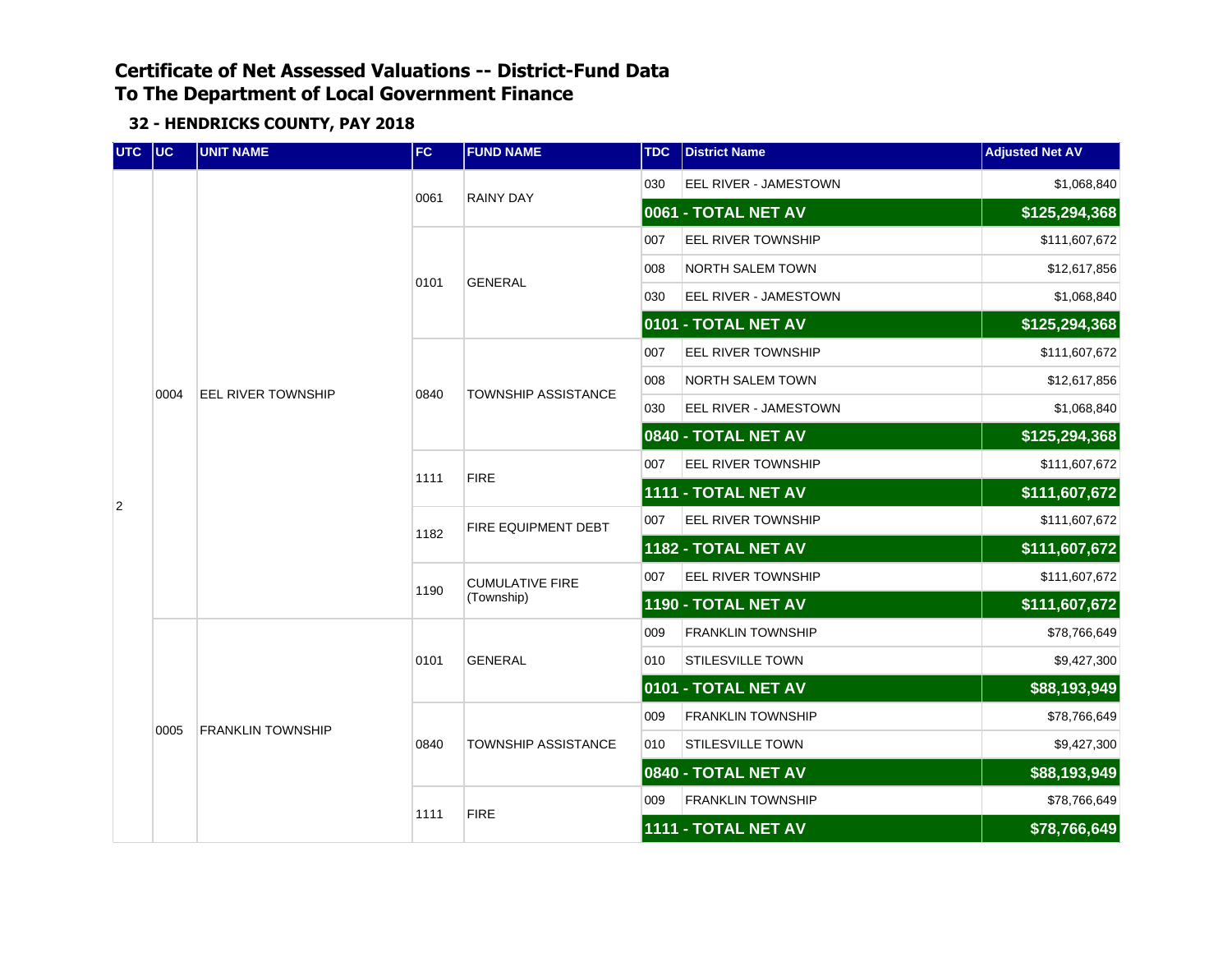| UTC UC         |      | <b>UNIT NAME</b>          | FC   | <b>FUND NAME</b>           | <b>TDC</b> | <b>District Name</b>     | <b>Adjusted Net AV</b> |
|----------------|------|---------------------------|------|----------------------------|------------|--------------------------|------------------------|
|                |      |                           | 0061 | <b>RAINY DAY</b>           | 030        | EEL RIVER - JAMESTOWN    | \$1,068,840            |
|                |      |                           |      |                            |            | 0061 - TOTAL NET AV      | \$125,294,368          |
|                |      |                           |      |                            | 007        | EEL RIVER TOWNSHIP       | \$111,607,672          |
|                |      |                           | 0101 | <b>GENERAL</b>             | 008        | NORTH SALEM TOWN         | \$12,617,856           |
|                |      |                           |      |                            | 030        | EEL RIVER - JAMESTOWN    | \$1,068,840            |
|                |      |                           |      |                            |            | 0101 - TOTAL NET AV      | \$125,294,368          |
|                |      |                           |      |                            | 007        | EEL RIVER TOWNSHIP       | \$111,607,672          |
|                | 0004 | <b>EEL RIVER TOWNSHIP</b> | 0840 | <b>TOWNSHIP ASSISTANCE</b> | 008        | NORTH SALEM TOWN         | \$12,617,856           |
|                |      |                           |      |                            | 030        | EEL RIVER - JAMESTOWN    | \$1,068,840            |
|                |      |                           |      |                            |            | 0840 - TOTAL NET AV      | \$125,294,368          |
|                |      |                           | 1111 | <b>FIRE</b>                | 007        | EEL RIVER TOWNSHIP       | \$111,607,672          |
| $\overline{2}$ |      |                           |      |                            |            | 1111 - TOTAL NET AV      | \$111,607,672          |
|                |      |                           | 1182 | FIRE EQUIPMENT DEBT        | 007        | EEL RIVER TOWNSHIP       | \$111,607,672          |
|                |      |                           | 1190 | <b>CUMULATIVE FIRE</b>     |            | 1182 - TOTAL NET AV      | \$111,607,672          |
|                |      |                           |      |                            | 007        | EEL RIVER TOWNSHIP       | \$111,607,672          |
|                |      |                           |      | (Township)                 |            | 1190 - TOTAL NET AV      | \$111,607,672          |
|                |      |                           |      |                            | 009        | <b>FRANKLIN TOWNSHIP</b> | \$78,766,649           |
|                |      |                           | 0101 | <b>GENERAL</b>             | 010        | <b>STILESVILLE TOWN</b>  | \$9,427,300            |
|                |      |                           |      |                            |            | 0101 - TOTAL NET AV      | \$88,193,949           |
|                | 0005 | <b>FRANKLIN TOWNSHIP</b>  |      |                            | 009        | <b>FRANKLIN TOWNSHIP</b> | \$78,766,649           |
|                |      |                           | 0840 | TOWNSHIP ASSISTANCE        | 010        | <b>STILESVILLE TOWN</b>  | \$9,427,300            |
|                |      |                           |      |                            |            | 0840 - TOTAL NET AV      | \$88,193,949           |
|                |      |                           | 1111 | <b>FIRE</b>                | 009        | <b>FRANKLIN TOWNSHIP</b> | \$78,766,649           |
|                |      |                           |      |                            |            | 1111 - TOTAL NET AV      | \$78,766,649           |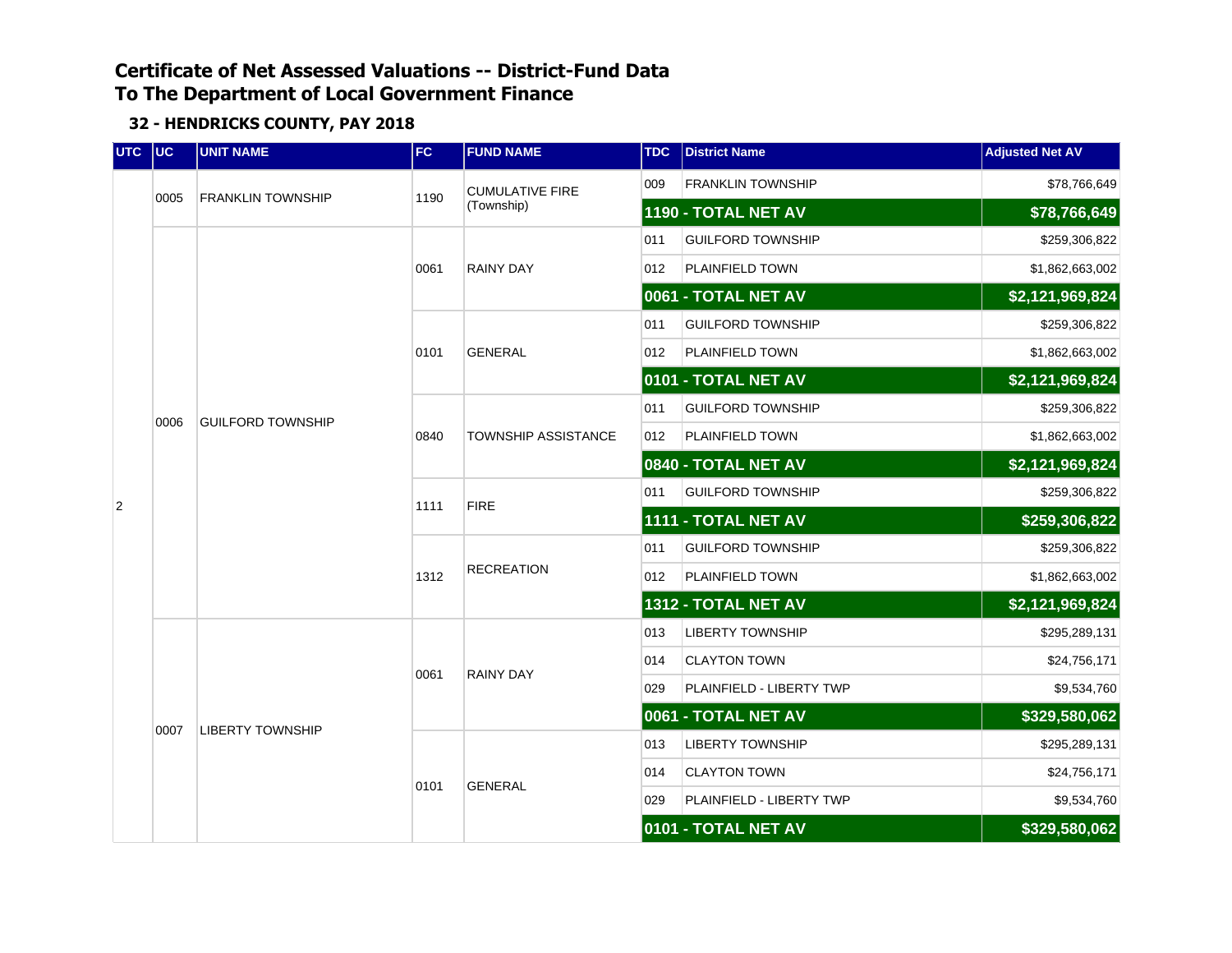| UTC UC         |      | <b>UNIT NAME</b>         | FC   | <b>FUND NAME</b>           | <b>TDC</b> | <b>District Name</b>     | <b>Adjusted Net AV</b> |
|----------------|------|--------------------------|------|----------------------------|------------|--------------------------|------------------------|
|                |      |                          |      | <b>CUMULATIVE FIRE</b>     | 009        | <b>FRANKLIN TOWNSHIP</b> | \$78,766,649           |
|                | 0005 | <b>FRANKLIN TOWNSHIP</b> | 1190 | (Township)                 |            | 1190 - TOTAL NET AV      | \$78,766,649           |
|                |      |                          |      |                            | 011        | <b>GUILFORD TOWNSHIP</b> | \$259,306,822          |
|                |      |                          | 0061 | <b>RAINY DAY</b>           | 012        | PLAINFIELD TOWN          | \$1,862,663,002        |
|                |      |                          |      |                            |            | 0061 - TOTAL NET AV      | \$2,121,969,824        |
|                |      |                          |      |                            | 011        | <b>GUILFORD TOWNSHIP</b> | \$259,306,822          |
|                | 0006 |                          | 0101 | <b>GENERAL</b>             | 012        | PLAINFIELD TOWN          | \$1,862,663,002        |
|                |      | <b>GUILFORD TOWNSHIP</b> |      |                            |            | 0101 - TOTAL NET AV      | \$2,121,969,824        |
|                |      |                          |      | <b>TOWNSHIP ASSISTANCE</b> | 011        | <b>GUILFORD TOWNSHIP</b> | \$259,306,822          |
|                |      |                          | 0840 |                            | 012        | <b>PLAINFIELD TOWN</b>   | \$1,862,663,002        |
|                |      |                          |      |                            |            | 0840 - TOTAL NET AV      | \$2,121,969,824        |
| $\overline{2}$ |      |                          | 1111 | <b>FIRE</b>                | 011        | <b>GUILFORD TOWNSHIP</b> | \$259,306,822          |
|                |      |                          |      |                            |            | 1111 - TOTAL NET AV      | \$259,306,822          |
|                |      |                          | 1312 | <b>RECREATION</b>          | 011        | <b>GUILFORD TOWNSHIP</b> | \$259,306,822          |
|                |      |                          |      |                            | 012        | PLAINFIELD TOWN          | \$1,862,663,002        |
|                |      |                          |      |                            |            | 1312 - TOTAL NET AV      | \$2,121,969,824        |
|                |      |                          |      |                            | 013        | <b>LIBERTY TOWNSHIP</b>  | \$295,289,131          |
|                |      |                          | 0061 | <b>RAINY DAY</b>           | 014        | <b>CLAYTON TOWN</b>      | \$24,756,171           |
|                |      |                          |      |                            | 029        | PLAINFIELD - LIBERTY TWP | \$9,534,760            |
|                | 0007 | <b>LIBERTY TOWNSHIP</b>  |      |                            |            | 0061 - TOTAL NET AV      | \$329,580,062          |
|                |      |                          |      |                            | 013        | <b>LIBERTY TOWNSHIP</b>  | \$295,289,131          |
|                |      |                          | 0101 | <b>GENERAL</b>             | 014        | <b>CLAYTON TOWN</b>      | \$24,756,171           |
|                |      |                          |      |                            | 029        | PLAINFIELD - LIBERTY TWP | \$9,534,760            |
|                |      |                          |      |                            |            | 0101 - TOTAL NET AV      | \$329,580,062          |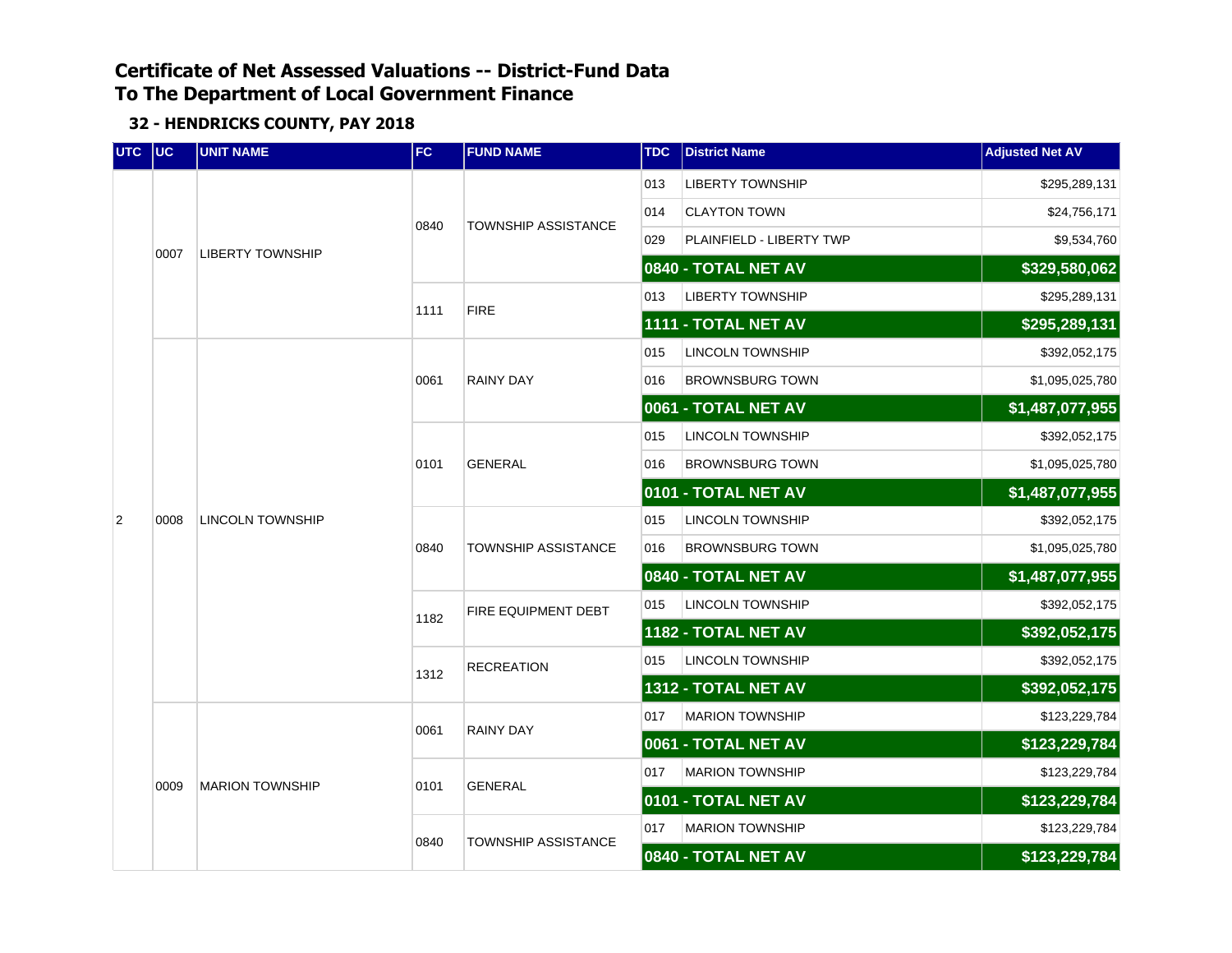| UTC UC       |      | <b>UNIT NAME</b>        | <b>FC</b> | <b>FUND NAME</b>           | <b>TDC</b> | <b>District Name</b>     | <b>Adjusted Net AV</b> |
|--------------|------|-------------------------|-----------|----------------------------|------------|--------------------------|------------------------|
|              |      |                         |           |                            | 013        | <b>LIBERTY TOWNSHIP</b>  | \$295,289,131          |
|              |      |                         |           | <b>TOWNSHIP ASSISTANCE</b> | 014        | <b>CLAYTON TOWN</b>      | \$24,756,171           |
|              | 0007 | <b>LIBERTY TOWNSHIP</b> | 0840      |                            | 029        | PLAINFIELD - LIBERTY TWP | \$9,534,760            |
|              |      |                         |           |                            |            | 0840 - TOTAL NET AV      | \$329,580,062          |
|              |      |                         | 1111      |                            | 013        | <b>LIBERTY TOWNSHIP</b>  | \$295,289,131          |
|              |      |                         |           | <b>FIRE</b>                |            | 1111 - TOTAL NET AV      | \$295,289,131          |
|              |      |                         |           |                            | 015        | <b>LINCOLN TOWNSHIP</b>  | \$392,052,175          |
|              | 0008 |                         | 0061      | <b>RAINY DAY</b>           | 016        | <b>BROWNSBURG TOWN</b>   | \$1,095,025,780        |
|              |      |                         |           |                            |            | 0061 - TOTAL NET AV      | \$1,487,077,955        |
|              |      | <b>LINCOLN TOWNSHIP</b> |           | <b>GENERAL</b>             | 015        | <b>LINCOLN TOWNSHIP</b>  | \$392,052,175          |
|              |      |                         | 0101      |                            | 016        | <b>BROWNSBURG TOWN</b>   | \$1,095,025,780        |
|              |      |                         |           |                            |            | 0101 - TOTAL NET AV      | \$1,487,077,955        |
| $\mathbf{2}$ |      |                         | 0840      | <b>TOWNSHIP ASSISTANCE</b> | 015        | <b>LINCOLN TOWNSHIP</b>  | \$392,052,175          |
|              |      |                         |           |                            | 016        | <b>BROWNSBURG TOWN</b>   | \$1,095,025,780        |
|              |      |                         |           |                            |            | 0840 - TOTAL NET AV      | \$1,487,077,955        |
|              |      |                         | 1182      | FIRE EQUIPMENT DEBT        | 015        | <b>LINCOLN TOWNSHIP</b>  | \$392,052,175          |
|              |      |                         |           |                            |            | 1182 - TOTAL NET AV      | \$392,052,175          |
|              |      |                         | 1312      | <b>RECREATION</b>          | 015        | <b>LINCOLN TOWNSHIP</b>  | \$392,052,175          |
|              |      |                         |           |                            |            | 1312 - TOTAL NET AV      | \$392,052,175          |
|              |      |                         | 0061      | <b>RAINY DAY</b>           | 017        | <b>MARION TOWNSHIP</b>   | \$123,229,784          |
|              |      |                         |           |                            |            | 0061 - TOTAL NET AV      | \$123,229,784          |
|              | 0009 | <b>MARION TOWNSHIP</b>  | 0101      | <b>GENERAL</b>             | 017        | <b>MARION TOWNSHIP</b>   | \$123,229,784          |
|              |      |                         |           |                            |            | 0101 - TOTAL NET AV      | \$123,229,784          |
|              |      |                         | 0840      |                            | 017        | <b>MARION TOWNSHIP</b>   | \$123,229,784          |
|              |      |                         |           | <b>TOWNSHIP ASSISTANCE</b> |            | 0840 - TOTAL NET AV      | \$123,229,784          |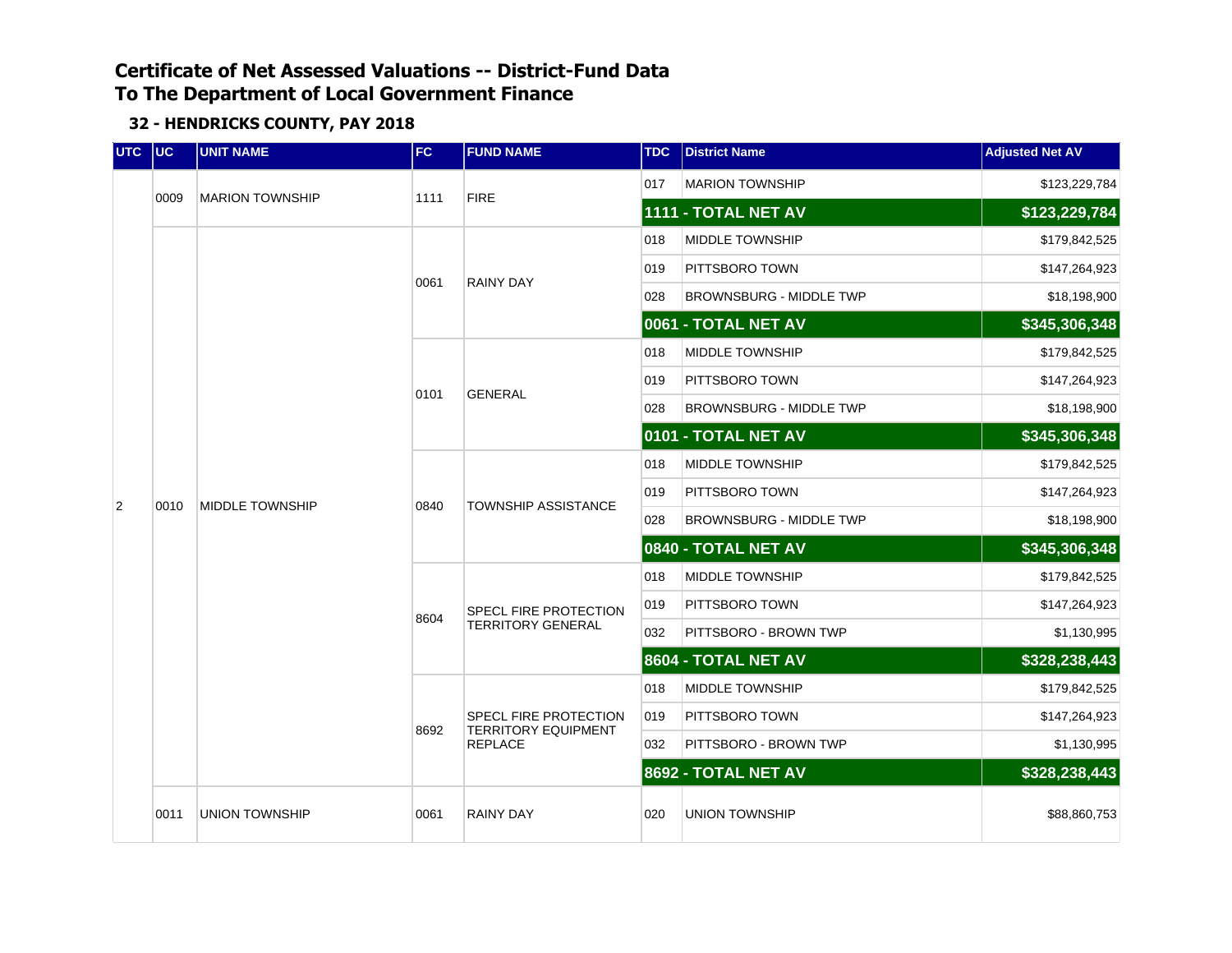| UTC UC |      | <b>UNIT NAME</b>       | FC   | <b>FUND NAME</b>                                           | <b>TDC</b> | <b>District Name</b>           | <b>Adjusted Net AV</b> |
|--------|------|------------------------|------|------------------------------------------------------------|------------|--------------------------------|------------------------|
|        | 0009 | <b>MARION TOWNSHIP</b> | 1111 | <b>FIRE</b>                                                | 017        | <b>MARION TOWNSHIP</b>         | \$123,229,784          |
|        |      |                        |      |                                                            |            | 1111 - TOTAL NET AV            | \$123,229,784          |
|        |      |                        |      |                                                            | 018        | MIDDLE TOWNSHIP                | \$179,842,525          |
|        |      |                        | 0061 | <b>RAINY DAY</b>                                           | 019        | PITTSBORO TOWN                 | \$147,264,923          |
|        |      |                        |      |                                                            | 028        | <b>BROWNSBURG - MIDDLE TWP</b> | \$18,198,900           |
|        |      |                        |      |                                                            |            | 0061 - TOTAL NET AV            | \$345,306,348          |
|        |      |                        |      |                                                            | 018        | MIDDLE TOWNSHIP                | \$179,842,525          |
|        |      |                        | 0101 | <b>GENERAL</b>                                             | 019        | PITTSBORO TOWN                 | \$147,264,923          |
|        |      | <b>MIDDLE TOWNSHIP</b> |      |                                                            | 028        | <b>BROWNSBURG - MIDDLE TWP</b> | \$18,198,900           |
|        |      |                        |      |                                                            |            | 0101 - TOTAL NET AV            | \$345,306,348          |
|        |      |                        |      |                                                            | 018        | <b>MIDDLE TOWNSHIP</b>         | \$179,842,525          |
| 2      | 0010 |                        | 0840 | <b>TOWNSHIP ASSISTANCE</b>                                 | 019        | PITTSBORO TOWN                 | \$147,264,923          |
|        |      |                        |      |                                                            | 028        | <b>BROWNSBURG - MIDDLE TWP</b> | \$18,198,900           |
|        |      |                        |      |                                                            |            | 0840 - TOTAL NET AV            | \$345,306,348          |
|        |      |                        |      |                                                            | 018        | <b>MIDDLE TOWNSHIP</b>         | \$179,842,525          |
|        |      |                        | 8604 | <b>SPECL FIRE PROTECTION</b>                               | 019        | PITTSBORO TOWN                 | \$147,264,923          |
|        |      |                        |      | <b>TERRITORY GENERAL</b>                                   | 032        | PITTSBORO - BROWN TWP          | \$1,130,995            |
|        |      |                        |      |                                                            |            | 8604 - TOTAL NET AV            | \$328,238,443          |
|        |      |                        |      |                                                            | 018        | <b>MIDDLE TOWNSHIP</b>         | \$179,842,525          |
|        |      |                        | 8692 | <b>SPECL FIRE PROTECTION</b><br><b>TERRITORY EQUIPMENT</b> | 019        | PITTSBORO TOWN                 | \$147,264,923          |
|        |      |                        |      | <b>REPLACE</b>                                             | 032        | PITTSBORO - BROWN TWP          | \$1,130,995            |
|        |      |                        |      |                                                            |            | 8692 - TOTAL NET AV            | \$328,238,443          |
|        | 0011 | <b>UNION TOWNSHIP</b>  | 0061 | <b>RAINY DAY</b>                                           | 020        | <b>UNION TOWNSHIP</b>          | \$88,860,753           |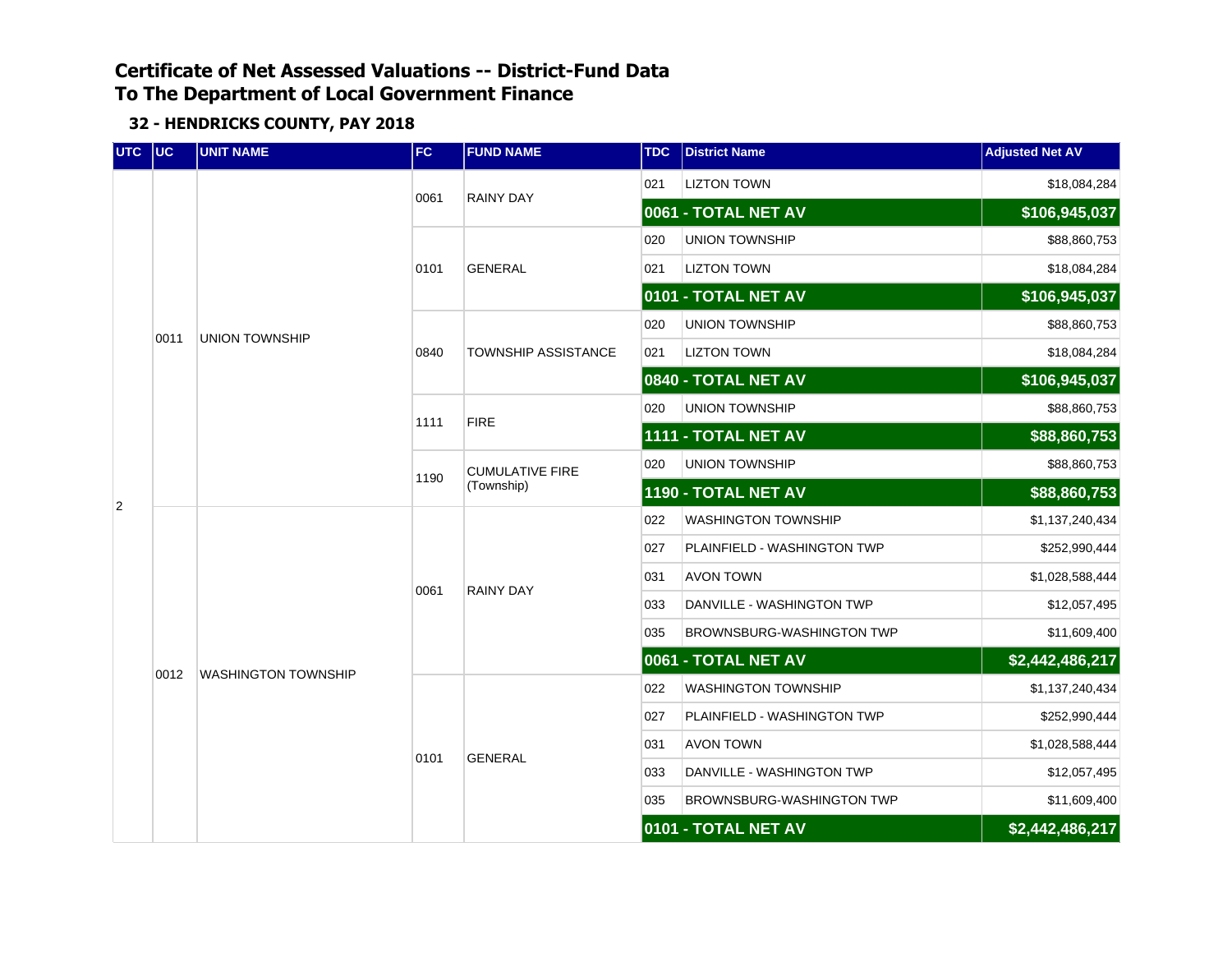| UTC UC         |      | <b>UNIT NAME</b>           | FC   | <b>FUND NAME</b>       | <b>TDC</b> | <b>District Name</b>        | <b>Adjusted Net AV</b> |
|----------------|------|----------------------------|------|------------------------|------------|-----------------------------|------------------------|
|                |      |                            |      | <b>RAINY DAY</b>       | 021        | <b>LIZTON TOWN</b>          | \$18,084,284           |
|                |      |                            | 0061 |                        |            | 0061 - TOTAL NET AV         | \$106,945,037          |
|                |      |                            |      |                        | 020        | <b>UNION TOWNSHIP</b>       | \$88,860,753           |
|                |      |                            | 0101 | <b>GENERAL</b>         | 021        | <b>LIZTON TOWN</b>          | \$18,084,284           |
|                |      |                            |      |                        |            | 0101 - TOTAL NET AV         | \$106,945,037          |
|                | 0011 | <b>UNION TOWNSHIP</b>      |      |                        | 020        | <b>UNION TOWNSHIP</b>       | \$88,860,753           |
|                |      |                            | 0840 | TOWNSHIP ASSISTANCE    | 021        | <b>LIZTON TOWN</b>          | \$18,084,284           |
|                |      |                            |      |                        |            | 0840 - TOTAL NET AV         | \$106,945,037          |
|                |      |                            | 1111 | <b>FIRE</b>            | 020        | <b>UNION TOWNSHIP</b>       | \$88,860,753           |
|                |      |                            |      |                        |            | 1111 - TOTAL NET AV         | \$88,860,753           |
|                |      |                            | 1190 | <b>CUMULATIVE FIRE</b> | 020        | <b>UNION TOWNSHIP</b>       | \$88,860,753           |
| $\overline{2}$ |      |                            |      | (Township)             |            | 1190 - TOTAL NET AV         | \$88,860,753           |
|                |      |                            | 0061 | <b>RAINY DAY</b>       | 022        | WASHINGTON TOWNSHIP         | \$1,137,240,434        |
|                |      |                            |      |                        | 027        | PLAINFIELD - WASHINGTON TWP | \$252,990,444          |
|                |      |                            |      |                        | 031        | <b>AVON TOWN</b>            | \$1,028,588,444        |
|                |      |                            |      |                        | 033        | DANVILLE - WASHINGTON TWP   | \$12,057,495           |
|                |      |                            |      |                        | 035        | BROWNSBURG-WASHINGTON TWP   | \$11,609,400           |
|                | 0012 | <b>WASHINGTON TOWNSHIP</b> |      |                        |            | 0061 - TOTAL NET AV         | \$2,442,486,217        |
|                |      |                            |      |                        | 022        | <b>WASHINGTON TOWNSHIP</b>  | \$1,137,240,434        |
|                |      |                            |      |                        | 027        | PLAINFIELD - WASHINGTON TWP | \$252,990,444          |
|                |      |                            |      |                        | 031        | <b>AVON TOWN</b>            | \$1,028,588,444        |
|                |      |                            | 0101 | <b>GENERAL</b>         | 033        | DANVILLE - WASHINGTON TWP   | \$12,057,495           |
|                |      |                            |      |                        | 035        | BROWNSBURG-WASHINGTON TWP   | \$11,609,400           |
|                |      |                            |      |                        |            | 0101 - TOTAL NET AV         | \$2,442,486,217        |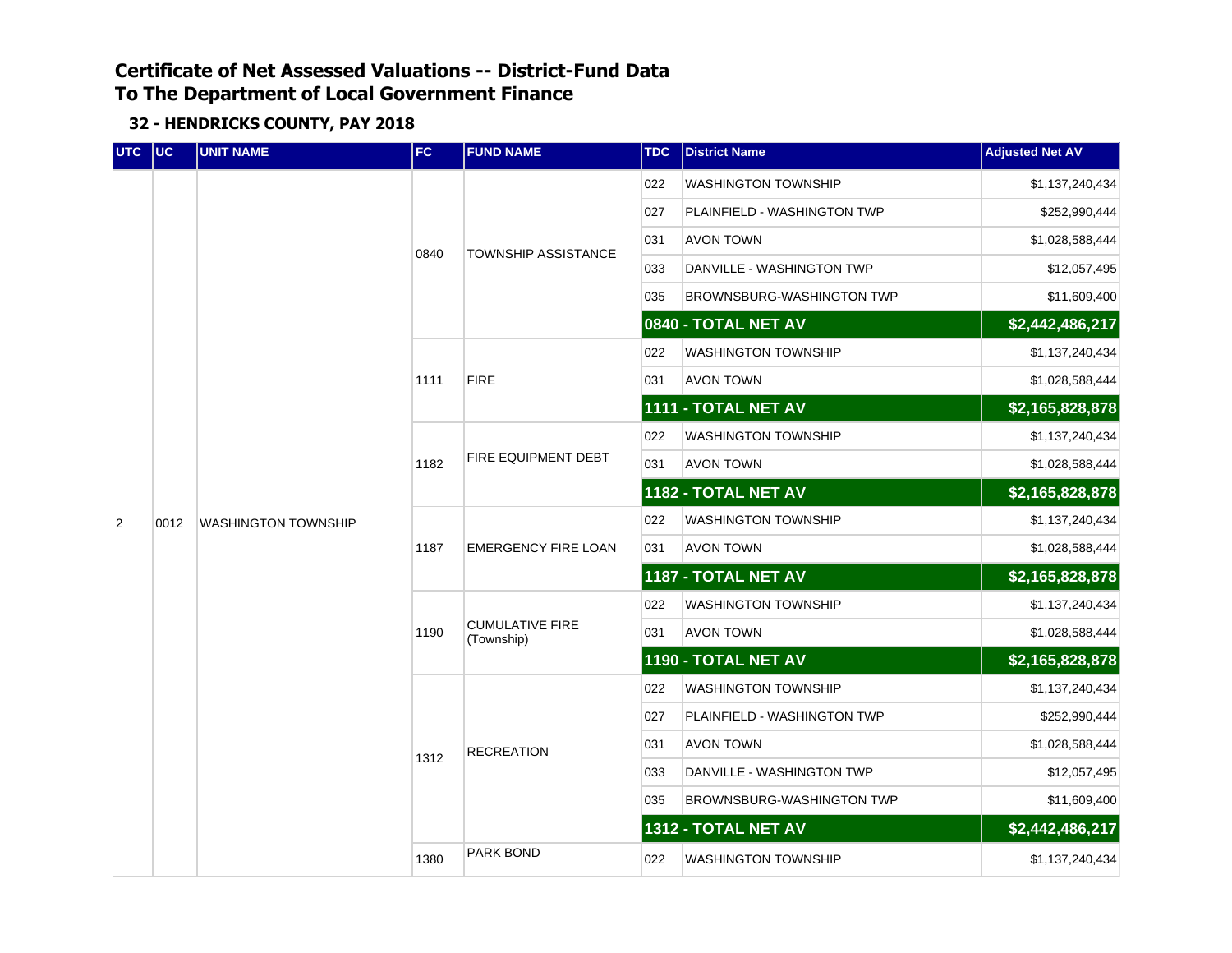| UTC UC |      | <b>UNIT NAME</b>           | <b>FC</b> | <b>FUND NAME</b>                     | <b>TDC</b> | <b>District Name</b>             | <b>Adjusted Net AV</b> |
|--------|------|----------------------------|-----------|--------------------------------------|------------|----------------------------------|------------------------|
|        |      |                            |           |                                      | 022        | <b>WASHINGTON TOWNSHIP</b>       | \$1,137,240,434        |
|        |      |                            |           |                                      | 027        | PLAINFIELD - WASHINGTON TWP      | \$252,990,444          |
|        |      |                            |           | <b>TOWNSHIP ASSISTANCE</b>           | 031        | <b>AVON TOWN</b>                 | \$1,028,588,444        |
|        |      |                            | 0840      |                                      | 033        | DANVILLE - WASHINGTON TWP        | \$12,057,495           |
|        |      |                            |           |                                      | 035        | <b>BROWNSBURG-WASHINGTON TWP</b> | \$11,609,400           |
|        |      |                            |           |                                      |            | 0840 - TOTAL NET AV              | \$2,442,486,217        |
|        |      |                            |           |                                      | 022        | <b>WASHINGTON TOWNSHIP</b>       | \$1,137,240,434        |
|        |      |                            | 1111      | <b>FIRE</b>                          | 031        | <b>AVON TOWN</b>                 | \$1,028,588,444        |
|        |      |                            |           |                                      |            | 1111 - TOTAL NET AV              | \$2,165,828,878        |
|        | 0012 | <b>WASHINGTON TOWNSHIP</b> |           |                                      | 022        | <b>WASHINGTON TOWNSHIP</b>       | \$1,137,240,434        |
|        |      |                            | 1182      | FIRE EQUIPMENT DEBT                  | 031        | <b>AVON TOWN</b>                 | \$1,028,588,444        |
|        |      |                            |           |                                      |            | 1182 - TOTAL NET AV              | \$2,165,828,878        |
| 2      |      |                            | 1187      |                                      | 022        | <b>WASHINGTON TOWNSHIP</b>       | \$1,137,240,434        |
|        |      |                            |           | <b>EMERGENCY FIRE LOAN</b>           | 031        | <b>AVON TOWN</b>                 | \$1,028,588,444        |
|        |      |                            |           |                                      |            | 1187 - TOTAL NET AV              | \$2,165,828,878        |
|        |      |                            |           | <b>CUMULATIVE FIRE</b><br>(Township) | 022        | <b>WASHINGTON TOWNSHIP</b>       | \$1,137,240,434        |
|        |      |                            | 1190      |                                      | 031        | AVON TOWN                        | \$1,028,588,444        |
|        |      |                            |           |                                      |            | 1190 - TOTAL NET AV              | \$2,165,828,878        |
|        |      |                            |           |                                      | 022        | <b>WASHINGTON TOWNSHIP</b>       | \$1,137,240,434        |
|        |      |                            |           |                                      | 027        | PLAINFIELD - WASHINGTON TWP      | \$252,990,444          |
|        |      |                            | 1312      | <b>RECREATION</b>                    | 031        | AVON TOWN                        | \$1,028,588,444        |
|        |      |                            |           |                                      | 033        | DANVILLE - WASHINGTON TWP        | \$12,057,495           |
|        |      |                            |           |                                      | 035        | BROWNSBURG-WASHINGTON TWP        | \$11,609,400           |
|        |      |                            |           |                                      |            | 1312 - TOTAL NET AV              | \$2,442,486,217        |
|        |      |                            | 1380      | PARK BOND                            | 022        | <b>WASHINGTON TOWNSHIP</b>       | \$1,137,240,434        |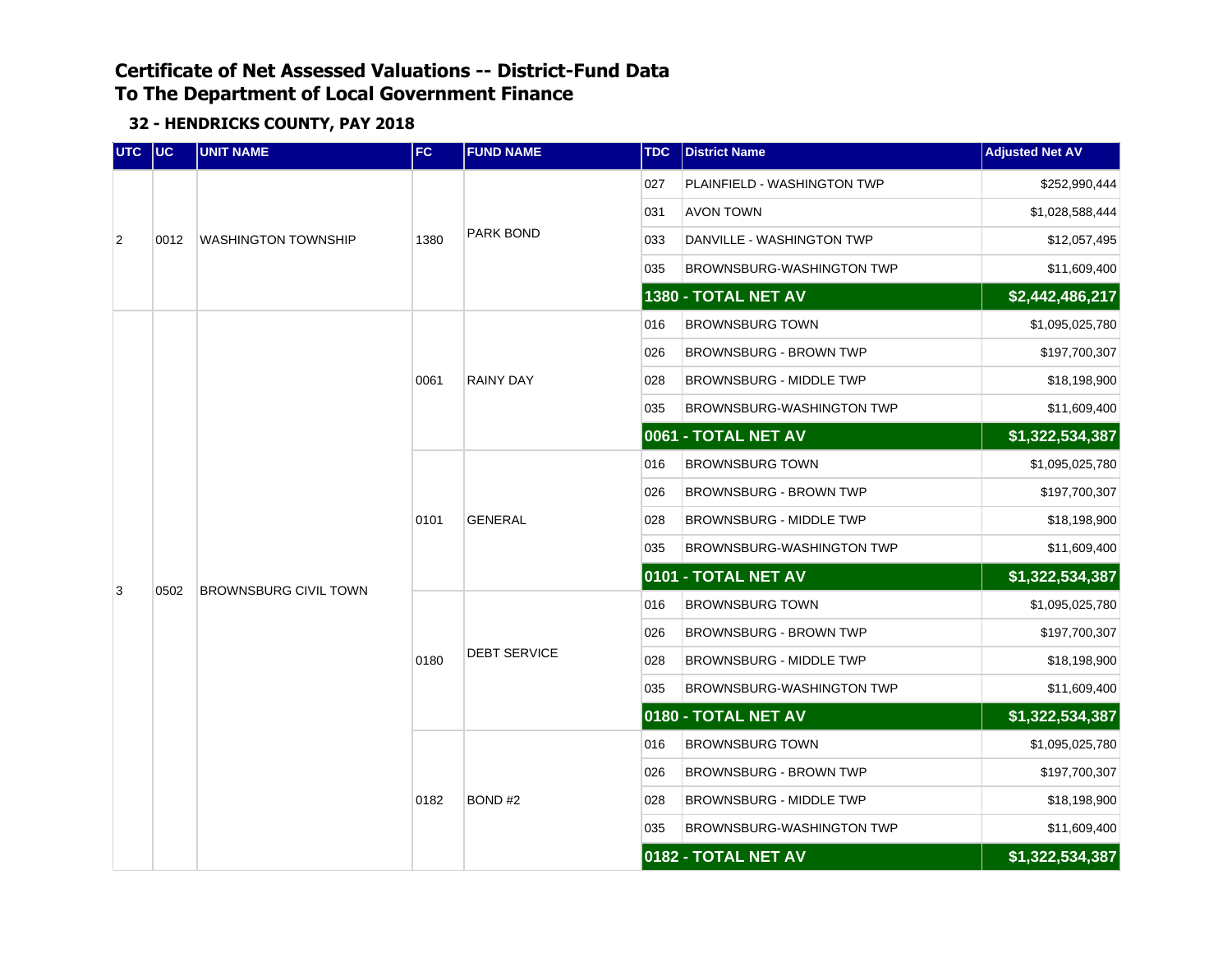| UTC UC         |      | <b>UNIT NAME</b>             | FC.  | <b>FUND NAME</b>    | <b>TDC</b> | <b>District Name</b>             | <b>Adjusted Net AV</b> |
|----------------|------|------------------------------|------|---------------------|------------|----------------------------------|------------------------|
|                |      |                              |      |                     | 027        | PLAINFIELD - WASHINGTON TWP      | \$252,990,444          |
|                |      |                              |      |                     | 031        | <b>AVON TOWN</b>                 | \$1,028,588,444        |
| $\overline{2}$ | 0012 | <b>WASHINGTON TOWNSHIP</b>   | 1380 | <b>PARK BOND</b>    | 033        | DANVILLE - WASHINGTON TWP        | \$12,057,495           |
|                |      |                              |      |                     | 035        | BROWNSBURG-WASHINGTON TWP        | \$11,609,400           |
|                |      |                              |      |                     |            | 1380 - TOTAL NET AV              | \$2,442,486,217        |
|                |      |                              |      |                     | 016        | <b>BROWNSBURG TOWN</b>           | \$1,095,025,780        |
|                |      |                              |      |                     | 026        | <b>BROWNSBURG - BROWN TWP</b>    | \$197,700,307          |
|                |      |                              | 0061 | <b>RAINY DAY</b>    | 028        | <b>BROWNSBURG - MIDDLE TWP</b>   | \$18,198,900           |
|                |      |                              |      |                     | 035        | <b>BROWNSBURG-WASHINGTON TWP</b> | \$11,609,400           |
|                |      | <b>BROWNSBURG CIVIL TOWN</b> |      |                     |            | 0061 - TOTAL NET AV              | \$1,322,534,387        |
|                |      |                              | 0101 | <b>GENERAL</b>      | 016        | <b>BROWNSBURG TOWN</b>           | \$1,095,025,780        |
|                |      |                              |      |                     | 026        | BROWNSBURG - BROWN TWP           | \$197,700,307          |
|                |      |                              |      |                     | 028        | <b>BROWNSBURG - MIDDLE TWP</b>   | \$18,198,900           |
|                |      |                              |      |                     | 035        | BROWNSBURG-WASHINGTON TWP        | \$11,609,400           |
| 3              | 0502 |                              |      |                     |            | 0101 - TOTAL NET AV              | \$1,322,534,387        |
|                |      |                              |      |                     | 016        | <b>BROWNSBURG TOWN</b>           | \$1,095,025,780        |
|                |      |                              |      |                     | 026        | <b>BROWNSBURG - BROWN TWP</b>    | \$197,700,307          |
|                |      |                              | 0180 | <b>DEBT SERVICE</b> | 028        | <b>BROWNSBURG - MIDDLE TWP</b>   | \$18,198,900           |
|                |      |                              |      |                     | 035        | BROWNSBURG-WASHINGTON TWP        | \$11,609,400           |
|                |      |                              |      |                     |            | 0180 - TOTAL NET AV              | \$1,322,534,387        |
|                |      |                              |      |                     | 016        | <b>BROWNSBURG TOWN</b>           | \$1,095,025,780        |
|                |      |                              |      |                     | 026        | BROWNSBURG - BROWN TWP           | \$197,700,307          |
|                |      |                              | 0182 | BOND#2              | 028        | BROWNSBURG - MIDDLE TWP          | \$18,198,900           |
|                |      |                              |      |                     | 035        | BROWNSBURG-WASHINGTON TWP        | \$11,609,400           |
|                |      |                              |      |                     |            | 0182 - TOTAL NET AV              | \$1,322,534,387        |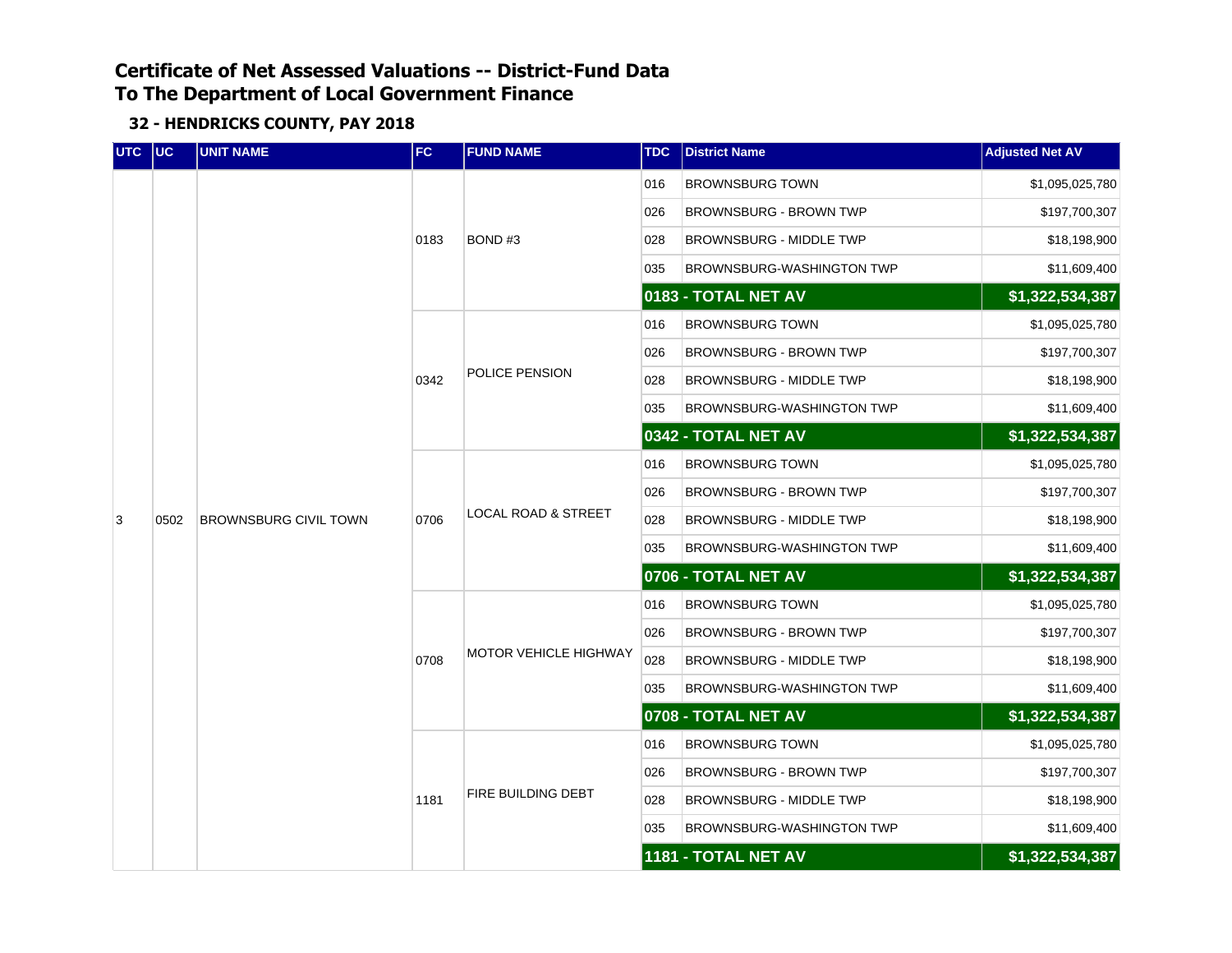| UTC UC |      | <b>UNIT NAME</b>             | FC   | <b>FUND NAME</b>               | <b>TDC</b> | <b>District Name</b>           | <b>Adjusted Net AV</b> |
|--------|------|------------------------------|------|--------------------------------|------------|--------------------------------|------------------------|
|        |      |                              |      |                                | 016        | <b>BROWNSBURG TOWN</b>         | \$1,095,025,780        |
|        |      |                              |      |                                | 026        | <b>BROWNSBURG - BROWN TWP</b>  | \$197,700,307          |
|        |      |                              | 0183 | BOND#3                         | 028        | <b>BROWNSBURG - MIDDLE TWP</b> | \$18,198,900           |
|        |      |                              |      |                                | 035        | BROWNSBURG-WASHINGTON TWP      | \$11,609,400           |
|        |      |                              |      |                                |            | 0183 - TOTAL NET AV            | \$1,322,534,387        |
|        |      |                              |      |                                | 016        | <b>BROWNSBURG TOWN</b>         | \$1,095,025,780        |
|        |      |                              |      |                                | 026        | <b>BROWNSBURG - BROWN TWP</b>  | \$197,700,307          |
|        |      |                              | 0342 | POLICE PENSION                 | 028        | BROWNSBURG - MIDDLE TWP        | \$18,198,900           |
|        |      |                              |      |                                | 035        | BROWNSBURG-WASHINGTON TWP      | \$11,609,400           |
|        |      |                              |      |                                |            | 0342 - TOTAL NET AV            | \$1,322,534,387        |
|        |      | <b>BROWNSBURG CIVIL TOWN</b> |      |                                | 016        | <b>BROWNSBURG TOWN</b>         | \$1,095,025,780        |
|        |      |                              | 0706 |                                | 026        | <b>BROWNSBURG - BROWN TWP</b>  | \$197,700,307          |
| 3      | 0502 |                              |      | <b>LOCAL ROAD &amp; STREET</b> | 028        | <b>BROWNSBURG - MIDDLE TWP</b> | \$18,198,900           |
|        |      |                              |      |                                | 035        | BROWNSBURG-WASHINGTON TWP      | \$11,609,400           |
|        |      |                              |      |                                |            | 0706 - TOTAL NET AV            | \$1,322,534,387        |
|        |      |                              |      |                                | 016        | <b>BROWNSBURG TOWN</b>         | \$1,095,025,780        |
|        |      |                              |      |                                | 026        | <b>BROWNSBURG - BROWN TWP</b>  | \$197,700,307          |
|        |      |                              | 0708 | MOTOR VEHICLE HIGHWAY          | 028        | BROWNSBURG - MIDDLE TWP        | \$18,198,900           |
|        |      |                              |      |                                | 035        | BROWNSBURG-WASHINGTON TWP      | \$11,609,400           |
|        |      |                              |      |                                |            | 0708 - TOTAL NET AV            | \$1,322,534,387        |
|        |      |                              |      |                                | 016        | <b>BROWNSBURG TOWN</b>         | \$1,095,025,780        |
|        |      |                              |      |                                | 026        | <b>BROWNSBURG - BROWN TWP</b>  | \$197,700,307          |
|        |      |                              | 1181 | FIRE BUILDING DEBT             | 028        | <b>BROWNSBURG - MIDDLE TWP</b> | \$18,198,900           |
|        |      |                              |      |                                | 035        | BROWNSBURG-WASHINGTON TWP      | \$11,609,400           |
|        |      |                              |      |                                |            | 1181 - TOTAL NET AV            | \$1,322,534,387        |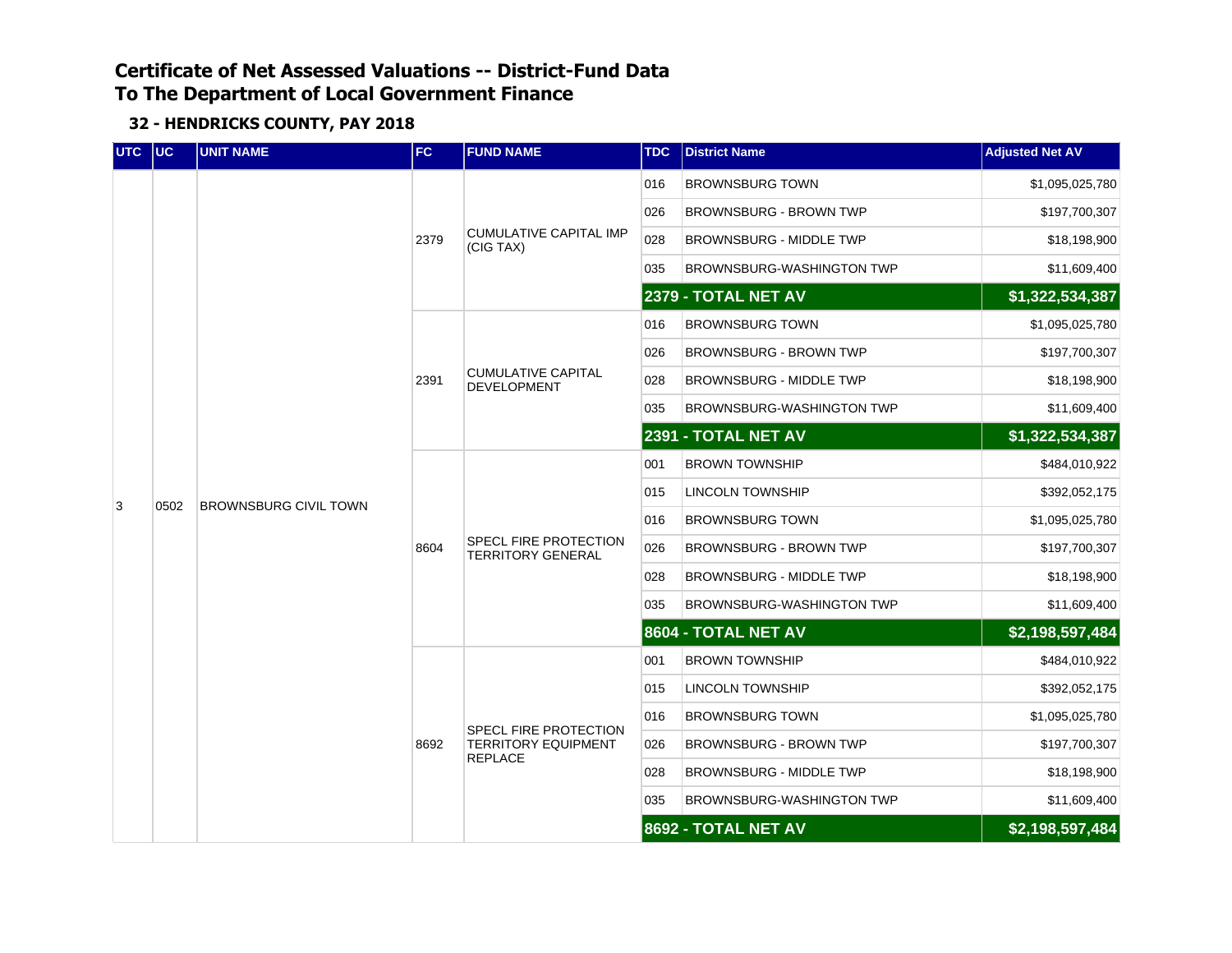| <b>UTC</b> | $ $ UC | <b>UNIT NAME</b>             | <b>FC</b> | <b>FUND NAME</b>                                  | <b>TDC</b> | <b>District Name</b>             | <b>Adjusted Net AV</b>                                                                                                                   |
|------------|--------|------------------------------|-----------|---------------------------------------------------|------------|----------------------------------|------------------------------------------------------------------------------------------------------------------------------------------|
|            |        |                              |           |                                                   | 016        | <b>BROWNSBURG TOWN</b>           | \$1,095,025,780                                                                                                                          |
|            |        |                              |           |                                                   | 026        | <b>BROWNSBURG - BROWN TWP</b>    | \$197,700,307                                                                                                                            |
|            |        |                              | 2379      | <b>CUMULATIVE CAPITAL IMP</b><br>(CIG TAX)        | 028        | BROWNSBURG - MIDDLE TWP          | \$18,198,900                                                                                                                             |
|            |        |                              |           |                                                   | 035        | <b>BROWNSBURG-WASHINGTON TWP</b> | \$11,609,400                                                                                                                             |
|            |        |                              |           |                                                   |            | <b>2379 - TOTAL NET AV</b>       | \$1,322,534,387                                                                                                                          |
|            |        |                              |           |                                                   | 016        | <b>BROWNSBURG TOWN</b>           | \$1,095,025,780                                                                                                                          |
|            |        |                              |           |                                                   | 026        | <b>BROWNSBURG - BROWN TWP</b>    | \$197,700,307                                                                                                                            |
|            |        |                              | 2391      | <b>CUMULATIVE CAPITAL</b><br><b>DEVELOPMENT</b>   | 028        | <b>BROWNSBURG - MIDDLE TWP</b>   | \$18,198,900                                                                                                                             |
|            |        |                              |           |                                                   | 035        | <b>BROWNSBURG-WASHINGTON TWP</b> | \$11,609,400                                                                                                                             |
|            |        | <b>BROWNSBURG CIVIL TOWN</b> |           |                                                   |            | 2391 - TOTAL NET AV              | \$1,322,534,387                                                                                                                          |
|            | 0502   |                              | 8604      | SPECL FIRE PROTECTION<br><b>TERRITORY GENERAL</b> | 001        | <b>BROWN TOWNSHIP</b>            | \$484,010,922                                                                                                                            |
| 3          |        |                              |           |                                                   | 015        | <b>LINCOLN TOWNSHIP</b>          | \$392,052,175                                                                                                                            |
|            |        |                              |           |                                                   | 016        | <b>BROWNSBURG TOWN</b>           | \$1,095,025,780                                                                                                                          |
|            |        |                              |           |                                                   | 026        | <b>BROWNSBURG - BROWN TWP</b>    | \$197,700,307                                                                                                                            |
|            |        |                              |           |                                                   | 028        | <b>BROWNSBURG - MIDDLE TWP</b>   | \$18,198,900                                                                                                                             |
|            |        |                              |           |                                                   | 035        | <b>BROWNSBURG-WASHINGTON TWP</b> | \$11,609,400                                                                                                                             |
|            |        |                              |           |                                                   |            | 8604 - TOTAL NET AV              | \$2,198,597,484<br>\$484,010,922<br>\$392,052,175<br>\$1,095,025,780<br>\$197,700,307<br>\$18,198,900<br>\$11,609,400<br>\$2,198,597,484 |
|            |        |                              |           |                                                   | 001        | <b>BROWN TOWNSHIP</b>            |                                                                                                                                          |
|            |        |                              |           |                                                   | 015        | LINCOLN TOWNSHIP                 |                                                                                                                                          |
|            |        |                              |           | <b>SPECL FIRE PROTECTION</b>                      | 016        | <b>BROWNSBURG TOWN</b>           |                                                                                                                                          |
|            |        |                              | 8692      | <b>TERRITORY EQUIPMENT</b><br><b>REPLACE</b>      | 026        | <b>BROWNSBURG - BROWN TWP</b>    |                                                                                                                                          |
|            |        |                              |           |                                                   | 028        | <b>BROWNSBURG - MIDDLE TWP</b>   |                                                                                                                                          |
|            |        |                              |           |                                                   | 035        | BROWNSBURG-WASHINGTON TWP        |                                                                                                                                          |
|            |        |                              |           |                                                   |            | 8692 - TOTAL NET AV              |                                                                                                                                          |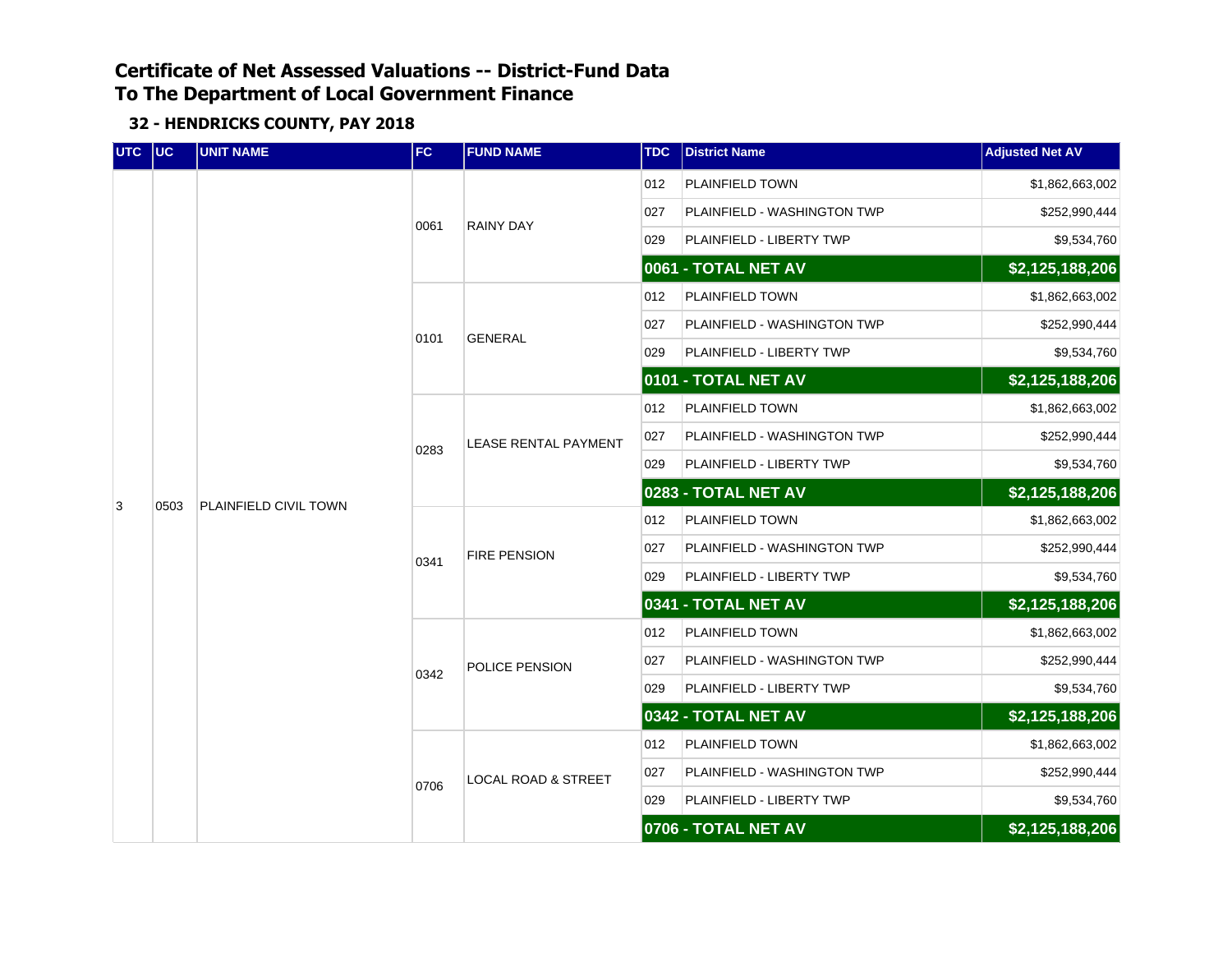| UTC UC |      | <b>UNIT NAME</b>      | FC   | <b>FUND NAME</b>               | <b>TDC</b> | <b>District Name</b>        | <b>Adjusted Net AV</b> |
|--------|------|-----------------------|------|--------------------------------|------------|-----------------------------|------------------------|
|        |      |                       |      |                                | 012        | PLAINFIELD TOWN             | \$1,862,663,002        |
|        |      |                       | 0061 | <b>RAINY DAY</b>               | 027        | PLAINFIELD - WASHINGTON TWP | \$252,990,444          |
|        |      |                       |      |                                | 029        | PLAINFIELD - LIBERTY TWP    | \$9,534,760            |
|        |      |                       |      |                                |            | 0061 - TOTAL NET AV         | \$2,125,188,206        |
|        |      |                       |      |                                | 012        | PLAINFIELD TOWN             | \$1,862,663,002        |
|        |      |                       | 0101 | <b>GENERAL</b>                 | 027        | PLAINFIELD - WASHINGTON TWP | \$252,990,444          |
|        | 0503 |                       |      |                                | 029        | PLAINFIELD - LIBERTY TWP    | \$9,534,760            |
|        |      |                       |      |                                |            | 0101 - TOTAL NET AV         | \$2,125,188,206        |
|        |      | PLAINFIELD CIVIL TOWN |      |                                | 012        | PLAINFIELD TOWN             | \$1,862,663,002        |
|        |      |                       | 0283 | <b>LEASE RENTAL PAYMENT</b>    | 027        | PLAINFIELD - WASHINGTON TWP | \$252,990,444          |
|        |      |                       |      |                                | 029        | PLAINFIELD - LIBERTY TWP    | \$9,534,760            |
| 3      |      |                       |      |                                |            | 0283 - TOTAL NET AV         | $\sqrt{2,125,188,206}$ |
|        |      |                       | 0341 |                                | 012        | PLAINFIELD TOWN             | \$1,862,663,002        |
|        |      |                       |      | <b>FIRE PENSION</b>            | 027        | PLAINFIELD - WASHINGTON TWP | \$252,990,444          |
|        |      |                       |      |                                | 029        | PLAINFIELD - LIBERTY TWP    | \$9,534,760            |
|        |      |                       |      |                                |            | 0341 - TOTAL NET AV         | \$2,125,188,206        |
|        |      |                       |      |                                | 012        | PLAINFIELD TOWN             | \$1,862,663,002        |
|        |      |                       | 0342 | POLICE PENSION                 | 027        | PLAINFIELD - WASHINGTON TWP | \$252,990,444          |
|        |      |                       |      |                                | 029        | PLAINFIELD - LIBERTY TWP    | \$9,534,760            |
|        |      |                       |      |                                |            | 0342 - TOTAL NET AV         | \$2,125,188,206        |
|        |      |                       |      |                                | 012        | PLAINFIELD TOWN             | \$1,862,663,002        |
|        |      |                       | 0706 | <b>LOCAL ROAD &amp; STREET</b> | 027        | PLAINFIELD - WASHINGTON TWP | \$252,990,444          |
|        |      |                       |      |                                | 029        | PLAINFIELD - LIBERTY TWP    | \$9,534,760            |
|        |      |                       |      |                                |            | 0706 - TOTAL NET AV         | \$2,125,188,206        |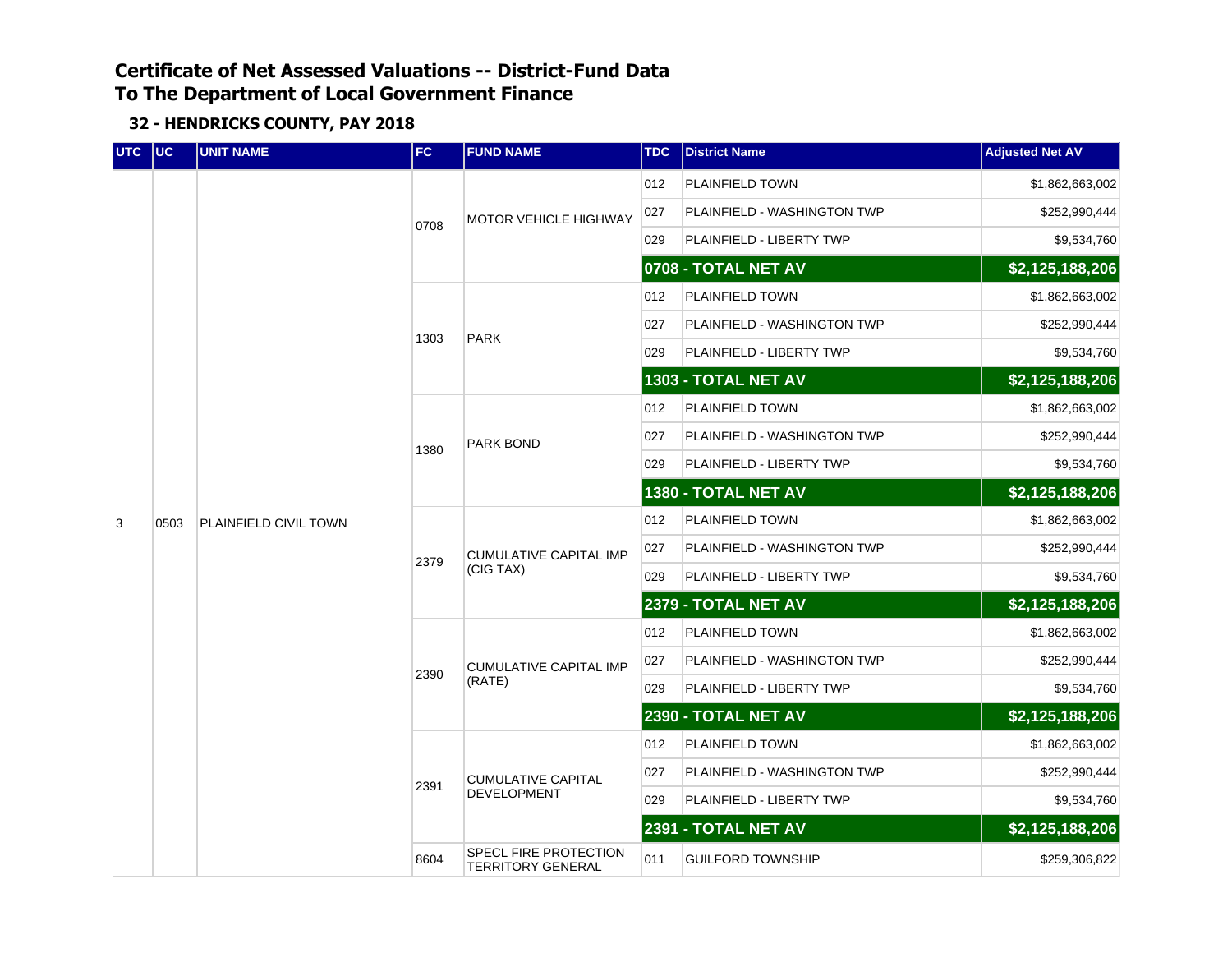| UTC UC |      | <b>UNIT NAME</b>      | FC   | <b>FUND NAME</b>                                  | <b>TDC</b> | <b>District Name</b>        | <b>Adjusted Net AV</b> |
|--------|------|-----------------------|------|---------------------------------------------------|------------|-----------------------------|------------------------|
|        |      |                       |      |                                                   | 012        | PLAINFIELD TOWN             | \$1,862,663,002        |
|        |      |                       | 0708 | <b>MOTOR VEHICLE HIGHWAY</b>                      | 027        | PLAINFIELD - WASHINGTON TWP | \$252,990,444          |
|        |      |                       |      |                                                   | 029        | PLAINFIELD - LIBERTY TWP    | \$9,534,760            |
|        |      |                       |      |                                                   |            | 0708 - TOTAL NET AV         | \$2,125,188,206        |
|        |      |                       |      |                                                   | 012        | PLAINFIELD TOWN             | \$1,862,663,002        |
|        |      |                       | 1303 | <b>PARK</b>                                       | 027        | PLAINFIELD - WASHINGTON TWP | \$252,990,444          |
|        |      |                       |      |                                                   | 029        | PLAINFIELD - LIBERTY TWP    | \$9,534,760            |
|        |      |                       |      |                                                   |            | 1303 - TOTAL NET AV         | \$2,125,188,206        |
|        |      |                       |      |                                                   | 012        | PLAINFIELD TOWN             | \$1,862,663,002        |
|        |      | PLAINFIELD CIVIL TOWN | 1380 | <b>PARK BOND</b>                                  | 027        | PLAINFIELD - WASHINGTON TWP | \$252,990,444          |
|        |      |                       |      |                                                   | 029        | PLAINFIELD - LIBERTY TWP    | \$9,534,760            |
|        |      |                       |      |                                                   |            | 1380 - TOTAL NET AV         | \$2,125,188,206        |
| 3      | 0503 |                       | 2379 |                                                   | 012        | PLAINFIELD TOWN             | \$1,862,663,002        |
|        |      |                       |      | <b>CUMULATIVE CAPITAL IMP</b>                     | 027        | PLAINFIELD - WASHINGTON TWP | \$252,990,444          |
|        |      |                       |      | (CIG TAX)                                         | 029        | PLAINFIELD - LIBERTY TWP    | \$9,534,760            |
|        |      |                       |      |                                                   |            | 2379 - TOTAL NET AV         | \$2,125,188,206        |
|        |      |                       |      |                                                   | 012        | PLAINFIELD TOWN             | \$1,862,663,002        |
|        |      |                       | 2390 | <b>CUMULATIVE CAPITAL IMP</b>                     | 027        | PLAINFIELD - WASHINGTON TWP | \$252,990,444          |
|        |      |                       |      | (RATE)                                            | 029        | PLAINFIELD - LIBERTY TWP    | \$9,534,760            |
|        |      |                       |      |                                                   |            | 2390 - TOTAL NET AV         | \$2,125,188,206        |
|        |      |                       |      |                                                   | 012        | PLAINFIELD TOWN             | \$1,862,663,002        |
|        |      |                       | 2391 | <b>CUMULATIVE CAPITAL</b>                         | 027        | PLAINFIELD - WASHINGTON TWP | \$252,990,444          |
|        |      |                       |      | <b>DEVELOPMENT</b>                                | 029        | PLAINFIELD - LIBERTY TWP    | \$9,534,760            |
|        |      |                       |      |                                                   |            | 2391 - TOTAL NET AV         | \$2,125,188,206        |
|        |      |                       | 8604 | SPECL FIRE PROTECTION<br><b>TERRITORY GENERAL</b> | 011        | <b>GUILFORD TOWNSHIP</b>    | \$259,306,822          |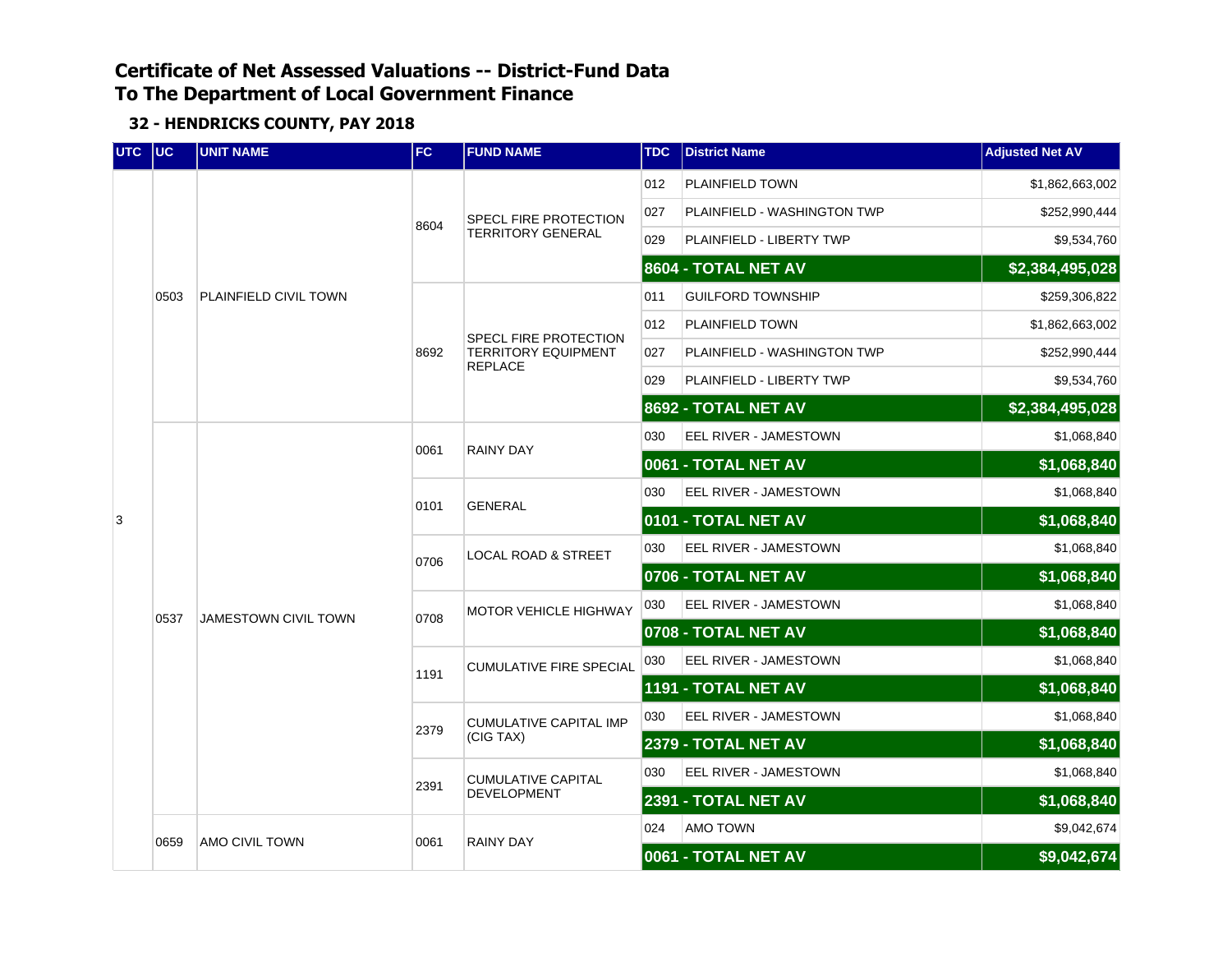| UTC UC |      | <b>UNIT NAME</b>            | FC           | <b>FUND NAME</b>                             | <b>TDC</b> | <b>District Name</b>        | <b>Adjusted Net AV</b> |
|--------|------|-----------------------------|--------------|----------------------------------------------|------------|-----------------------------|------------------------|
|        |      |                             |              |                                              | 012        | PLAINFIELD TOWN             | \$1,862,663,002        |
|        |      |                             |              | SPECL FIRE PROTECTION                        | 027        | PLAINFIELD - WASHINGTON TWP | \$252,990,444          |
|        |      |                             | 8604         | <b>TERRITORY GENERAL</b>                     | 029        | PLAINFIELD - LIBERTY TWP    | \$9,534,760            |
|        |      |                             |              |                                              |            | 8604 - TOTAL NET AV         | \$2,384,495,028        |
|        | 0503 | PLAINFIELD CIVIL TOWN       |              |                                              | 011        | <b>GUILFORD TOWNSHIP</b>    | \$259,306,822          |
|        |      |                             |              | SPECL FIRE PROTECTION                        | 012        | <b>PLAINFIELD TOWN</b>      | \$1,862,663,002        |
|        |      |                             | 8692         | <b>TERRITORY EQUIPMENT</b><br><b>REPLACE</b> | 027        | PLAINFIELD - WASHINGTON TWP | \$252,990,444          |
|        |      |                             |              |                                              | 029        | PLAINFIELD - LIBERTY TWP    | \$9,534,760            |
|        |      |                             |              |                                              |            | 8692 - TOTAL NET AV         | \$2,384,495,028        |
|        |      |                             | 0061         | <b>RAINY DAY</b>                             | 030        | EEL RIVER - JAMESTOWN       | \$1,068,840            |
|        |      | <b>JAMESTOWN CIVIL TOWN</b> |              |                                              |            | 0061 - TOTAL NET AV         | \$1,068,840            |
|        |      |                             | 0101         | <b>GENERAL</b>                               | 030        | EEL RIVER - JAMESTOWN       | \$1,068,840            |
| 3      |      |                             |              |                                              |            | 0101 - TOTAL NET AV         | \$1,068,840            |
|        |      |                             | 0706<br>0708 | <b>LOCAL ROAD &amp; STREET</b>               | 030        | EEL RIVER - JAMESTOWN       | \$1,068,840            |
|        |      |                             |              |                                              |            | 0706 - TOTAL NET AV         | \$1,068,840            |
|        | 0537 |                             |              | <b>MOTOR VEHICLE HIGHWAY</b>                 | 030        | EEL RIVER - JAMESTOWN       | \$1,068,840            |
|        |      |                             |              |                                              |            | 0708 - TOTAL NET AV         | \$1,068,840            |
|        |      |                             | 1191         | <b>CUMULATIVE FIRE SPECIAL</b>               | 030        | EEL RIVER - JAMESTOWN       | \$1,068,840            |
|        |      |                             |              |                                              |            | 1191 - TOTAL NET AV         | \$1,068,840            |
|        |      |                             | 2379         | <b>CUMULATIVE CAPITAL IMP</b>                | 030        | EEL RIVER - JAMESTOWN       | \$1,068,840            |
|        |      |                             |              | (CIG TAX)                                    |            | <b>2379 - TOTAL NET AV</b>  | \$1,068,840            |
|        |      |                             | 2391         | <b>CUMULATIVE CAPITAL</b>                    | 030        | EEL RIVER - JAMESTOWN       | \$1,068,840            |
|        |      |                             |              | DEVELOPMENT                                  |            | 2391 - TOTAL NET AV         | \$1,068,840            |
|        |      | AMO CIVIL TOWN              | 0061         | <b>RAINY DAY</b>                             | 024        | AMO TOWN                    | \$9,042,674            |
|        | 0659 |                             |              |                                              |            | 0061 - TOTAL NET AV         | \$9,042,674            |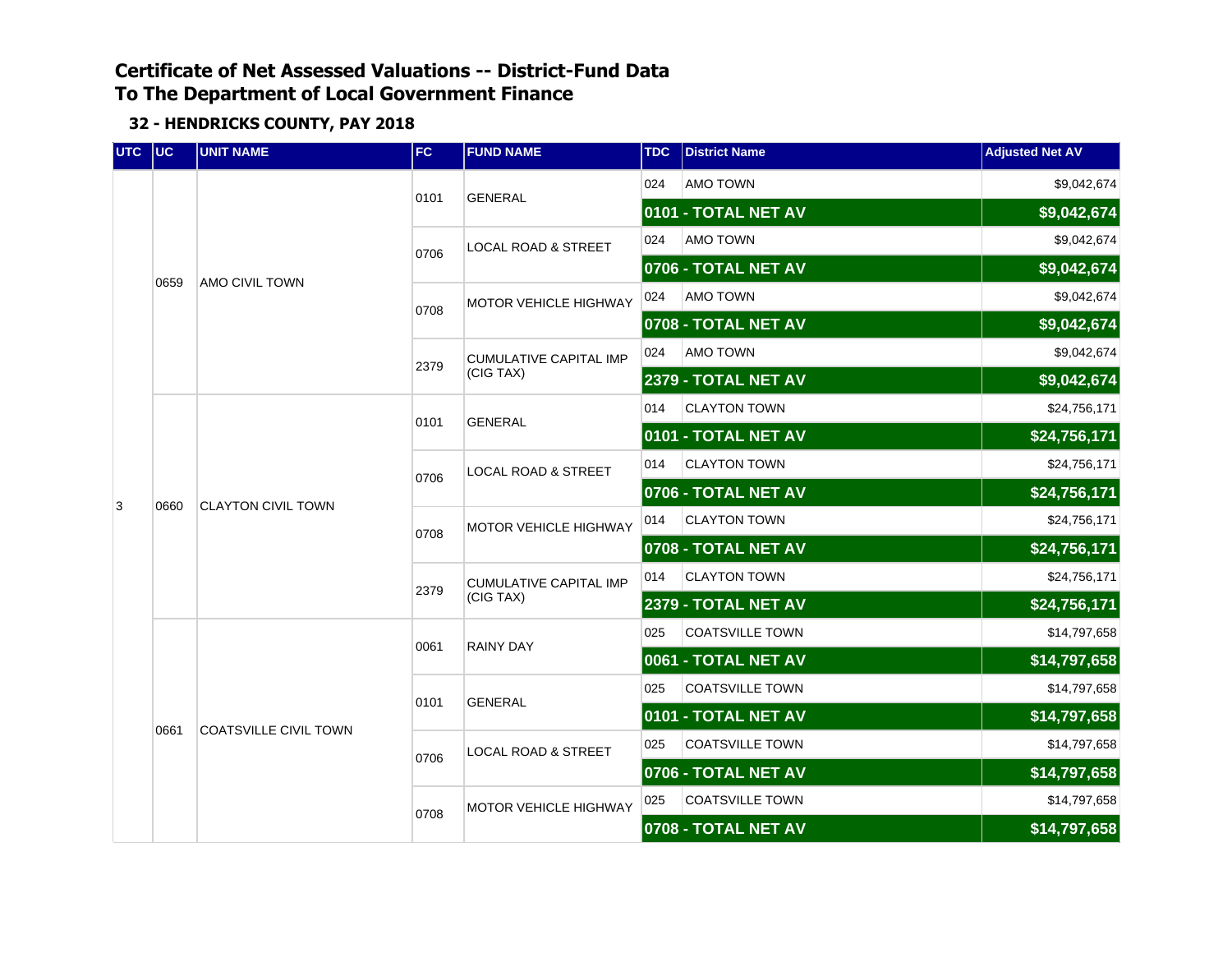| UTC | $ $ UC | <b>UNIT NAME</b>          | <b>FC</b> | <b>FUND NAME</b>               | <b>TDC</b>                 | <b>District Name</b>       | <b>Adjusted Net AV</b> |
|-----|--------|---------------------------|-----------|--------------------------------|----------------------------|----------------------------|------------------------|
|     |        |                           | 0101      | <b>GENERAL</b>                 | 024                        | AMO TOWN                   | \$9,042,674            |
|     |        |                           |           |                                |                            | 0101 - TOTAL NET AV        | \$9,042,674            |
|     |        |                           | 0706      | <b>LOCAL ROAD &amp; STREET</b> | 024                        | <b>AMO TOWN</b>            | \$9,042,674            |
|     | 0659   | <b>AMO CIVIL TOWN</b>     |           |                                |                            | 0706 - TOTAL NET AV        | \$9,042,674            |
|     |        |                           | 0708      | <b>MOTOR VEHICLE HIGHWAY</b>   | 024                        | <b>AMO TOWN</b>            | \$9,042,674            |
|     |        |                           |           |                                |                            | 0708 - TOTAL NET AV        | \$9,042,674            |
|     |        |                           | 2379      | <b>CUMULATIVE CAPITAL IMP</b>  | 024                        | <b>AMO TOWN</b>            | \$9,042,674            |
|     |        |                           |           | (CIG TAX)                      |                            | 2379 - TOTAL NET AV        | \$9,042,674            |
|     | 0660   |                           | 0101      | <b>GENERAL</b>                 | 014<br><b>CLAYTON TOWN</b> |                            | \$24,756,171           |
|     |        | <b>CLAYTON CIVIL TOWN</b> |           |                                |                            | 0101 - TOTAL NET AV        | \$24,756,171           |
|     |        |                           | 0706      | <b>LOCAL ROAD &amp; STREET</b> | 014                        | <b>CLAYTON TOWN</b>        | \$24,756,171           |
| 3   |        |                           |           |                                |                            | 0706 - TOTAL NET AV        | \$24,756,171           |
|     |        |                           | 0708      | <b>MOTOR VEHICLE HIGHWAY</b>   | 014                        | <b>CLAYTON TOWN</b>        | \$24,756,171           |
|     |        |                           | 2379      | <b>CUMULATIVE CAPITAL IMP</b>  |                            | 0708 - TOTAL NET AV        | \$24,756,171           |
|     |        |                           |           |                                | 014                        | <b>CLAYTON TOWN</b>        | \$24,756,171           |
|     |        |                           |           | (CIG TAX)                      |                            | <b>2379 - TOTAL NET AV</b> | \$24,756,171           |
|     |        |                           | 0061      | <b>RAINY DAY</b>               | 025                        | <b>COATSVILLE TOWN</b>     | \$14,797,658           |
|     |        |                           |           |                                |                            | 0061 - TOTAL NET AV        | \$14,797,658           |
|     |        |                           | 0101      | <b>GENERAL</b>                 | 025                        | <b>COATSVILLE TOWN</b>     | \$14,797,658           |
|     | 0661   | COATSVILLE CIVIL TOWN     |           |                                |                            | 0101 - TOTAL NET AV        | \$14,797,658           |
|     |        |                           | 0706      | <b>LOCAL ROAD &amp; STREET</b> | 025                        | <b>COATSVILLE TOWN</b>     | \$14,797,658           |
|     |        |                           |           |                                |                            | 0706 - TOTAL NET AV        | \$14,797,658           |
|     |        |                           | 0708      | <b>MOTOR VEHICLE HIGHWAY</b>   | 025                        | <b>COATSVILLE TOWN</b>     | \$14,797,658           |
|     |        |                           |           |                                |                            | 0708 - TOTAL NET AV        | \$14,797,658           |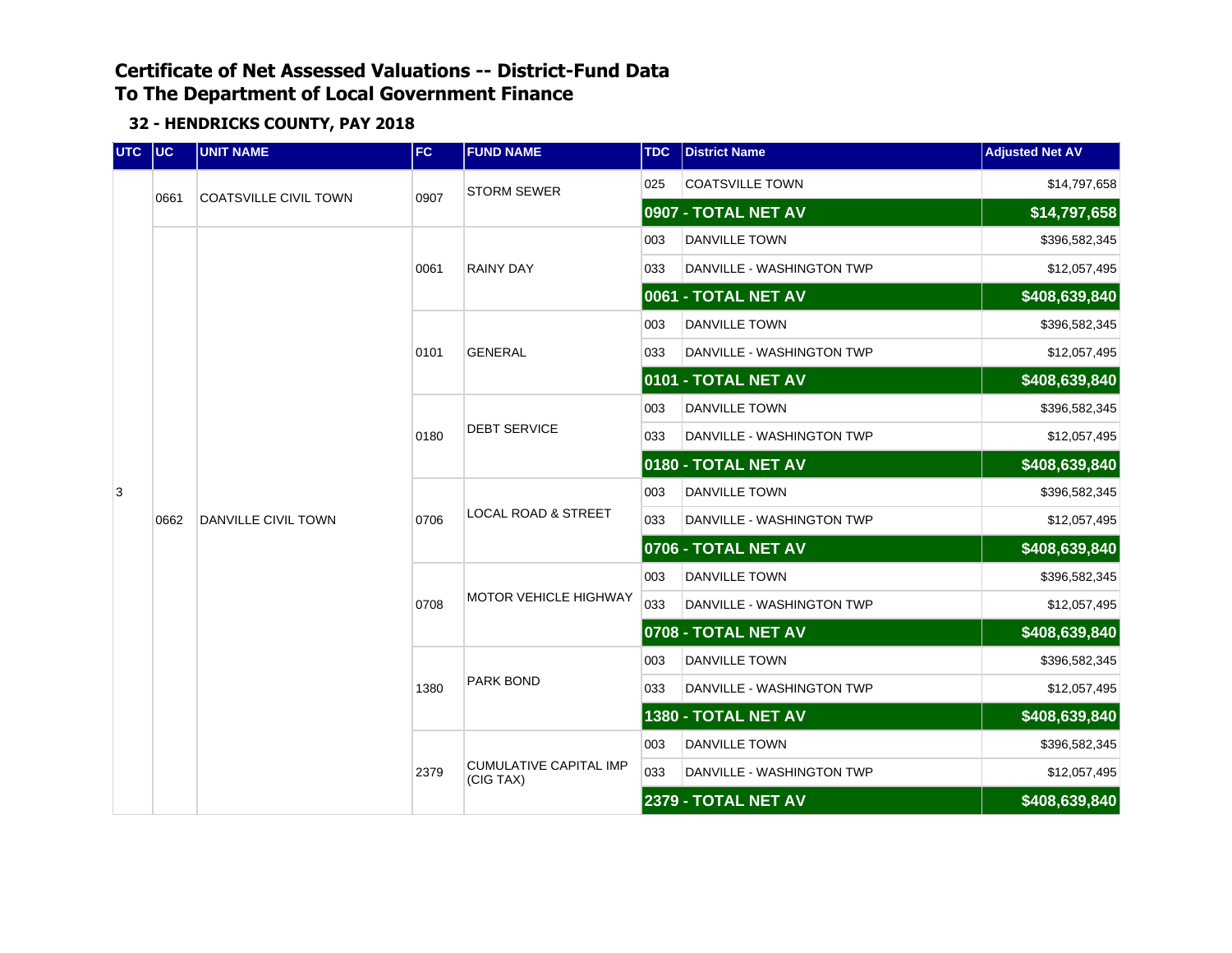| <b>UTC</b> | $ $ UC | <b>UNIT NAME</b>             | FC.  | <b>FUND NAME</b>                           | <b>TDC</b> | <b>District Name</b>      | <b>Adjusted Net AV</b> |
|------------|--------|------------------------------|------|--------------------------------------------|------------|---------------------------|------------------------|
|            |        | <b>COATSVILLE CIVIL TOWN</b> | 0907 | <b>STORM SEWER</b>                         | 025        | <b>COATSVILLE TOWN</b>    | \$14,797,658           |
|            | 0661   |                              |      |                                            |            | 0907 - TOTAL NET AV       | \$14,797,658           |
|            |        |                              |      |                                            | 003        | <b>DANVILLE TOWN</b>      | \$396,582,345          |
|            |        |                              | 0061 | <b>RAINY DAY</b>                           | 033        | DANVILLE - WASHINGTON TWP | \$12,057,495           |
|            |        |                              |      |                                            |            | 0061 - TOTAL NET AV       | \$408,639,840          |
|            |        |                              |      |                                            | 003        | <b>DANVILLE TOWN</b>      | \$396,582,345          |
|            |        |                              | 0101 | <b>GENERAL</b>                             | 033        | DANVILLE - WASHINGTON TWP | \$12,057,495           |
|            |        |                              |      |                                            |            | 0101 - TOTAL NET AV       | \$408,639,840          |
|            |        |                              |      |                                            | 003        | <b>DANVILLE TOWN</b>      | \$396,582,345          |
|            |        |                              | 0180 | <b>DEBT SERVICE</b>                        | 033        | DANVILLE - WASHINGTON TWP | \$12,057,495           |
|            |        |                              |      |                                            |            | 0180 - TOTAL NET AV       | \$408,639,840          |
| 3          |        | DANVILLE CIVIL TOWN          | 0706 |                                            | 003        | <b>DANVILLE TOWN</b>      | \$396,582,345          |
|            | 0662   |                              |      | <b>LOCAL ROAD &amp; STREET</b>             | 033        | DANVILLE - WASHINGTON TWP | \$12,057,495           |
|            |        |                              |      |                                            |            | 0706 - TOTAL NET AV       | \$408,639,840          |
|            |        |                              |      |                                            | 003        | <b>DANVILLE TOWN</b>      | \$396,582,345          |
|            |        |                              | 0708 | <b>MOTOR VEHICLE HIGHWAY</b>               | 033        | DANVILLE - WASHINGTON TWP | \$12,057,495           |
|            |        |                              |      |                                            |            | 0708 - TOTAL NET AV       | \$408,639,840          |
|            |        |                              |      |                                            | 003        | DANVILLE TOWN             | \$396,582,345          |
|            |        |                              | 1380 | <b>PARK BOND</b>                           | 033        | DANVILLE - WASHINGTON TWP | \$12,057,495           |
|            |        |                              |      |                                            |            | 1380 - TOTAL NET AV       | \$408,639,840          |
|            |        |                              |      |                                            | 003        | <b>DANVILLE TOWN</b>      | \$396,582,345          |
|            |        |                              | 2379 | <b>CUMULATIVE CAPITAL IMP</b><br>(CIG TAX) | 033        | DANVILLE - WASHINGTON TWP | \$12,057,495           |
|            |        |                              |      |                                            |            | 2379 - TOTAL NET AV       | \$408,639,840          |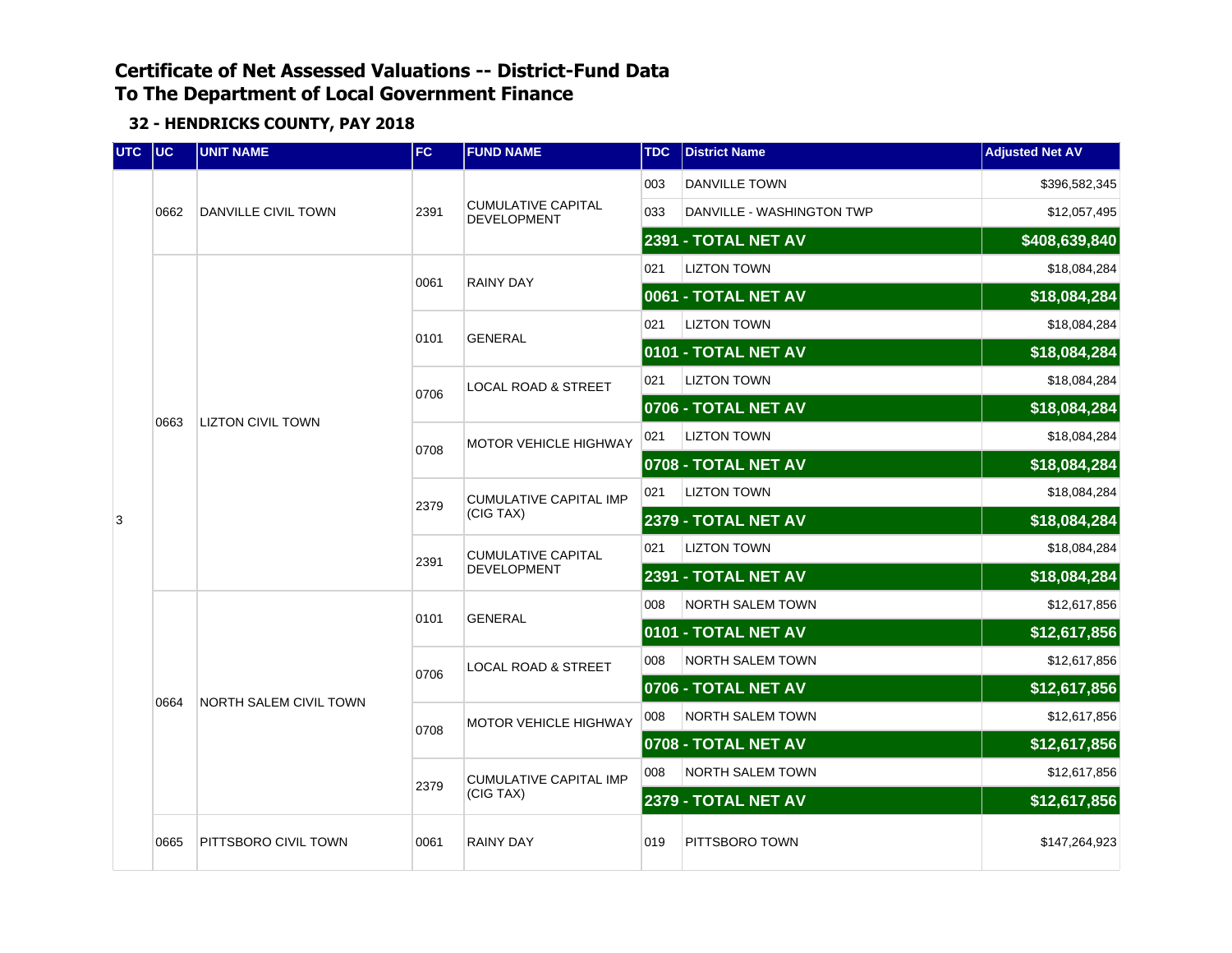| <b>UTC</b> | $ $ UC | <b>UNIT NAME</b>              | FC.  | <b>FUND NAME</b>                         | <b>TDC</b> | <b>District Name</b>      | <b>Adjusted Net AV</b> |
|------------|--------|-------------------------------|------|------------------------------------------|------------|---------------------------|------------------------|
|            |        |                               |      |                                          | 003        | <b>DANVILLE TOWN</b>      | \$396,582,345          |
|            | 0662   | DANVILLE CIVIL TOWN           | 2391 | <b>CUMULATIVE CAPITAL</b><br>DEVELOPMENT | 033        | DANVILLE - WASHINGTON TWP | \$12,057,495           |
|            |        |                               |      |                                          |            | 2391 - TOTAL NET AV       | \$408,639,840          |
|            |        |                               | 0061 | <b>RAINY DAY</b>                         | 021        | <b>LIZTON TOWN</b>        | \$18,084,284           |
|            |        |                               |      |                                          |            | 0061 - TOTAL NET AV       | \$18,084,284           |
|            | 0663   |                               | 0101 | <b>GENERAL</b>                           | 021        | <b>LIZTON TOWN</b>        | \$18,084,284           |
|            |        |                               |      |                                          |            | 0101 - TOTAL NET AV       | \$18,084,284           |
|            |        |                               | 0706 | LOCAL ROAD & STREET                      | 021        | <b>LIZTON TOWN</b>        | \$18,084,284           |
|            |        |                               |      |                                          |            | 0706 - TOTAL NET AV       | \$18,084,284           |
|            |        | <b>LIZTON CIVIL TOWN</b>      | 0708 | MOTOR VEHICLE HIGHWAY                    | 021        | <b>LIZTON TOWN</b>        | \$18,084,284           |
|            |        |                               |      |                                          |            | 0708 - TOTAL NET AV       | \$18,084,284           |
|            |        |                               | 2379 | <b>CUMULATIVE CAPITAL IMP</b>            | 021        | <b>LIZTON TOWN</b>        | \$18,084,284           |
| 3          |        |                               |      | (CIG TAX)                                |            | 2379 - TOTAL NET AV       | \$18,084,284           |
|            |        |                               | 2391 | <b>CUMULATIVE CAPITAL</b>                | 021        | <b>LIZTON TOWN</b>        | \$18,084,284           |
|            |        |                               |      | DEVELOPMENT                              |            | 2391 - TOTAL NET AV       | \$18,084,284           |
|            |        |                               | 0101 | <b>GENERAL</b>                           | 008        | NORTH SALEM TOWN          | \$12,617,856           |
|            |        |                               |      |                                          |            | 0101 - TOTAL NET AV       | \$12,617,856           |
|            |        |                               | 0706 | <b>LOCAL ROAD &amp; STREET</b>           | 008        | <b>NORTH SALEM TOWN</b>   | \$12,617,856           |
|            | 0664   | <b>NORTH SALEM CIVIL TOWN</b> |      |                                          |            | 0706 - TOTAL NET AV       | \$12,617,856           |
|            |        |                               | 0708 | <b>MOTOR VEHICLE HIGHWAY</b>             | 008        | NORTH SALEM TOWN          | \$12,617,856           |
|            |        |                               |      |                                          |            | 0708 - TOTAL NET AV       | \$12,617,856           |
|            |        |                               | 2379 | <b>CUMULATIVE CAPITAL IMP</b>            | 008        | <b>NORTH SALEM TOWN</b>   | \$12,617,856           |
|            |        |                               |      | (CIG TAX)                                |            | 2379 - TOTAL NET AV       | \$12,617,856           |
|            | 0665   | PITTSBORO CIVIL TOWN          | 0061 | <b>RAINY DAY</b>                         | 019        | PITTSBORO TOWN            | \$147,264,923          |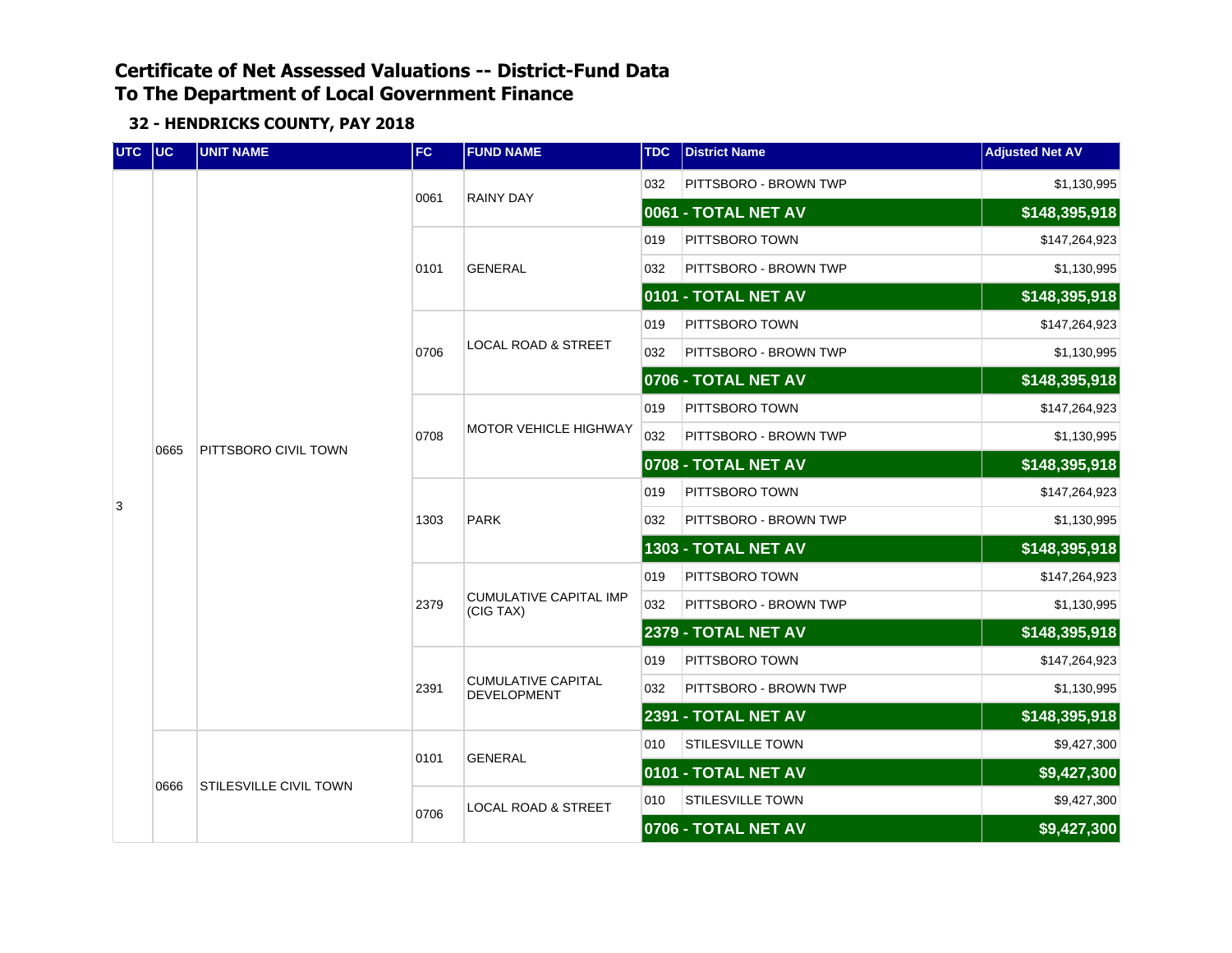| UTC UC |      | <b>UNIT NAME</b>              | <b>FC</b> | <b>FUND NAME</b>                           | <b>TDC</b> | <b>District Name</b>    | <b>Adjusted Net AV</b> |
|--------|------|-------------------------------|-----------|--------------------------------------------|------------|-------------------------|------------------------|
|        |      |                               | 0061      | <b>RAINY DAY</b>                           | 032        | PITTSBORO - BROWN TWP   | \$1,130,995            |
|        |      |                               |           |                                            |            | 0061 - TOTAL NET AV     | \$148,395,918          |
|        |      |                               |           |                                            | 019        | PITTSBORO TOWN          | \$147,264,923          |
|        |      |                               | 0101      | <b>GENERAL</b>                             | 032        | PITTSBORO - BROWN TWP   | \$1,130,995            |
|        |      |                               |           |                                            |            | 0101 - TOTAL NET AV     | \$148,395,918          |
|        |      |                               |           |                                            | 019        | PITTSBORO TOWN          | \$147,264,923          |
|        |      |                               | 0706      | <b>LOCAL ROAD &amp; STREET</b>             | 032        | PITTSBORO - BROWN TWP   | \$1,130,995            |
|        |      |                               |           |                                            |            | 0706 - TOTAL NET AV     | \$148,395,918          |
|        |      | PITTSBORO CIVIL TOWN          |           | <b>MOTOR VEHICLE HIGHWAY</b>               | 019        | PITTSBORO TOWN          | \$147,264,923          |
|        | 0665 |                               | 0708      |                                            | 032        | PITTSBORO - BROWN TWP   | \$1,130,995            |
|        |      |                               |           |                                            |            | 0708 - TOTAL NET AV     | \$148,395,918          |
| 3      |      |                               | 1303      |                                            | 019        | PITTSBORO TOWN          | \$147,264,923          |
|        |      |                               |           | <b>PARK</b>                                | 032        | PITTSBORO - BROWN TWP   | \$1,130,995            |
|        |      |                               |           |                                            |            | 1303 - TOTAL NET AV     | \$148,395,918          |
|        |      |                               |           |                                            | 019        | PITTSBORO TOWN          | \$147,264,923          |
|        |      |                               | 2379      | <b>CUMULATIVE CAPITAL IMP</b><br>(CIG TAX) | 032        | PITTSBORO - BROWN TWP   | \$1,130,995            |
|        |      |                               |           |                                            |            | 2379 - TOTAL NET AV     | \$148,395,918          |
|        |      |                               |           |                                            | 019        | PITTSBORO TOWN          | \$147,264,923          |
|        |      |                               | 2391      | <b>CUMULATIVE CAPITAL</b><br>DEVELOPMENT   | 032        | PITTSBORO - BROWN TWP   | \$1,130,995            |
|        |      |                               |           |                                            |            | 2391 - TOTAL NET AV     | \$148,395,918          |
|        |      |                               | 0101      | <b>GENERAL</b>                             | 010        | STILESVILLE TOWN        | \$9,427,300            |
|        | 0666 | <b>STILESVILLE CIVIL TOWN</b> |           |                                            |            | 0101 - TOTAL NET AV     | \$9,427,300            |
|        |      |                               | 0706      | <b>LOCAL ROAD &amp; STREET</b>             | 010        | <b>STILESVILLE TOWN</b> | \$9,427,300            |
|        |      |                               |           |                                            |            | 0706 - TOTAL NET AV     | \$9,427,300            |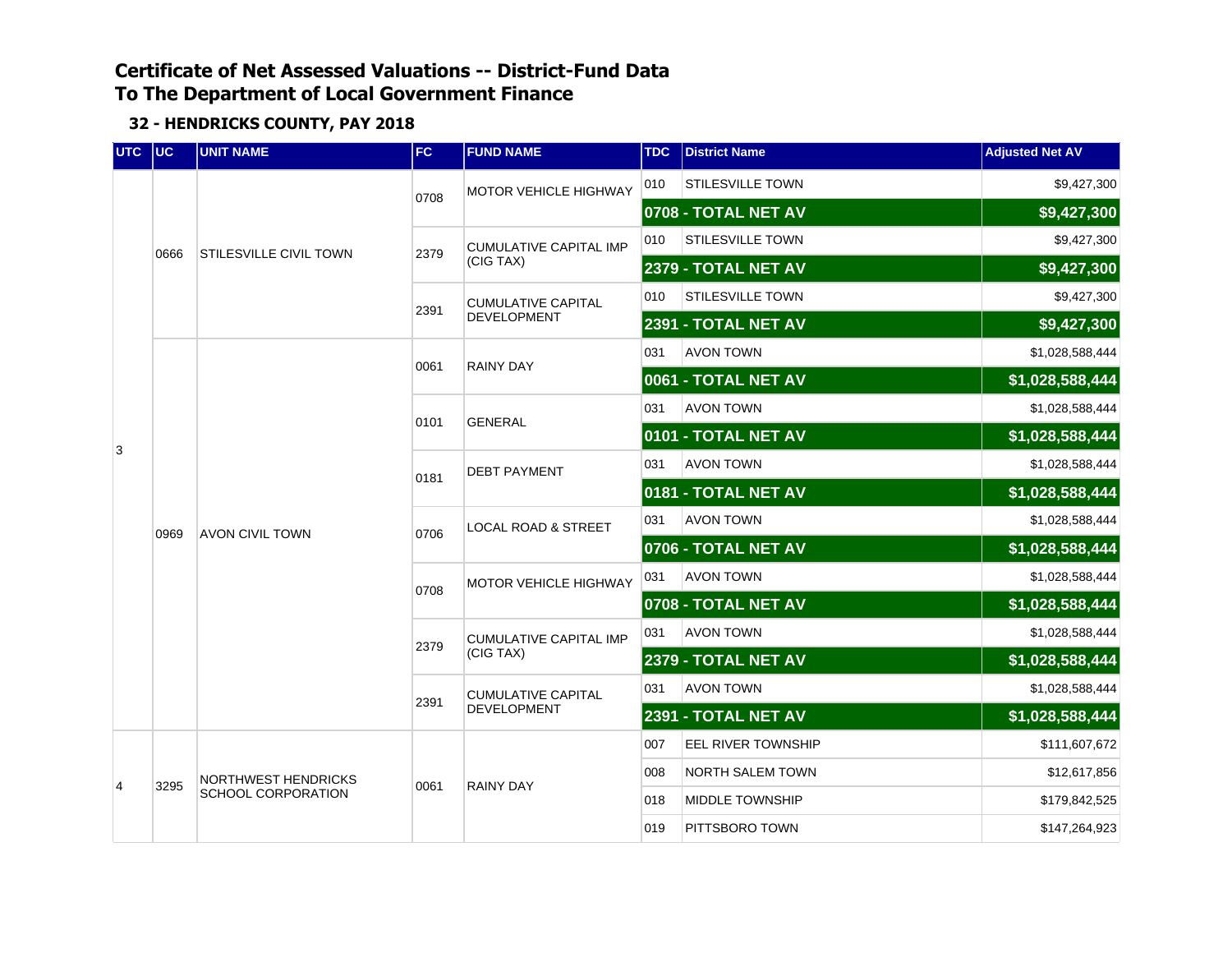| <b>UTC</b> | $ $ UC | <b>UNIT NAME</b>          | <b>FC</b> | <b>FUND NAME</b>               | <b>TDC</b> | <b>District Name</b>       | <b>Adjusted Net AV</b> |
|------------|--------|---------------------------|-----------|--------------------------------|------------|----------------------------|------------------------|
|            |        |                           | 0708      | <b>MOTOR VEHICLE HIGHWAY</b>   | 010        | <b>STILESVILLE TOWN</b>    | \$9,427,300            |
|            |        |                           |           |                                |            | 0708 - TOTAL NET AV        | \$9,427,300            |
|            | 0666   | STILESVILLE CIVIL TOWN    | 2379      | <b>CUMULATIVE CAPITAL IMP</b>  | 010        | STILESVILLE TOWN           | \$9,427,300            |
|            |        |                           |           | (CIG TAX)                      |            | <b>2379 - TOTAL NET AV</b> | \$9,427,300            |
|            |        |                           | 2391      | <b>CUMULATIVE CAPITAL</b>      | 010        | STILESVILLE TOWN           | \$9,427,300            |
|            |        |                           |           | DEVELOPMENT                    |            | 2391 - TOTAL NET AV        | \$9,427,300            |
|            |        |                           | 0061      | <b>RAINY DAY</b>               | 031        | <b>AVON TOWN</b>           | \$1,028,588,444        |
|            | 0969   |                           |           |                                |            | 0061 - TOTAL NET AV        | \$1,028,588,444        |
| 3          |        |                           | 0101      | <b>GENERAL</b>                 | 031        | <b>AVON TOWN</b>           | \$1,028,588,444        |
|            |        | <b>AVON CIVIL TOWN</b>    |           |                                |            | 0101 - TOTAL NET AV        | \$1,028,588,444        |
|            |        |                           | 0181      | <b>DEBT PAYMENT</b>            | 031        | <b>AVON TOWN</b>           | \$1,028,588,444        |
|            |        |                           |           |                                |            | 0181 - TOTAL NET AV        | \$1,028,588,444        |
|            |        |                           | 0706      | <b>LOCAL ROAD &amp; STREET</b> | 031        | <b>AVON TOWN</b>           | \$1,028,588,444        |
|            |        |                           | 0708      | MOTOR VEHICLE HIGHWAY          |            | 0706 - TOTAL NET AV        | \$1,028,588,444        |
|            |        |                           |           |                                | 031        | <b>AVON TOWN</b>           | \$1,028,588,444        |
|            |        |                           |           |                                |            | 0708 - TOTAL NET AV        | \$1,028,588,444        |
|            |        |                           | 2379      | <b>CUMULATIVE CAPITAL IMP</b>  | 031        | <b>AVON TOWN</b>           | \$1,028,588,444        |
|            |        |                           |           | (CIG TAX)                      |            | <b>2379 - TOTAL NET AV</b> | \$1,028,588,444        |
|            |        |                           | 2391      | <b>CUMULATIVE CAPITAL</b>      | 031        | <b>AVON TOWN</b>           | \$1,028,588,444        |
|            |        |                           |           | <b>DEVELOPMENT</b>             |            | 2391 - TOTAL NET AV        | \$1,028,588,444        |
|            |        |                           |           |                                | 007        | <b>EEL RIVER TOWNSHIP</b>  | \$111,607,672          |
| 4          | 3295   | NORTHWEST HENDRICKS       | 0061      | <b>RAINY DAY</b>               | 008        | <b>NORTH SALEM TOWN</b>    | \$12,617,856           |
|            |        | <b>SCHOOL CORPORATION</b> |           |                                | 018        | <b>MIDDLE TOWNSHIP</b>     | \$179,842,525          |
|            |        |                           |           |                                | 019        | PITTSBORO TOWN             | \$147,264,923          |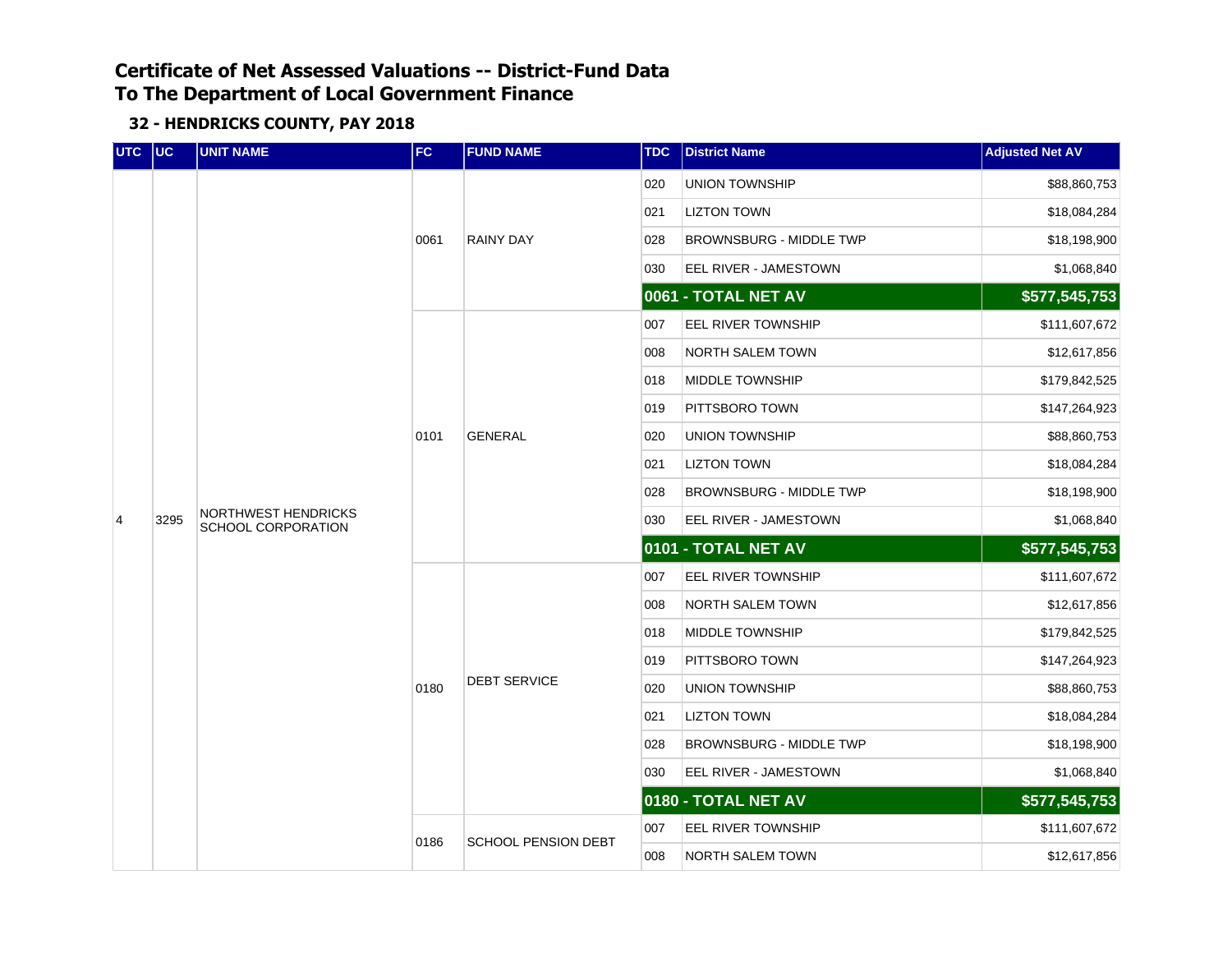| UTC | $ $ UC | <b>UNIT NAME</b>                                 | FC                                 | <b>FUND NAME</b>    | <b>TDC</b> | <b>District Name</b>           | <b>Adjusted Net AV</b> |
|-----|--------|--------------------------------------------------|------------------------------------|---------------------|------------|--------------------------------|------------------------|
|     |        |                                                  |                                    |                     | 020        | <b>UNION TOWNSHIP</b>          | \$88,860,753           |
|     |        |                                                  |                                    |                     | 021        | <b>LIZTON TOWN</b>             | \$18,084,284           |
|     |        |                                                  | 0061                               | <b>RAINY DAY</b>    | 028        | <b>BROWNSBURG - MIDDLE TWP</b> | \$18,198,900           |
|     |        |                                                  |                                    |                     | 030        | EEL RIVER - JAMESTOWN          | \$1,068,840            |
|     |        |                                                  |                                    |                     |            | 0061 - TOTAL NET AV            | \$577,545,753          |
|     |        |                                                  |                                    |                     | 007        | EEL RIVER TOWNSHIP             | \$111,607,672          |
|     | 3295   |                                                  |                                    |                     | 008        | <b>NORTH SALEM TOWN</b>        | \$12,617,856           |
|     |        |                                                  |                                    |                     | 018        | <b>MIDDLE TOWNSHIP</b>         | \$179,842,525          |
|     |        | <b>NORTHWEST HENDRICKS</b><br>SCHOOL CORPORATION |                                    |                     | 019        | PITTSBORO TOWN                 | \$147,264,923          |
|     |        |                                                  | 0101                               | <b>GENERAL</b>      | 020        | <b>UNION TOWNSHIP</b>          | \$88,860,753           |
|     |        |                                                  |                                    |                     | 021        | <b>LIZTON TOWN</b>             | \$18,084,284           |
|     |        |                                                  |                                    |                     | 028        | <b>BROWNSBURG - MIDDLE TWP</b> | \$18,198,900           |
| 4   |        |                                                  |                                    |                     | 030        | EEL RIVER - JAMESTOWN          | \$1,068,840            |
|     |        |                                                  |                                    |                     |            | 0101 - TOTAL NET AV            | \$577,545,753          |
|     |        |                                                  |                                    |                     | 007        | EEL RIVER TOWNSHIP             | \$111,607,672          |
|     |        |                                                  |                                    |                     | 008        | <b>NORTH SALEM TOWN</b>        | \$12,617,856           |
|     |        |                                                  |                                    |                     | 018        | MIDDLE TOWNSHIP                | \$179,842,525          |
|     |        |                                                  |                                    |                     | 019        | PITTSBORO TOWN                 | \$147,264,923          |
|     |        |                                                  | 0180                               | <b>DEBT SERVICE</b> | 020        | UNION TOWNSHIP                 | \$88,860,753           |
|     |        |                                                  |                                    |                     | 021        | <b>LIZTON TOWN</b>             | \$18,084,284           |
|     |        |                                                  |                                    |                     | 028        | BROWNSBURG - MIDDLE TWP        | \$18,198,900           |
|     |        |                                                  |                                    |                     | 030        | EEL RIVER - JAMESTOWN          | \$1,068,840            |
|     |        |                                                  |                                    |                     |            | 0180 - TOTAL NET AV            | \$577,545,753          |
|     |        |                                                  |                                    |                     | 007        | <b>EEL RIVER TOWNSHIP</b>      | \$111,607,672          |
|     |        |                                                  | 0186<br><b>SCHOOL PENSION DEBT</b> |                     | 008        | NORTH SALEM TOWN               | \$12,617,856           |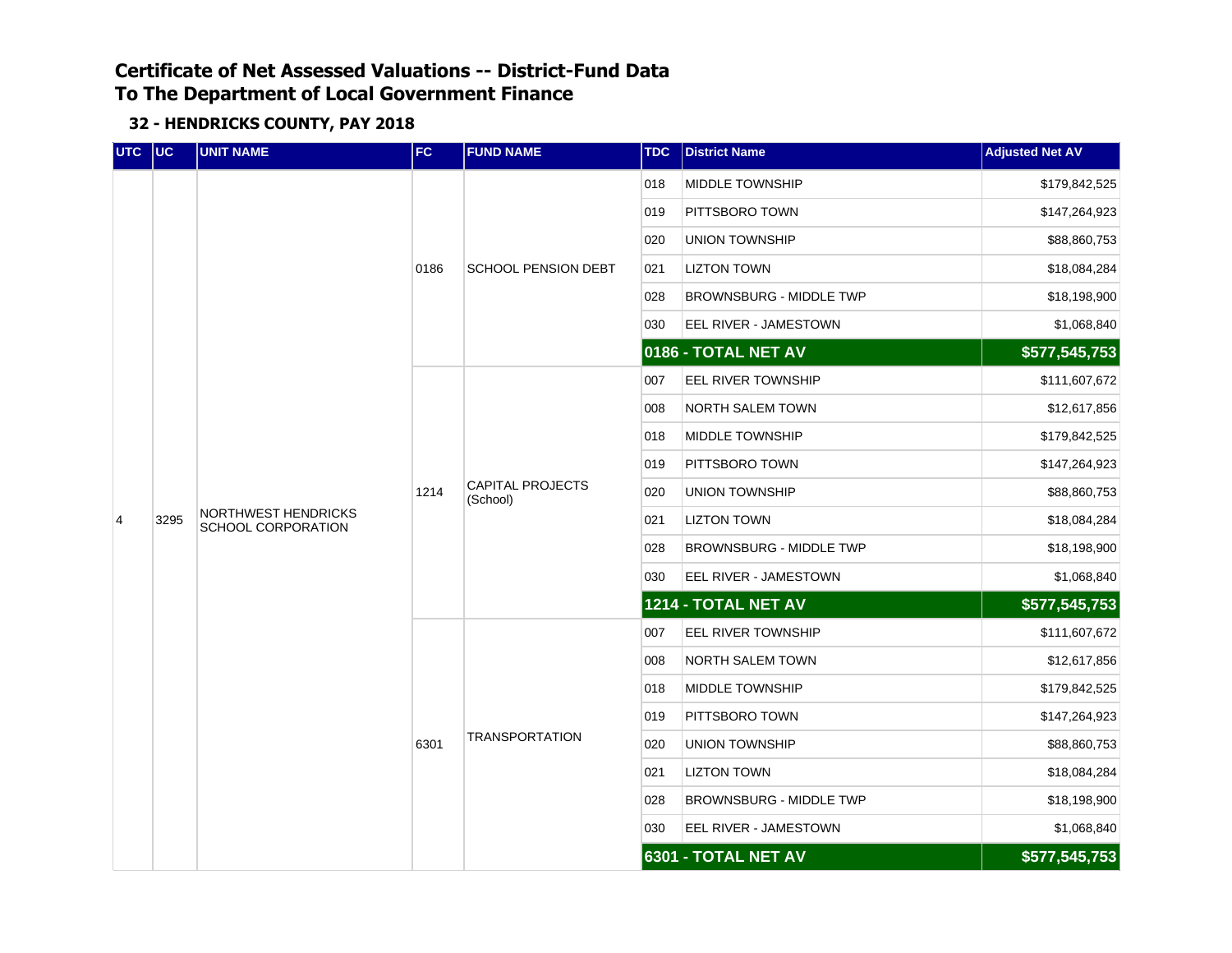| UTC UC |      | <b>UNIT NAME</b>                                 | <b>FC</b> | <b>FUND NAME</b>                    | <b>TDC</b> | <b>District Name</b>           | <b>Adjusted Net AV</b> |
|--------|------|--------------------------------------------------|-----------|-------------------------------------|------------|--------------------------------|------------------------|
|        |      |                                                  |           |                                     | 018        | MIDDLE TOWNSHIP                | \$179,842,525          |
|        |      |                                                  |           |                                     | 019        | PITTSBORO TOWN                 | \$147,264,923          |
|        |      |                                                  |           |                                     | 020        | <b>UNION TOWNSHIP</b>          | \$88,860,753           |
|        |      |                                                  | 0186      | <b>SCHOOL PENSION DEBT</b>          | 021        | <b>LIZTON TOWN</b>             | \$18,084,284           |
|        |      |                                                  |           |                                     | 028        | BROWNSBURG - MIDDLE TWP        | \$18,198,900           |
|        |      |                                                  |           |                                     | 030        | EEL RIVER - JAMESTOWN          | \$1,068,840            |
|        |      |                                                  |           |                                     |            | 0186 - TOTAL NET AV            | \$577,545,753          |
|        |      |                                                  |           |                                     | 007        | EEL RIVER TOWNSHIP             | \$111,607,672          |
|        |      |                                                  |           |                                     | 008        | NORTH SALEM TOWN               | \$12,617,856           |
|        |      | <b>NORTHWEST HENDRICKS</b><br>SCHOOL CORPORATION |           | <b>CAPITAL PROJECTS</b><br>(School) | 018        | MIDDLE TOWNSHIP                | \$179,842,525          |
|        |      |                                                  | 1214      |                                     | 019        | PITTSBORO TOWN                 | \$147,264,923          |
|        |      |                                                  |           |                                     | 020        | UNION TOWNSHIP                 | \$88,860,753           |
| 4      | 3295 |                                                  |           |                                     | 021        | <b>LIZTON TOWN</b>             | \$18,084,284           |
|        |      |                                                  |           |                                     | 028        | <b>BROWNSBURG - MIDDLE TWP</b> | \$18,198,900           |
|        |      |                                                  |           |                                     | 030        | EEL RIVER - JAMESTOWN          | \$1,068,840            |
|        |      |                                                  |           |                                     |            | 1214 - TOTAL NET AV            | \$577,545,753          |
|        |      |                                                  |           |                                     | 007        | EEL RIVER TOWNSHIP             | \$111,607,672          |
|        |      |                                                  |           |                                     | 008        | <b>NORTH SALEM TOWN</b>        | \$12,617,856           |
|        |      |                                                  |           |                                     | 018        | MIDDLE TOWNSHIP                | \$179,842,525          |
|        |      |                                                  |           |                                     | 019        | PITTSBORO TOWN                 | \$147,264,923          |
|        |      |                                                  | 6301      | TRANSPORTATION                      | 020        | <b>UNION TOWNSHIP</b>          | \$88,860,753           |
|        |      |                                                  |           |                                     | 021        | <b>LIZTON TOWN</b>             | \$18,084,284           |
|        |      |                                                  |           |                                     | 028        | BROWNSBURG - MIDDLE TWP        | \$18,198,900           |
|        |      |                                                  |           |                                     | 030        | EEL RIVER - JAMESTOWN          | \$1,068,840            |
|        |      |                                                  |           |                                     |            | 6301 - TOTAL NET AV            | \$577,545,753          |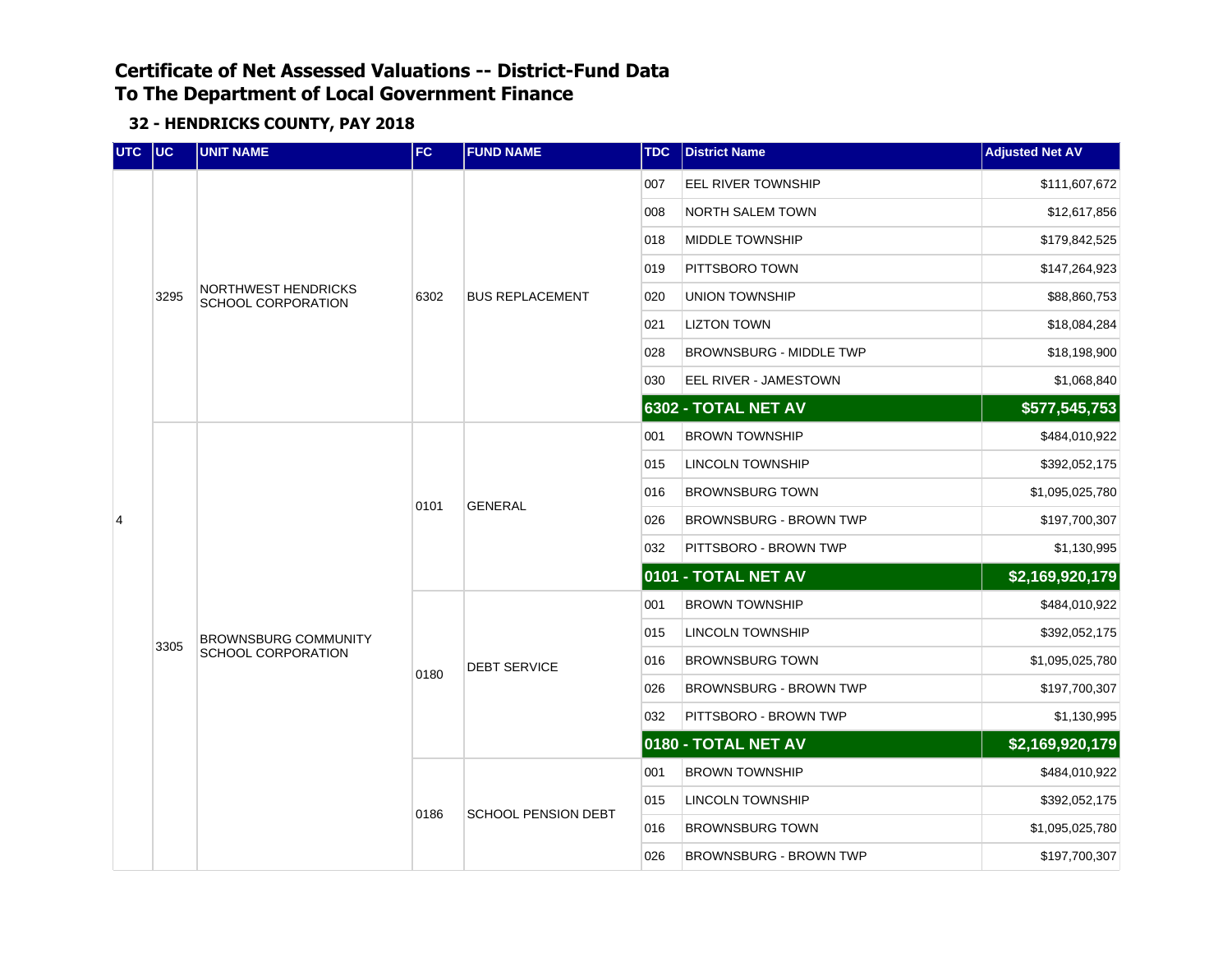| UTC UC |      | <b>UNIT NAME</b>                          | FC   | <b>FUND NAME</b>       | <b>TDC</b> | <b>District Name</b>          | <b>Adjusted Net AV</b> |
|--------|------|-------------------------------------------|------|------------------------|------------|-------------------------------|------------------------|
|        |      |                                           |      |                        | 007        | EEL RIVER TOWNSHIP            | \$111,607,672          |
|        |      |                                           |      |                        | 008        | <b>NORTH SALEM TOWN</b>       | \$12,617,856           |
|        |      |                                           |      |                        | 018        | <b>MIDDLE TOWNSHIP</b>        | \$179,842,525          |
|        |      |                                           |      |                        | 019        | PITTSBORO TOWN                | \$147,264,923          |
|        | 3295 | NORTHWEST HENDRICKS<br>SCHOOL CORPORATION | 6302 | <b>BUS REPLACEMENT</b> | 020        | <b>UNION TOWNSHIP</b>         | \$88,860,753           |
|        |      |                                           |      |                        | 021        | <b>LIZTON TOWN</b>            | \$18,084,284           |
|        |      |                                           |      |                        | 028        | BROWNSBURG - MIDDLE TWP       | \$18,198,900           |
|        |      |                                           |      |                        | 030        | EEL RIVER - JAMESTOWN         | \$1,068,840            |
|        |      |                                           |      |                        |            | 6302 - TOTAL NET AV           | \$577,545,753          |
|        |      |                                           |      |                        | 001        | BROWN TOWNSHIP                | \$484,010,922          |
|        |      |                                           | 0101 | <b>GENERAL</b>         | 015        | LINCOLN TOWNSHIP              | \$392,052,175          |
|        |      |                                           |      |                        | 016        | <b>BROWNSBURG TOWN</b>        | \$1,095,025,780        |
| 4      |      |                                           |      |                        | 026        | <b>BROWNSBURG - BROWN TWP</b> | \$197,700,307          |
|        |      |                                           |      |                        | 032        | PITTSBORO - BROWN TWP         | \$1,130,995            |
|        |      |                                           |      |                        |            | 0101 - TOTAL NET AV           | \$2,169,920,179        |
|        |      |                                           |      |                        | 001        | <b>BROWN TOWNSHIP</b>         | \$484,010,922          |
|        | 3305 | <b>BROWNSBURG COMMUNITY</b>               |      |                        | 015        | LINCOLN TOWNSHIP              | \$392,052,175          |
|        |      | <b>SCHOOL CORPORATION</b>                 | 0180 | <b>DEBT SERVICE</b>    | 016        | <b>BROWNSBURG TOWN</b>        | \$1,095,025,780        |
|        |      |                                           |      |                        | 026        | <b>BROWNSBURG - BROWN TWP</b> | \$197,700,307          |
|        |      |                                           |      |                        | 032        | PITTSBORO - BROWN TWP         | \$1,130,995            |
|        |      |                                           |      |                        |            | 0180 - TOTAL NET AV           | \$2,169,920,179        |
|        |      |                                           |      |                        | 001        | <b>BROWN TOWNSHIP</b>         | \$484,010,922          |
|        |      |                                           | 0186 | SCHOOL PENSION DEBT    | 015        | LINCOLN TOWNSHIP              | \$392,052,175          |
|        |      |                                           |      |                        | 016        | <b>BROWNSBURG TOWN</b>        | \$1,095,025,780        |
|        |      |                                           |      |                        | 026        | BROWNSBURG - BROWN TWP        | \$197,700,307          |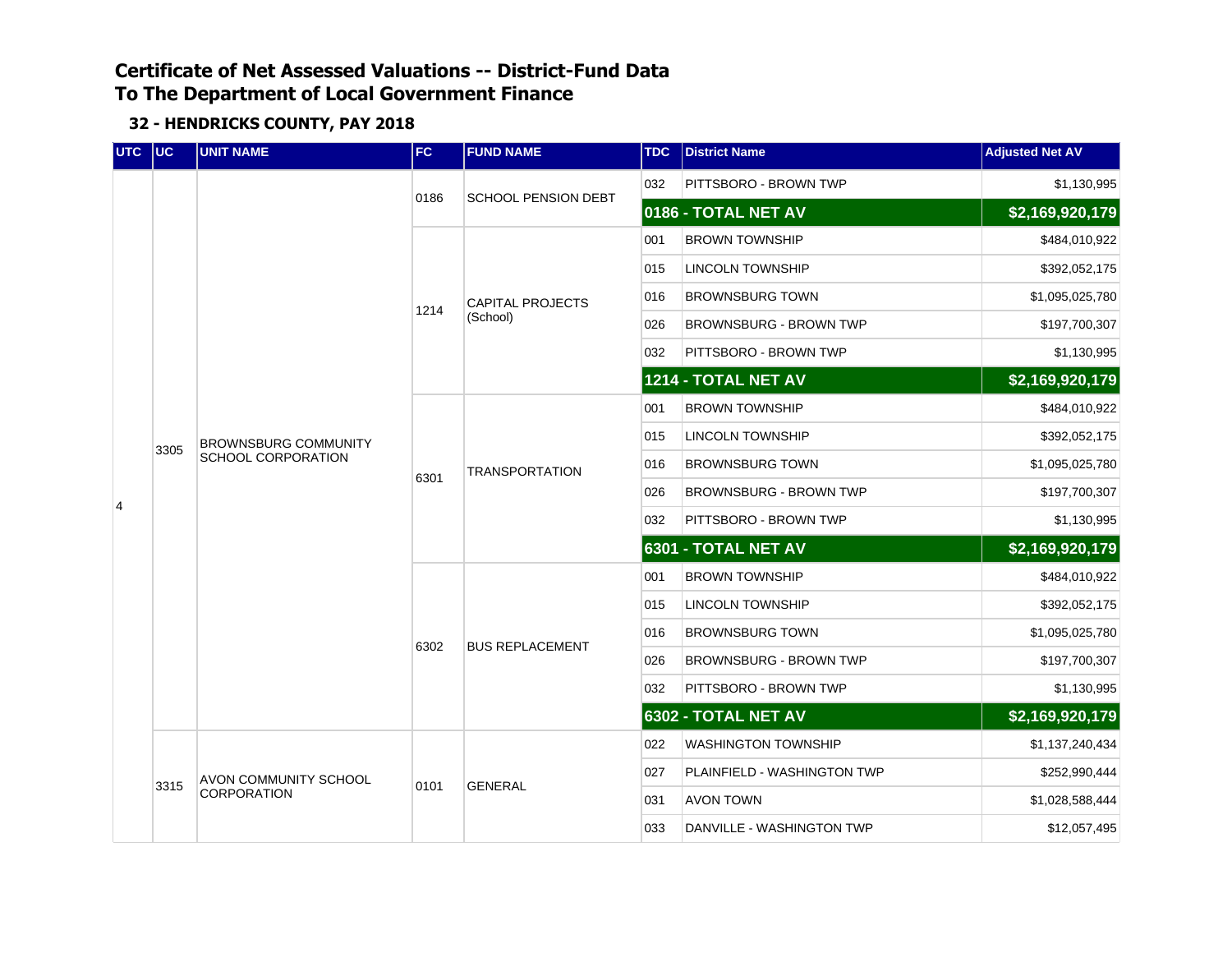| UTC UC |      | <b>UNIT NAME</b><br><b>FC</b>                            |      | <b>FUND NAME</b>           | <b>TDC</b> | <b>District Name</b>          | <b>Adjusted Net AV</b> |
|--------|------|----------------------------------------------------------|------|----------------------------|------------|-------------------------------|------------------------|
|        |      |                                                          |      | <b>SCHOOL PENSION DEBT</b> | 032        | PITTSBORO - BROWN TWP         | \$1,130,995            |
|        |      |                                                          | 0186 |                            |            | 0186 - TOTAL NET AV           | \$2,169,920,179        |
|        |      |                                                          |      |                            | 001        | <b>BROWN TOWNSHIP</b>         | \$484,010,922          |
|        |      |                                                          |      |                            | 015        | <b>LINCOLN TOWNSHIP</b>       | \$392,052,175          |
|        |      |                                                          | 1214 | <b>CAPITAL PROJECTS</b>    | 016        | <b>BROWNSBURG TOWN</b>        | \$1,095,025,780        |
|        |      |                                                          |      | (School)                   | 026        | <b>BROWNSBURG - BROWN TWP</b> | \$197,700,307          |
|        |      |                                                          |      |                            | 032        | PITTSBORO - BROWN TWP         | \$1,130,995            |
|        |      |                                                          |      |                            |            | 1214 - TOTAL NET AV           | \$2,169,920,179        |
|        |      |                                                          |      |                            | 001        | <b>BROWN TOWNSHIP</b>         | \$484,010,922          |
|        | 3305 | <b>BROWNSBURG COMMUNITY</b><br><b>SCHOOL CORPORATION</b> | 6301 | <b>TRANSPORTATION</b>      | 015        | LINCOLN TOWNSHIP              | \$392,052,175          |
|        |      |                                                          |      |                            | 016        | <b>BROWNSBURG TOWN</b>        | \$1,095,025,780        |
| 4      |      |                                                          |      |                            | 026        | <b>BROWNSBURG - BROWN TWP</b> | \$197,700,307          |
|        |      |                                                          |      |                            | 032        | PITTSBORO - BROWN TWP         | \$1,130,995            |
|        |      |                                                          |      |                            |            | 6301 - TOTAL NET AV           | \$2,169,920,179        |
|        |      |                                                          |      |                            | 001        | <b>BROWN TOWNSHIP</b>         | \$484,010,922          |
|        |      |                                                          |      |                            | 015        | LINCOLN TOWNSHIP              | \$392,052,175          |
|        |      |                                                          | 6302 | <b>BUS REPLACEMENT</b>     | 016        | <b>BROWNSBURG TOWN</b>        | \$1,095,025,780        |
|        |      |                                                          |      |                            | 026        | <b>BROWNSBURG - BROWN TWP</b> | \$197,700,307          |
|        |      |                                                          |      |                            | 032        | PITTSBORO - BROWN TWP         | \$1,130,995            |
|        |      |                                                          |      |                            |            | 6302 - TOTAL NET AV           | \$2,169,920,179        |
|        |      |                                                          |      |                            | 022        | <b>WASHINGTON TOWNSHIP</b>    | \$1,137,240,434        |
|        | 3315 | AVON COMMUNITY SCHOOL                                    | 0101 | <b>GENERAL</b>             | 027        | PLAINFIELD - WASHINGTON TWP   | \$252,990,444          |
|        |      | CORPORATION                                              |      |                            | 031        | <b>AVON TOWN</b>              | \$1,028,588,444        |
|        |      |                                                          |      |                            | 033        | DANVILLE - WASHINGTON TWP     | \$12,057,495           |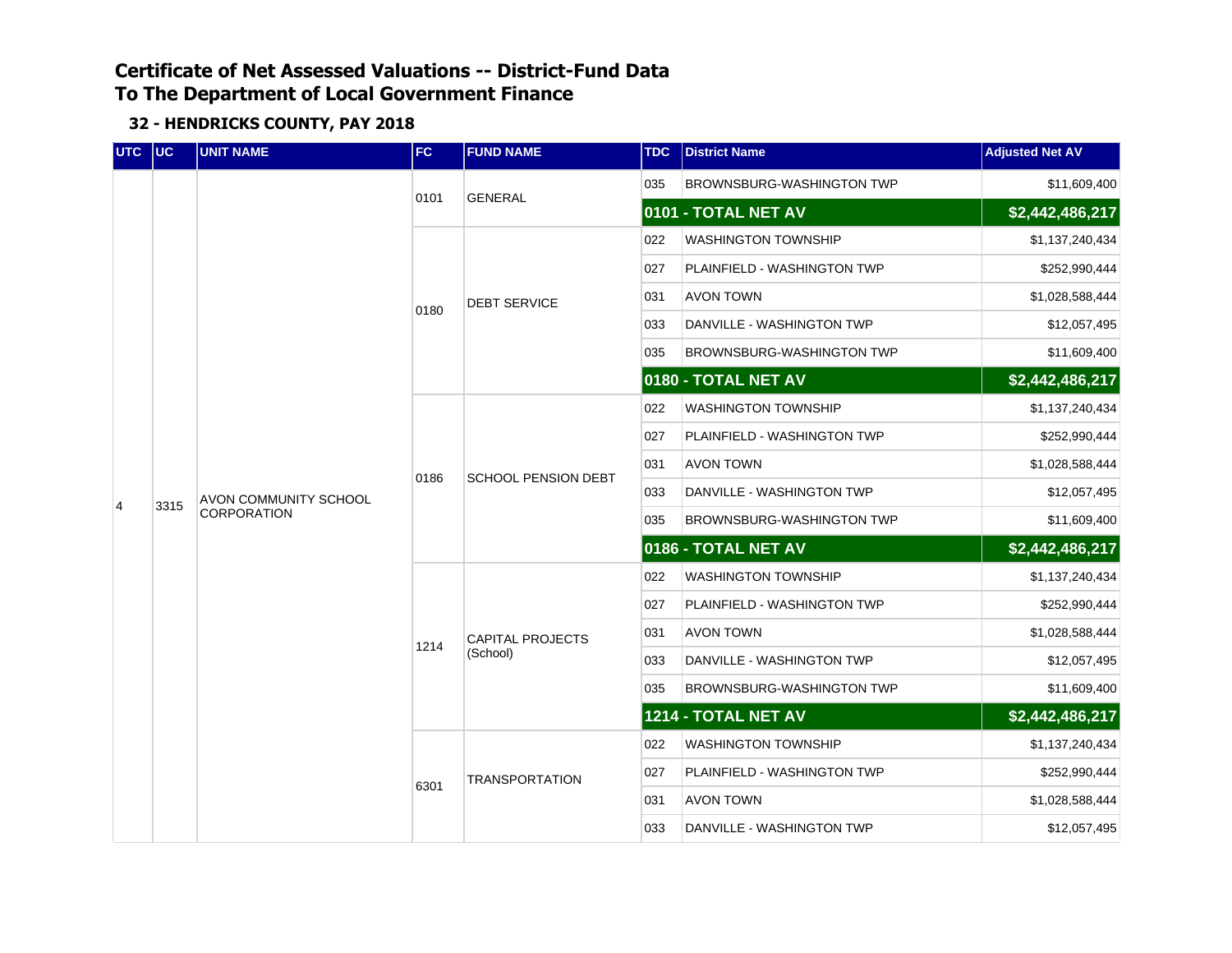| UTC UC |      | <b>UNIT NAME</b>                            | FC   | <b>FUND NAME</b>           | <b>TDC</b> | <b>District Name</b>               | <b>Adjusted Net AV</b> |
|--------|------|---------------------------------------------|------|----------------------------|------------|------------------------------------|------------------------|
|        |      |                                             |      | <b>GENERAL</b>             | 035        | <b>BROWNSBURG-WASHINGTON TWP</b>   | \$11,609,400           |
|        |      |                                             | 0101 |                            |            | 0101 - TOTAL NET AV                | \$2,442,486,217        |
|        |      |                                             |      |                            | 022        | <b>WASHINGTON TOWNSHIP</b>         | \$1,137,240,434        |
|        |      |                                             |      |                            | 027        | <b>PLAINFIELD - WASHINGTON TWP</b> | \$252,990,444          |
|        |      |                                             | 0180 | <b>DEBT SERVICE</b>        | 031        | <b>AVON TOWN</b>                   | \$1,028,588,444        |
|        |      |                                             |      |                            | 033        | DANVILLE - WASHINGTON TWP          | \$12,057,495           |
|        |      |                                             |      |                            | 035        | <b>BROWNSBURG-WASHINGTON TWP</b>   | \$11,609,400           |
|        |      |                                             |      |                            |            | 0180 - TOTAL NET AV                | \$2,442,486,217        |
|        |      | AVON COMMUNITY SCHOOL<br><b>CORPORATION</b> |      |                            | 022        | <b>WASHINGTON TOWNSHIP</b>         | \$1,137,240,434        |
|        | 3315 |                                             |      | <b>SCHOOL PENSION DEBT</b> | 027        | PLAINFIELD - WASHINGTON TWP        | \$252,990,444          |
|        |      |                                             | 0186 |                            | 031        | <b>AVON TOWN</b>                   | \$1,028,588,444        |
| 4      |      |                                             |      |                            | 033        | DANVILLE - WASHINGTON TWP          | \$12,057,495           |
|        |      |                                             |      |                            | 035        | BROWNSBURG-WASHINGTON TWP          | \$11,609,400           |
|        |      |                                             |      |                            |            | 0186 - TOTAL NET AV                | \$2,442,486,217        |
|        |      |                                             |      |                            | 022        | <b>WASHINGTON TOWNSHIP</b>         | \$1,137,240,434        |
|        |      |                                             |      |                            | 027        | PLAINFIELD - WASHINGTON TWP        | \$252,990,444          |
|        |      |                                             | 1214 | <b>CAPITAL PROJECTS</b>    | 031        | AVON TOWN                          | \$1,028,588,444        |
|        |      |                                             |      | (School)                   | 033        | DANVILLE - WASHINGTON TWP          | \$12,057,495           |
|        |      |                                             |      |                            | 035        | BROWNSBURG-WASHINGTON TWP          | \$11,609,400           |
|        |      |                                             |      |                            |            | 1214 - TOTAL NET AV                | \$2,442,486,217        |
|        |      |                                             |      |                            | 022        | <b>WASHINGTON TOWNSHIP</b>         | \$1,137,240,434        |
|        |      |                                             | 6301 | <b>TRANSPORTATION</b>      | 027        | PLAINFIELD - WASHINGTON TWP        | \$252,990,444          |
|        |      |                                             |      |                            | 031        | <b>AVON TOWN</b>                   | \$1,028,588,444        |
|        |      |                                             |      |                            | 033        | DANVILLE - WASHINGTON TWP          | \$12,057,495           |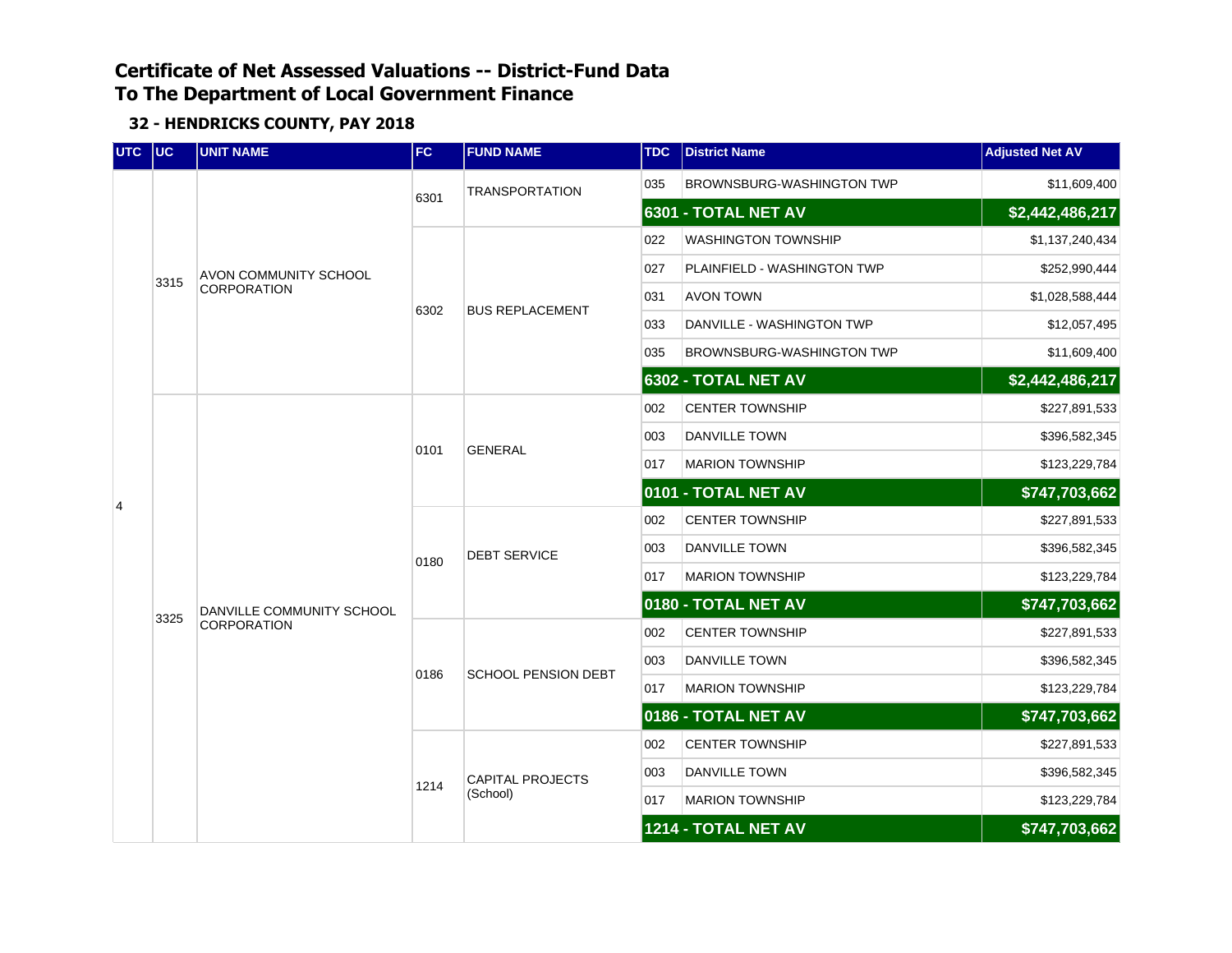| UTC UC |      | <b>UNIT NAME</b>          | <b>FC</b> | <b>FUND NAME</b>           | <b>TDC</b> | <b>District Name</b>        | <b>Adjusted Net AV</b> |
|--------|------|---------------------------|-----------|----------------------------|------------|-----------------------------|------------------------|
|        |      |                           |           | <b>TRANSPORTATION</b>      | 035        | BROWNSBURG-WASHINGTON TWP   | \$11,609,400           |
|        |      |                           | 6301      |                            |            | 6301 - TOTAL NET AV         | \$2,442,486,217        |
|        |      |                           |           |                            | 022        | WASHINGTON TOWNSHIP         | \$1,137,240,434        |
|        | 3315 | AVON COMMUNITY SCHOOL     |           |                            | 027        | PLAINFIELD - WASHINGTON TWP | \$252,990,444          |
|        |      | <b>CORPORATION</b>        | 6302      | <b>BUS REPLACEMENT</b>     | 031        | <b>AVON TOWN</b>            | \$1,028,588,444        |
|        |      |                           |           |                            | 033        | DANVILLE - WASHINGTON TWP   | \$12,057,495           |
|        |      |                           |           |                            | 035        | BROWNSBURG-WASHINGTON TWP   | \$11,609,400           |
|        |      |                           |           |                            |            | 6302 - TOTAL NET AV         | \$2,442,486,217        |
|        |      |                           |           |                            | 002        | <b>CENTER TOWNSHIP</b>      | \$227,891,533          |
|        |      |                           | 0101      | <b>GENERAL</b>             | 003        | DANVILLE TOWN               | \$396,582,345          |
|        |      |                           |           |                            | 017        | <b>MARION TOWNSHIP</b>      | \$123,229,784          |
| 4      |      |                           |           |                            |            | 0101 - TOTAL NET AV         | \$747,703,662          |
|        |      |                           | 0180      | <b>DEBT SERVICE</b>        | 002        | <b>CENTER TOWNSHIP</b>      | \$227,891,533          |
|        |      |                           |           |                            | 003        | DANVILLE TOWN               | \$396,582,345          |
|        |      |                           |           |                            | 017        | <b>MARION TOWNSHIP</b>      | \$123,229,784          |
|        | 3325 | DANVILLE COMMUNITY SCHOOL |           |                            |            | 0180 - TOTAL NET AV         | \$747,703,662          |
|        |      | <b>CORPORATION</b>        |           |                            | 002        | <b>CENTER TOWNSHIP</b>      | \$227,891,533          |
|        |      |                           | 0186      | <b>SCHOOL PENSION DEBT</b> | 003        | DANVILLE TOWN               | \$396,582,345          |
|        |      |                           |           |                            | 017        | <b>MARION TOWNSHIP</b>      | \$123,229,784          |
|        |      |                           |           |                            |            | 0186 - TOTAL NET AV         | \$747,703,662          |
|        |      |                           |           |                            | 002        | <b>CENTER TOWNSHIP</b>      | \$227,891,533          |
|        |      |                           | 1214      | <b>CAPITAL PROJECTS</b>    | 003        | DANVILLE TOWN               | \$396,582,345          |
|        |      |                           |           | (School)                   | 017        | <b>MARION TOWNSHIP</b>      | \$123,229,784          |
|        |      |                           |           |                            |            | 1214 - TOTAL NET AV         | \$747,703,662          |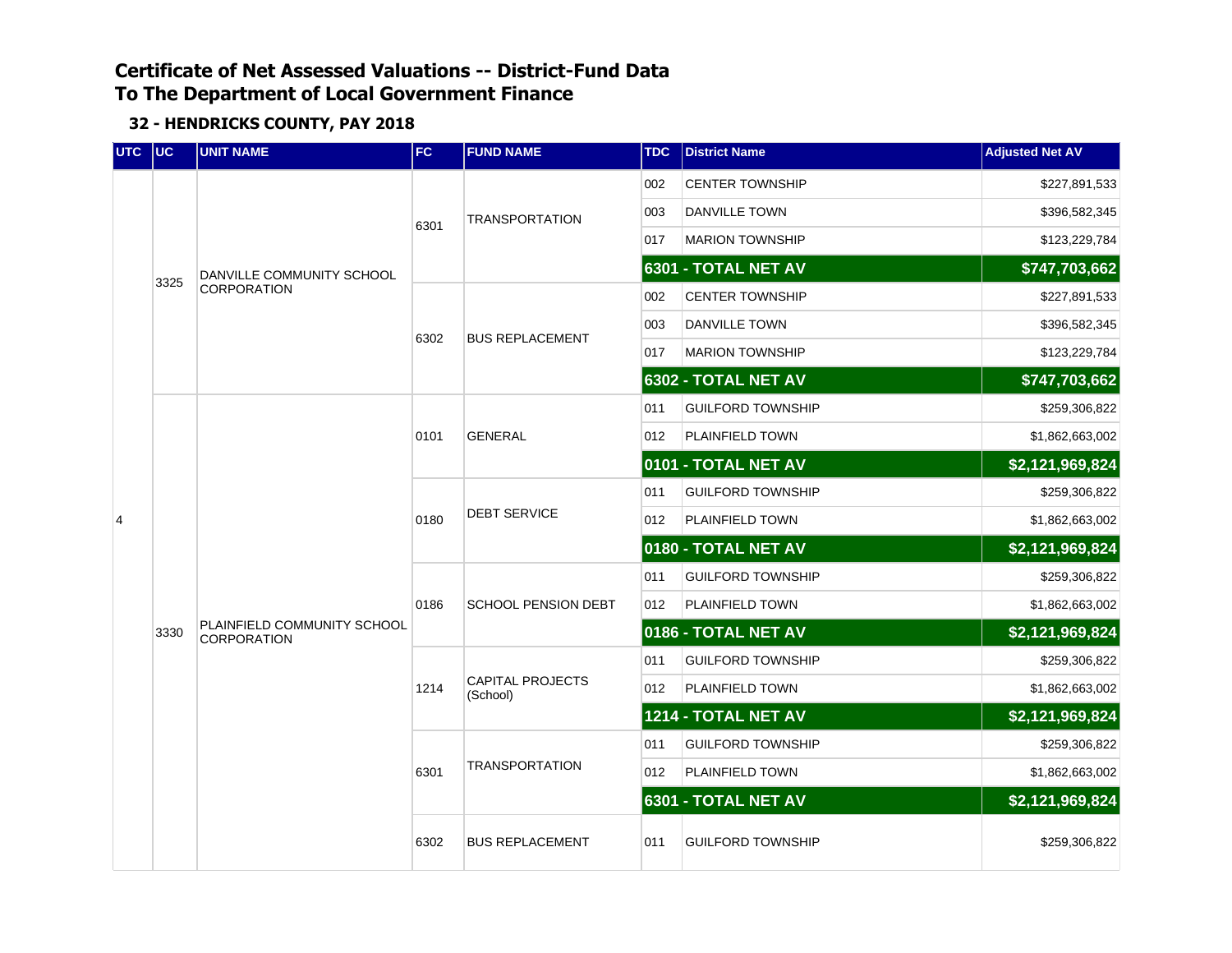| UTC UC         |      | <b>UNIT NAME</b>                                  | FC                  | <b>FUND NAME</b>                    | <b>TDC</b>      | <b>District Name</b>     | <b>Adjusted Net AV</b> |
|----------------|------|---------------------------------------------------|---------------------|-------------------------------------|-----------------|--------------------------|------------------------|
|                |      |                                                   |                     |                                     | 002             | <b>CENTER TOWNSHIP</b>   | \$227,891,533          |
|                |      |                                                   | 6301                | <b>TRANSPORTATION</b>               | 003             | <b>DANVILLE TOWN</b>     | \$396,582,345          |
|                |      |                                                   |                     |                                     | 017             | <b>MARION TOWNSHIP</b>   | \$123,229,784          |
|                | 3325 | DANVILLE COMMUNITY SCHOOL                         |                     |                                     |                 | 6301 - TOTAL NET AV      | \$747,703,662          |
|                |      | CORPORATION                                       |                     |                                     | 002             | <b>CENTER TOWNSHIP</b>   | \$227,891,533          |
|                |      |                                                   | 6302                | <b>BUS REPLACEMENT</b>              | 003             | DANVILLE TOWN            | \$396,582,345          |
|                |      |                                                   |                     |                                     | 017             | <b>MARION TOWNSHIP</b>   | \$123,229,784          |
|                |      |                                                   |                     |                                     |                 | 6302 - TOTAL NET AV      | \$747,703,662          |
|                |      |                                                   |                     |                                     | 011             | <b>GUILFORD TOWNSHIP</b> | \$259,306,822          |
|                |      |                                                   | 0101                | <b>GENERAL</b>                      | 012             | PLAINFIELD TOWN          | \$1,862,663,002        |
|                |      |                                                   | 0101 - TOTAL NET AV |                                     | \$2,121,969,824 |                          |                        |
|                |      |                                                   | 0180                | <b>DEBT SERVICE</b>                 | 011             | <b>GUILFORD TOWNSHIP</b> | \$259,306,822          |
| $\overline{4}$ |      |                                                   |                     |                                     | 012             | PLAINFIELD TOWN          | \$1,862,663,002        |
|                |      |                                                   |                     |                                     |                 | 0180 - TOTAL NET AV      | \$2,121,969,824        |
|                |      |                                                   | 0186                | <b>SCHOOL PENSION DEBT</b>          | 011             | <b>GUILFORD TOWNSHIP</b> | \$259,306,822          |
|                |      |                                                   |                     |                                     | 012             | PLAINFIELD TOWN          | \$1,862,663,002        |
|                | 3330 | PLAINFIELD COMMUNITY SCHOOL<br><b>CORPORATION</b> |                     |                                     |                 | 0186 - TOTAL NET AV      | \$2,121,969,824        |
|                |      |                                                   |                     |                                     | 011             | <b>GUILFORD TOWNSHIP</b> | \$259,306,822          |
|                |      |                                                   | 1214                | <b>CAPITAL PROJECTS</b><br>(School) | 012             | PLAINFIELD TOWN          | \$1,862,663,002        |
|                |      |                                                   |                     |                                     |                 | 1214 - TOTAL NET AV      | \$2,121,969,824        |
|                |      |                                                   |                     |                                     | 011             | <b>GUILFORD TOWNSHIP</b> | \$259,306,822          |
|                |      |                                                   | 6301                | <b>TRANSPORTATION</b>               | 012             | PLAINFIELD TOWN          | \$1,862,663,002        |
|                |      |                                                   |                     |                                     |                 | 6301 - TOTAL NET AV      | \$2,121,969,824        |
|                |      |                                                   | 6302                | <b>BUS REPLACEMENT</b>              | 011             | <b>GUILFORD TOWNSHIP</b> | \$259,306,822          |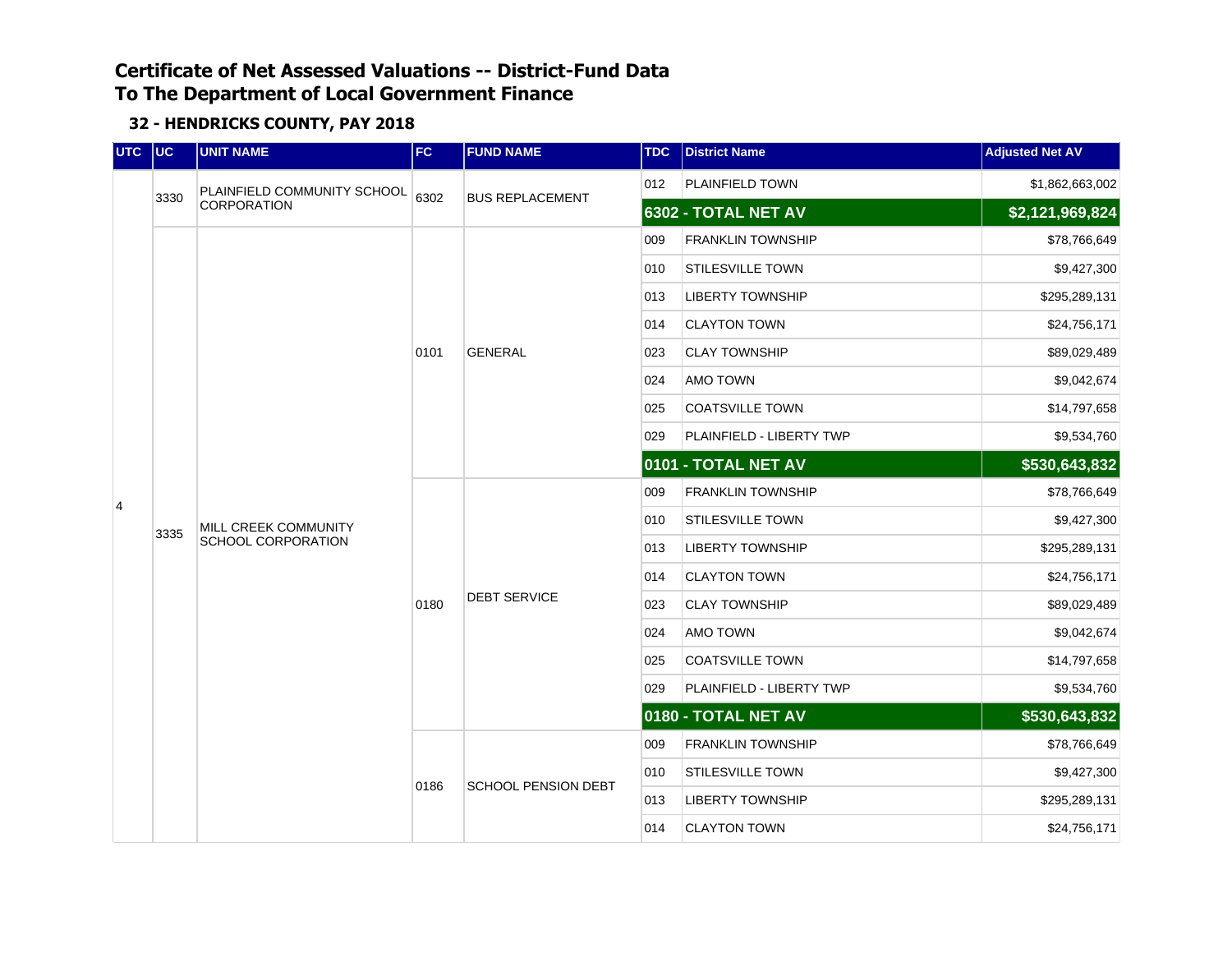| UTC | $ $ UC | <b>UNIT NAME</b>                           | <b>FC</b> | <b>FUND NAME</b>       | <b>TDC</b>    | <b>District Name</b>     | <b>Adjusted Net AV</b> |
|-----|--------|--------------------------------------------|-----------|------------------------|---------------|--------------------------|------------------------|
|     |        | PLAINFIELD COMMUNITY SCHOOL                | 6302      |                        | 012           | PLAINFIELD TOWN          | \$1,862,663,002        |
|     | 3330   | <b>CORPORATION</b>                         |           | <b>BUS REPLACEMENT</b> |               | 6302 - TOTAL NET AV      | \$2,121,969,824        |
|     |        |                                            |           |                        | 009           | <b>FRANKLIN TOWNSHIP</b> | \$78,766,649           |
|     |        |                                            |           |                        | 010           | <b>STILESVILLE TOWN</b>  | \$9,427,300            |
|     |        |                                            |           |                        | 013           | <b>LIBERTY TOWNSHIP</b>  | \$295,289,131          |
|     |        |                                            |           |                        | 014           | <b>CLAYTON TOWN</b>      | \$24,756,171           |
|     |        |                                            | 0101      | <b>GENERAL</b>         | 023           | <b>CLAY TOWNSHIP</b>     | \$89,029,489           |
|     |        |                                            |           |                        | 024           | AMO TOWN                 | \$9,042,674            |
|     |        |                                            |           |                        | 025           | <b>COATSVILLE TOWN</b>   | \$14,797,658           |
|     |        | MILL CREEK COMMUNITY<br>SCHOOL CORPORATION |           |                        | 029           | PLAINFIELD - LIBERTY TWP | \$9,534,760            |
|     |        |                                            |           |                        | \$530,643,832 |                          |                        |
| 4   |        |                                            |           |                        | 009           | <b>FRANKLIN TOWNSHIP</b> | \$78,766,649           |
|     | 3335   |                                            |           |                        | 010           | <b>STILESVILLE TOWN</b>  | \$9,427,300            |
|     |        |                                            |           |                        | 013           | <b>LIBERTY TOWNSHIP</b>  | \$295,289,131          |
|     |        |                                            |           |                        | 014           | <b>CLAYTON TOWN</b>      | \$24,756,171           |
|     |        |                                            | 0180      | <b>DEBT SERVICE</b>    | 023           | <b>CLAY TOWNSHIP</b>     | \$89,029,489           |
|     |        |                                            |           |                        | 024           | AMO TOWN                 | \$9,042,674            |
|     |        |                                            |           |                        | 025           | <b>COATSVILLE TOWN</b>   | \$14,797,658           |
|     |        |                                            |           |                        | 029           | PLAINFIELD - LIBERTY TWP | \$9,534,760            |
|     |        |                                            |           |                        |               | 0180 - TOTAL NET AV      | \$530,643,832          |
|     |        |                                            |           |                        | 009           | <b>FRANKLIN TOWNSHIP</b> | \$78,766,649           |
|     |        |                                            | 0186      | SCHOOL PENSION DEBT    | 010           | <b>STILESVILLE TOWN</b>  | \$9,427,300            |
|     |        |                                            |           |                        | 013           | <b>LIBERTY TOWNSHIP</b>  | \$295,289,131          |
|     |        |                                            |           |                        | 014           | <b>CLAYTON TOWN</b>      | \$24,756,171           |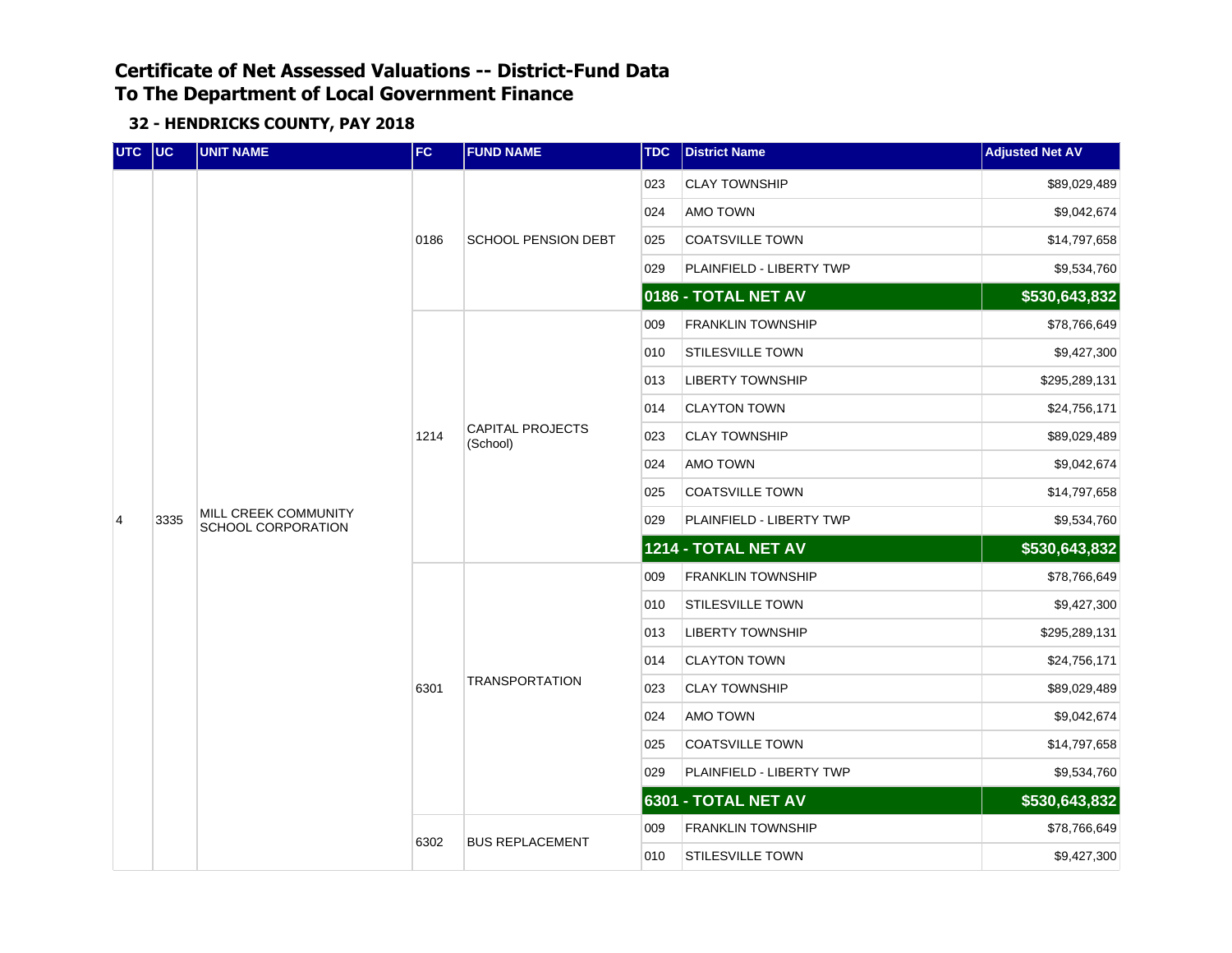| UTC | $ $ UC | <b>UNIT NAME</b>                           | FC   | <b>FUND NAME</b>                    | <b>TDC</b> | <b>District Name</b>     | <b>Adjusted Net AV</b> |
|-----|--------|--------------------------------------------|------|-------------------------------------|------------|--------------------------|------------------------|
|     |        |                                            |      |                                     | 023        | <b>CLAY TOWNSHIP</b>     | \$89,029,489           |
|     |        |                                            |      |                                     | 024        | <b>AMO TOWN</b>          | \$9,042,674            |
|     |        |                                            | 0186 | <b>SCHOOL PENSION DEBT</b>          | 025        | <b>COATSVILLE TOWN</b>   | \$14,797,658           |
|     |        |                                            |      |                                     | 029        | PLAINFIELD - LIBERTY TWP | \$9,534,760            |
|     |        |                                            |      |                                     |            | 0186 - TOTAL NET AV      | \$530,643,832          |
|     |        |                                            |      |                                     | 009        | <b>FRANKLIN TOWNSHIP</b> | \$78,766,649           |
|     |        |                                            |      |                                     | 010        | <b>STILESVILLE TOWN</b>  | \$9,427,300            |
|     | 3335   |                                            |      |                                     | 013        | <b>LIBERTY TOWNSHIP</b>  | \$295,289,131          |
|     |        | MILL CREEK COMMUNITY<br>SCHOOL CORPORATION |      |                                     | 014        | <b>CLAYTON TOWN</b>      | \$24,756,171           |
|     |        |                                            | 1214 | <b>CAPITAL PROJECTS</b><br>(School) | 023        | <b>CLAY TOWNSHIP</b>     | \$89,029,489           |
|     |        |                                            |      |                                     | 024        | AMO TOWN                 | \$9,042,674            |
|     |        |                                            |      |                                     | 025        | <b>COATSVILLE TOWN</b>   | \$14,797,658           |
| 4   |        |                                            |      |                                     | 029        | PLAINFIELD - LIBERTY TWP | \$9,534,760            |
|     |        |                                            |      |                                     |            | 1214 - TOTAL NET AV      | \$530,643,832          |
|     |        |                                            |      |                                     | 009        | <b>FRANKLIN TOWNSHIP</b> | \$78,766,649           |
|     |        |                                            |      |                                     | 010        | STILESVILLE TOWN         | \$9,427,300            |
|     |        |                                            |      |                                     | 013        | <b>LIBERTY TOWNSHIP</b>  | \$295,289,131          |
|     |        |                                            |      |                                     | 014        | <b>CLAYTON TOWN</b>      | \$24,756,171           |
|     |        |                                            | 6301 | <b>TRANSPORTATION</b>               | 023        | <b>CLAY TOWNSHIP</b>     | \$89,029,489           |
|     |        |                                            |      |                                     | 024        | AMO TOWN                 | \$9,042,674            |
|     |        |                                            |      |                                     | 025        | <b>COATSVILLE TOWN</b>   | \$14,797,658           |
|     |        |                                            |      |                                     | 029        | PLAINFIELD - LIBERTY TWP | \$9,534,760            |
|     |        |                                            |      |                                     |            | 6301 - TOTAL NET AV      | \$530,643,832          |
|     |        |                                            |      |                                     | 009        | <b>FRANKLIN TOWNSHIP</b> | \$78,766,649           |
|     |        |                                            | 6302 | <b>BUS REPLACEMENT</b>              | 010        | <b>STILESVILLE TOWN</b>  | \$9,427,300            |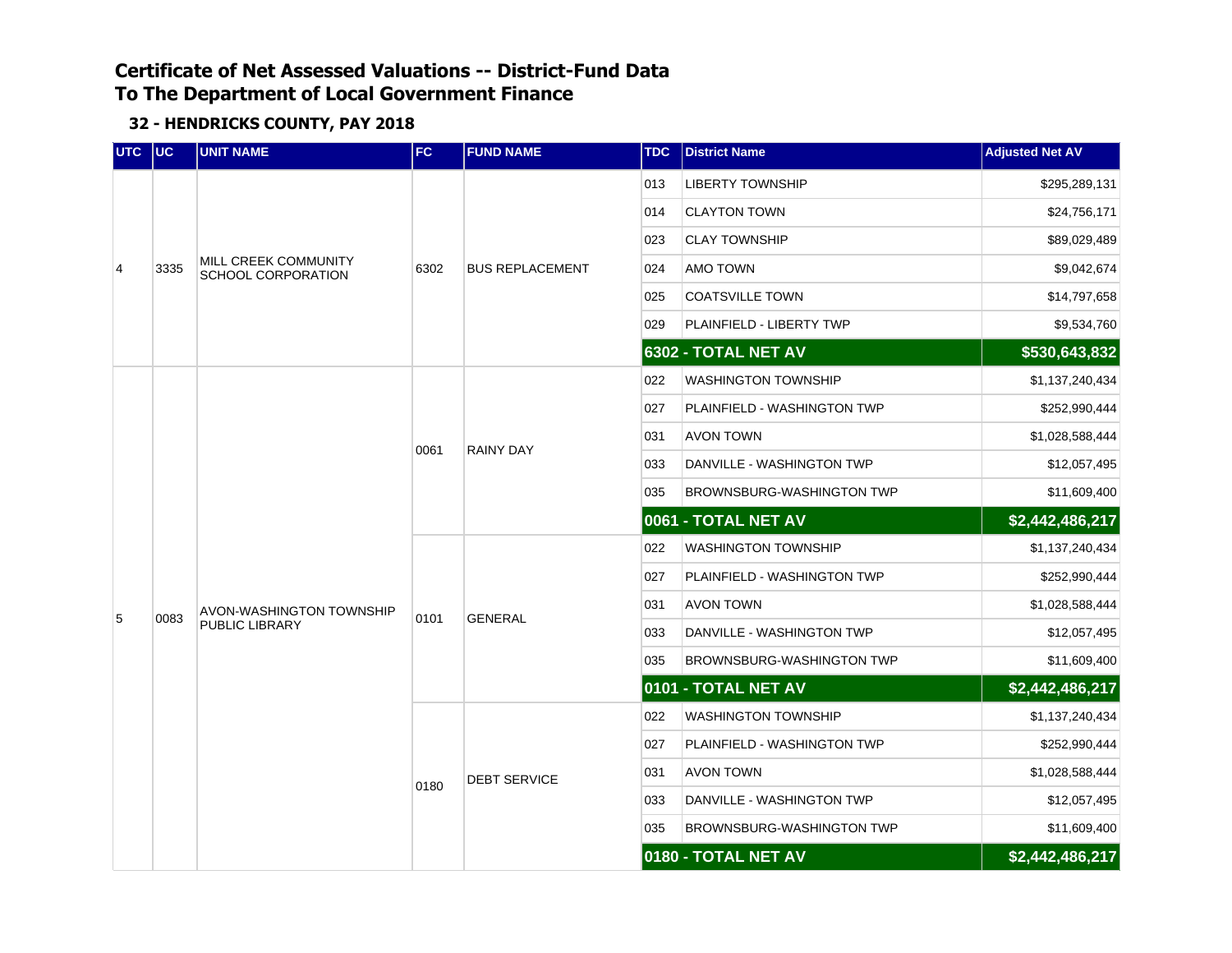| UTC UC         |      | <b>UNIT NAME</b>                                  | FC.  | <b>FUND NAME</b>       | <b>TDC</b> | <b>District Name</b>             | <b>Adjusted Net AV</b> |
|----------------|------|---------------------------------------------------|------|------------------------|------------|----------------------------------|------------------------|
|                |      |                                                   |      |                        | 013        | <b>LIBERTY TOWNSHIP</b>          | \$295,289,131          |
|                |      |                                                   |      |                        | 014        | <b>CLAYTON TOWN</b>              | \$24,756,171           |
|                |      |                                                   |      |                        | 023        | <b>CLAY TOWNSHIP</b>             | \$89,029,489           |
| $\overline{4}$ | 3335 | MILL CREEK COMMUNITY<br><b>SCHOOL CORPORATION</b> | 6302 | <b>BUS REPLACEMENT</b> | 024        | AMO TOWN                         | \$9,042,674            |
|                |      |                                                   |      |                        | 025        | <b>COATSVILLE TOWN</b>           | \$14,797,658           |
|                |      |                                                   |      |                        | 029        | PLAINFIELD - LIBERTY TWP         | \$9,534,760            |
|                |      |                                                   |      |                        |            | 6302 - TOTAL NET AV              | \$530,643,832          |
|                |      |                                                   |      |                        | 022        | <b>WASHINGTON TOWNSHIP</b>       | \$1,137,240,434        |
|                |      |                                                   |      |                        | 027        | PLAINFIELD - WASHINGTON TWP      | \$252,990,444          |
|                |      |                                                   | 0061 | <b>RAINY DAY</b>       | 031        | <b>AVON TOWN</b>                 | \$1,028,588,444        |
|                |      |                                                   |      |                        | 033        | DANVILLE - WASHINGTON TWP        | \$12,057,495           |
|                |      |                                                   |      |                        | 035        | <b>BROWNSBURG-WASHINGTON TWP</b> | \$11,609,400           |
|                |      |                                                   |      |                        |            | 0061 - TOTAL NET AV              | \$2,442,486,217        |
|                |      |                                                   |      |                        | 022        | <b>WASHINGTON TOWNSHIP</b>       | \$1,137,240,434        |
|                |      |                                                   |      |                        | 027        | PLAINFIELD - WASHINGTON TWP      | \$252,990,444          |
| 5              | 0083 | AVON-WASHINGTON TOWNSHIP                          |      |                        | 031        | <b>AVON TOWN</b>                 | \$1,028,588,444        |
|                |      | PUBLIC LIBRARY                                    | 0101 | <b>GENERAL</b>         | 033        | DANVILLE - WASHINGTON TWP        | \$12,057,495           |
|                |      |                                                   |      |                        | 035        | BROWNSBURG-WASHINGTON TWP        | \$11,609,400           |
|                |      |                                                   |      |                        |            | 0101 - TOTAL NET AV              | \$2,442,486,217        |
|                |      |                                                   |      |                        | 022        | <b>WASHINGTON TOWNSHIP</b>       | \$1,137,240,434        |
|                |      |                                                   |      |                        | 027        | PLAINFIELD - WASHINGTON TWP      | \$252,990,444          |
|                |      |                                                   | 0180 | <b>DEBT SERVICE</b>    | 031        | <b>AVON TOWN</b>                 | \$1,028,588,444        |
|                |      |                                                   |      |                        | 033        | DANVILLE - WASHINGTON TWP        | \$12,057,495           |
|                |      |                                                   |      |                        | 035        | BROWNSBURG-WASHINGTON TWP        | \$11,609,400           |
|                |      |                                                   |      |                        |            | 0180 - TOTAL NET AV              | \$2,442,486,217        |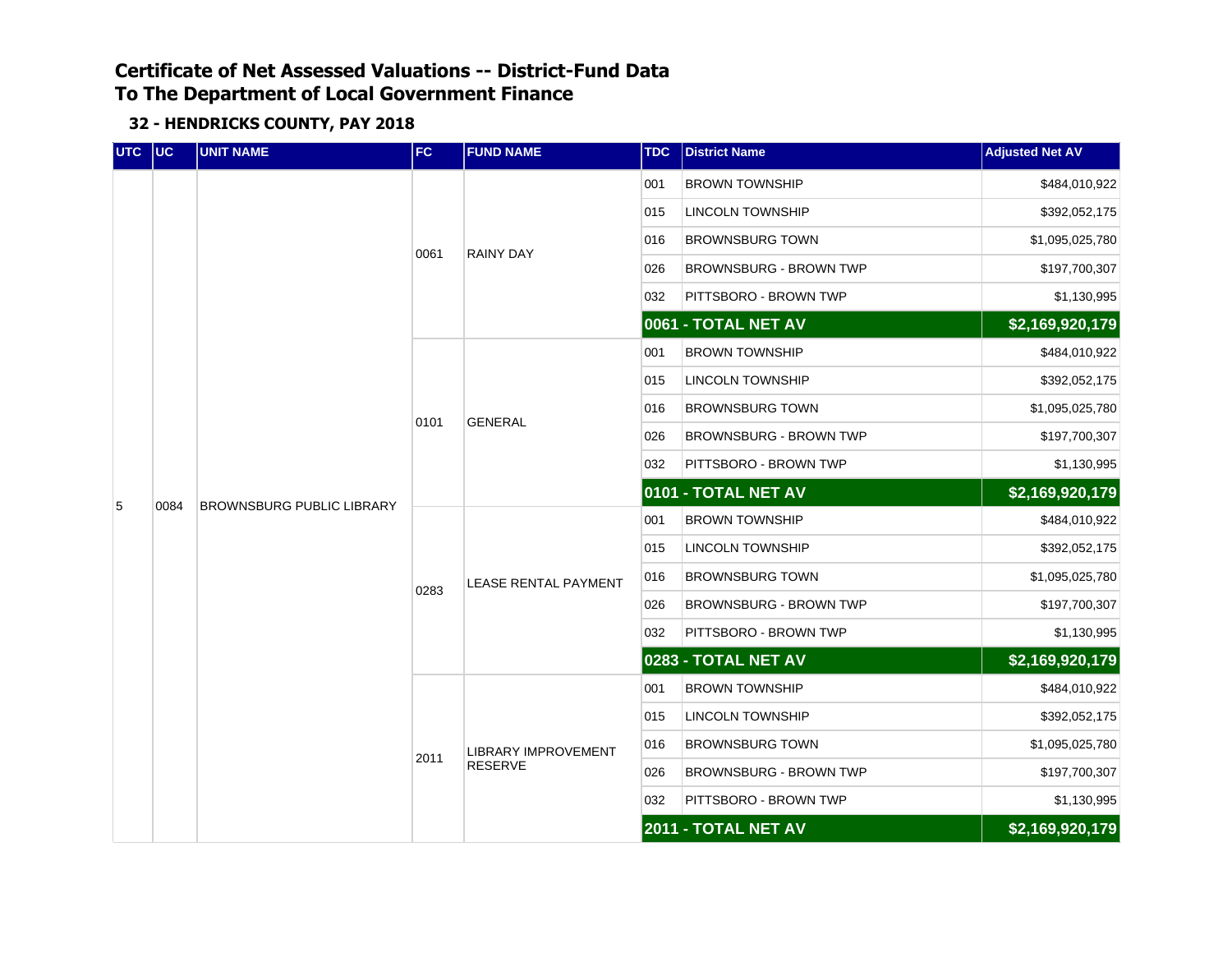| UTC UC |      | <b>UNIT NAME</b>                 | <b>FC</b> | <b>FUND NAME</b>            | <b>TDC</b> | <b>District Name</b>          | <b>Adjusted Net AV</b> |
|--------|------|----------------------------------|-----------|-----------------------------|------------|-------------------------------|------------------------|
|        |      |                                  |           |                             | 001        | <b>BROWN TOWNSHIP</b>         | \$484,010,922          |
|        |      |                                  |           |                             | 015        | <b>LINCOLN TOWNSHIP</b>       | \$392,052,175          |
|        |      |                                  |           | RAINY DAY                   | 016        | <b>BROWNSBURG TOWN</b>        | \$1,095,025,780        |
|        |      |                                  | 0061      |                             | 026        | <b>BROWNSBURG - BROWN TWP</b> | \$197,700,307          |
|        |      |                                  |           |                             | 032        | PITTSBORO - BROWN TWP         | \$1,130,995            |
|        |      |                                  |           |                             |            | 0061 - TOTAL NET AV           | \$2,169,920,179        |
|        |      |                                  |           |                             | 001        | <b>BROWN TOWNSHIP</b>         | \$484,010,922          |
|        |      |                                  |           |                             | 015        | <b>LINCOLN TOWNSHIP</b>       | \$392,052,175          |
|        |      |                                  | 0101      | <b>GENERAL</b>              | 016        | <b>BROWNSBURG TOWN</b>        | \$1,095,025,780        |
|        | 0084 | <b>BROWNSBURG PUBLIC LIBRARY</b> |           |                             | 026        | <b>BROWNSBURG - BROWN TWP</b> | \$197,700,307          |
|        |      |                                  |           |                             | 032        | PITTSBORO - BROWN TWP         | \$1,130,995            |
| 5      |      |                                  |           |                             |            | 0101 - TOTAL NET AV           | \$2,169,920,179        |
|        |      |                                  | 0283      |                             | 001        | <b>BROWN TOWNSHIP</b>         | \$484,010,922          |
|        |      |                                  |           | <b>LEASE RENTAL PAYMENT</b> | 015        | LINCOLN TOWNSHIP              | \$392,052,175          |
|        |      |                                  |           |                             | 016        | <b>BROWNSBURG TOWN</b>        | \$1,095,025,780        |
|        |      |                                  |           |                             | 026        | <b>BROWNSBURG - BROWN TWP</b> | \$197,700,307          |
|        |      |                                  |           |                             | 032        | PITTSBORO - BROWN TWP         | \$1,130,995            |
|        |      |                                  |           |                             |            | 0283 - TOTAL NET AV           | \$2,169,920,179        |
|        |      |                                  |           |                             | 001        | <b>BROWN TOWNSHIP</b>         | \$484,010,922          |
|        |      |                                  |           |                             | 015        | <b>LINCOLN TOWNSHIP</b>       | \$392,052,175          |
|        |      |                                  | 2011      | <b>LIBRARY IMPROVEMENT</b>  | 016        | <b>BROWNSBURG TOWN</b>        | \$1,095,025,780        |
|        |      |                                  |           | <b>RESERVE</b>              | 026        | <b>BROWNSBURG - BROWN TWP</b> | \$197,700,307          |
|        |      |                                  |           |                             | 032        | PITTSBORO - BROWN TWP         | \$1,130,995            |
|        |      |                                  |           |                             |            | 2011 - TOTAL NET AV           | \$2,169,920,179        |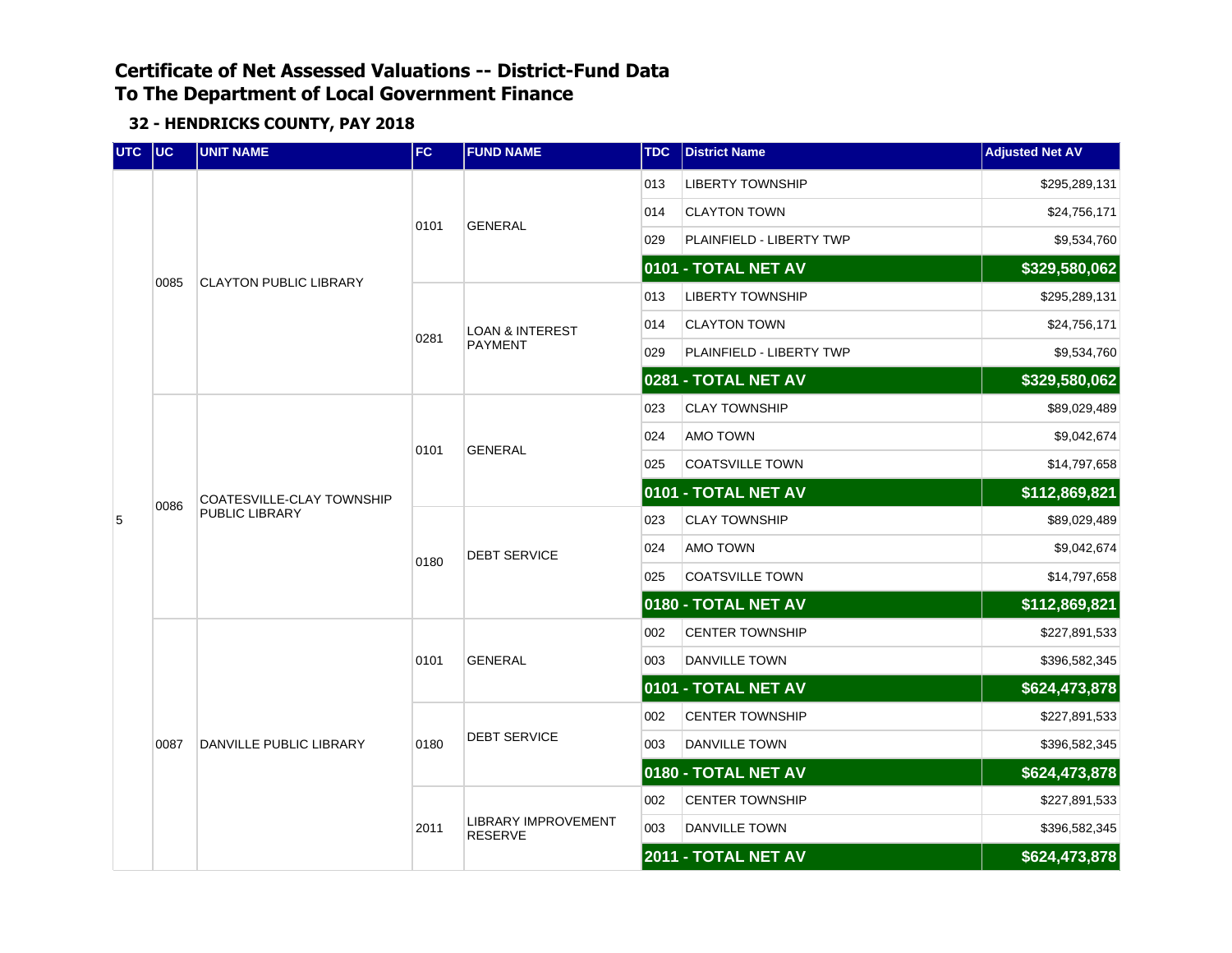| UTC UC |      | <b>UNIT NAME</b>              | FC   | <b>FUND NAME</b>                      | <b>TDC</b> | <b>District Name</b>     | <b>Adjusted Net AV</b> |
|--------|------|-------------------------------|------|---------------------------------------|------------|--------------------------|------------------------|
|        |      |                               |      |                                       | 013        | <b>LIBERTY TOWNSHIP</b>  | \$295,289,131          |
|        |      |                               | 0101 |                                       | 014        | <b>CLAYTON TOWN</b>      | \$24,756,171           |
|        |      | <b>CLAYTON PUBLIC LIBRARY</b> |      | <b>GENERAL</b>                        | 029        | PLAINFIELD - LIBERTY TWP | \$9,534,760            |
|        | 0085 |                               |      |                                       |            | 0101 - TOTAL NET AV      | \$329,580,062          |
|        |      |                               |      |                                       | 013        | <b>LIBERTY TOWNSHIP</b>  | \$295,289,131          |
|        |      |                               | 0281 | <b>LOAN &amp; INTEREST</b>            | 014        | <b>CLAYTON TOWN</b>      | \$24,756,171           |
|        |      |                               |      | <b>PAYMENT</b>                        | 029        | PLAINFIELD - LIBERTY TWP | \$9,534,760            |
|        |      |                               |      |                                       |            | 0281 - TOTAL NET AV      | \$329,580,062          |
|        |      |                               |      |                                       | 023        | <b>CLAY TOWNSHIP</b>     | \$89,029,489           |
|        |      |                               | 0101 | <b>GENERAL</b>                        | 024        | AMO TOWN                 | \$9,042,674            |
|        | 0086 |                               |      |                                       | 025        | <b>COATSVILLE TOWN</b>   | \$14,797,658           |
|        |      | COATESVILLE-CLAY TOWNSHIP     |      |                                       |            | 0101 - TOTAL NET AV      | \$112,869,821          |
| 5      |      | PUBLIC LIBRARY                | 0180 | <b>DEBT SERVICE</b>                   | 023        | <b>CLAY TOWNSHIP</b>     | \$89,029,489           |
|        |      |                               |      |                                       | 024        | AMO TOWN                 | \$9,042,674            |
|        |      |                               |      |                                       | 025        | <b>COATSVILLE TOWN</b>   | \$14,797,658           |
|        |      |                               |      |                                       |            | 0180 - TOTAL NET AV      | \$112,869,821          |
|        |      |                               |      |                                       | 002        | <b>CENTER TOWNSHIP</b>   | \$227,891,533          |
|        |      |                               | 0101 | <b>GENERAL</b>                        | 003        | <b>DANVILLE TOWN</b>     | \$396,582,345          |
|        |      |                               |      |                                       |            | 0101 - TOTAL NET AV      | \$624,473,878          |
|        |      |                               |      |                                       | 002        | <b>CENTER TOWNSHIP</b>   | \$227,891,533          |
|        | 0087 | DANVILLE PUBLIC LIBRARY       | 0180 | <b>DEBT SERVICE</b>                   | 003        | DANVILLE TOWN            | \$396,582,345          |
|        |      |                               |      |                                       |            | 0180 - TOTAL NET AV      | \$624,473,878          |
|        |      |                               |      |                                       | 002        | <b>CENTER TOWNSHIP</b>   | \$227,891,533          |
|        |      |                               | 2011 | LIBRARY IMPROVEMENT<br><b>RESERVE</b> | 003        | DANVILLE TOWN            | \$396,582,345          |
|        |      |                               |      |                                       |            | 2011 - TOTAL NET AV      | \$624,473,878          |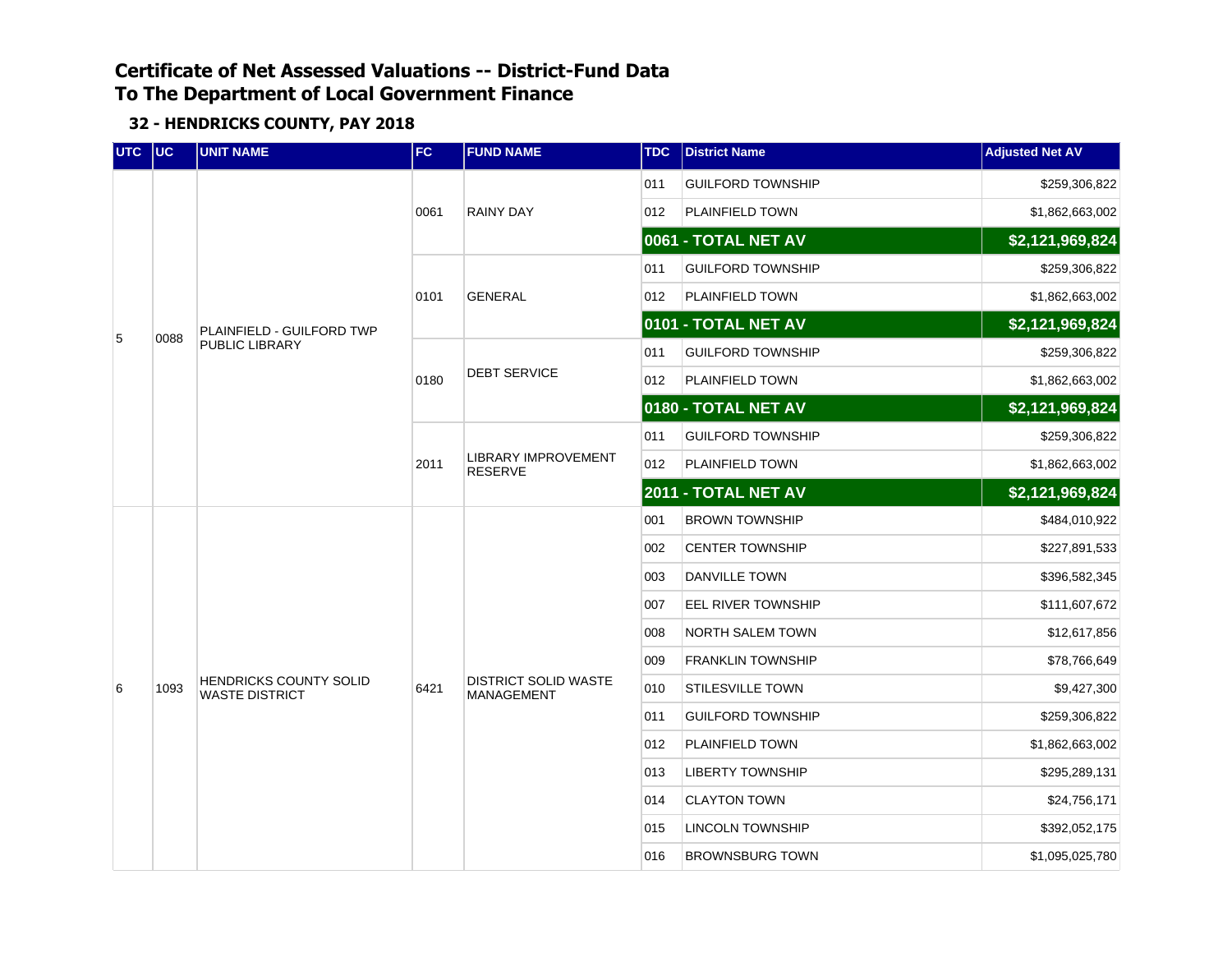| UTC UC |      | <b>UNIT NAME</b>                                       | FC.  | <b>FUND NAME</b>                             | <b>TDC</b> | <b>District Name</b>       | <b>Adjusted Net AV</b> |
|--------|------|--------------------------------------------------------|------|----------------------------------------------|------------|----------------------------|------------------------|
|        |      |                                                        |      |                                              | 011        | <b>GUILFORD TOWNSHIP</b>   | \$259,306,822          |
|        |      |                                                        | 0061 | <b>RAINY DAY</b>                             | 012        | PLAINFIELD TOWN            | \$1,862,663,002        |
|        |      |                                                        |      |                                              |            | 0061 - TOTAL NET AV        | \$2,121,969,824        |
|        |      |                                                        |      |                                              | 011        | <b>GUILFORD TOWNSHIP</b>   | \$259,306,822          |
|        |      |                                                        | 0101 | <b>GENERAL</b>                               | 012        | <b>PLAINFIELD TOWN</b>     | \$1,862,663,002        |
| 5      | 0088 | <b>PLAINFIELD - GUILFORD TWP</b>                       |      |                                              |            | 0101 - TOTAL NET AV        | \$2,121,969,824        |
|        |      | PUBLIC LIBRARY                                         |      |                                              | 011        | <b>GUILFORD TOWNSHIP</b>   | \$259,306,822          |
|        |      |                                                        | 0180 | <b>DEBT SERVICE</b>                          | 012        | PLAINFIELD TOWN            | \$1,862,663,002        |
|        |      |                                                        |      |                                              |            | 0180 - TOTAL NET AV        | \$2,121,969,824        |
|        |      |                                                        |      |                                              | 011        | <b>GUILFORD TOWNSHIP</b>   | \$259,306,822          |
|        |      |                                                        | 2011 | <b>LIBRARY IMPROVEMENT</b><br><b>RESERVE</b> | 012        | PLAINFIELD TOWN            | \$1,862,663,002        |
|        |      |                                                        |      |                                              |            | <b>2011 - TOTAL NET AV</b> | \$2,121,969,824        |
|        |      |                                                        |      |                                              | 001        | <b>BROWN TOWNSHIP</b>      | \$484,010,922          |
|        |      |                                                        |      |                                              | 002        | <b>CENTER TOWNSHIP</b>     | \$227,891,533          |
|        |      |                                                        |      |                                              | 003        | <b>DANVILLE TOWN</b>       | \$396,582,345          |
|        |      |                                                        |      |                                              | 007        | <b>EEL RIVER TOWNSHIP</b>  | \$111,607,672          |
|        |      |                                                        |      |                                              | 008        | <b>NORTH SALEM TOWN</b>    | \$12,617,856           |
|        |      |                                                        |      |                                              | 009        | <b>FRANKLIN TOWNSHIP</b>   | \$78,766,649           |
| 6      | 1093 | <b>HENDRICKS COUNTY SOLID</b><br><b>WASTE DISTRICT</b> | 6421 | <b>DISTRICT SOLID WASTE</b><br>MANAGEMENT    | 010        | <b>STILESVILLE TOWN</b>    | \$9,427,300            |
|        |      |                                                        |      |                                              | 011        | <b>GUILFORD TOWNSHIP</b>   | \$259,306,822          |
|        |      |                                                        |      |                                              | 012        | PLAINFIELD TOWN            | \$1,862,663,002        |
|        |      |                                                        |      |                                              | 013        | <b>LIBERTY TOWNSHIP</b>    | \$295,289,131          |
|        |      |                                                        |      |                                              | 014        | <b>CLAYTON TOWN</b>        | \$24,756,171           |
|        |      |                                                        |      |                                              | 015        | <b>LINCOLN TOWNSHIP</b>    | \$392,052,175          |
|        |      |                                                        |      |                                              | 016        | <b>BROWNSBURG TOWN</b>     | \$1,095,025,780        |